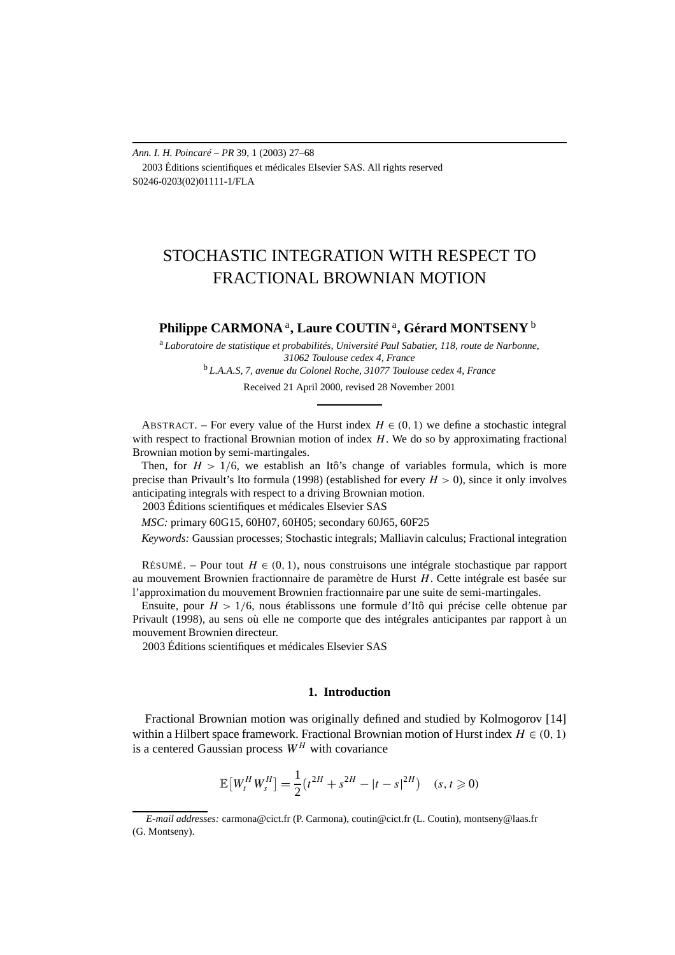*Ann. I. H. Poincaré – PR* 39, 1 (2003) 27–68 2003 Éditions scientifiques et médicales Elsevier SAS. All rights reserved S0246-0203(02)01111-1/FLA

# STOCHASTIC INTEGRATION WITH RESPECT TO FRACTIONAL BROWNIAN MOTION

## **Philippe CARMONA** <sup>a</sup>**, Laure COUTIN** <sup>a</sup>**, Gérard MONTSENY** <sup>b</sup>

<sup>a</sup> *Laboratoire de statistique et probabilités, Université Paul Sabatier, 118, route de Narbonne, 31062 Toulouse cedex 4, France* <sup>b</sup> *L.A.A.S, 7, avenue du Colonel Roche, 31077 Toulouse cedex 4, France*

Received 21 April 2000, revised 28 November 2001

ABSTRACT. – For every value of the Hurst index  $H \in (0, 1)$  we define a stochastic integral with respect to fractional Brownian motion of index *H*. We do so by approximating fractional Brownian motion by semi-martingales.

Then, for  $H > 1/6$ , we establish an Itô's change of variables formula, which is more precise than Privault's Ito formula (1998) (established for every *H >* 0), since it only involves anticipating integrals with respect to a driving Brownian motion.

2003 Éditions scientifiques et médicales Elsevier SAS

*MSC:* primary 60G15, 60H07, 60H05; secondary 60J65, 60F25

*Keywords:* Gaussian processes; Stochastic integrals; Malliavin calculus; Fractional integration

RÉSUMÉ. – Pour tout  $H \in (0, 1)$ , nous construisons une intégrale stochastique par rapport au mouvement Brownien fractionnaire de paramètre de Hurst *H*. Cette intégrale est basée sur l'approximation du mouvement Brownien fractionnaire par une suite de semi-martingales.

Ensuite, pour *H >* 1*/*6, nous établissons une formule d'Itô qui précise celle obtenue par Privault (1998), au sens où elle ne comporte que des intégrales anticipantes par rapport à un mouvement Brownien directeur.

2003 Éditions scientifiques et médicales Elsevier SAS

#### **1. Introduction**

Fractional Brownian motion was originally defined and studied by Kolmogorov [14] within a Hilbert space framework. Fractional Brownian motion of Hurst index  $H \in (0, 1)$ is a centered Gaussian process  $W^H$  with covariance

$$
\mathbb{E}[W_t^H W_s^H] = \frac{1}{2} (t^{2H} + s^{2H} - |t - s|^{2H}) \quad (s, t \ge 0)
$$

*E-mail addresses:* carmona@cict.fr (P. Carmona), coutin@cict.fr (L. Coutin), montseny@laas.fr (G. Montseny).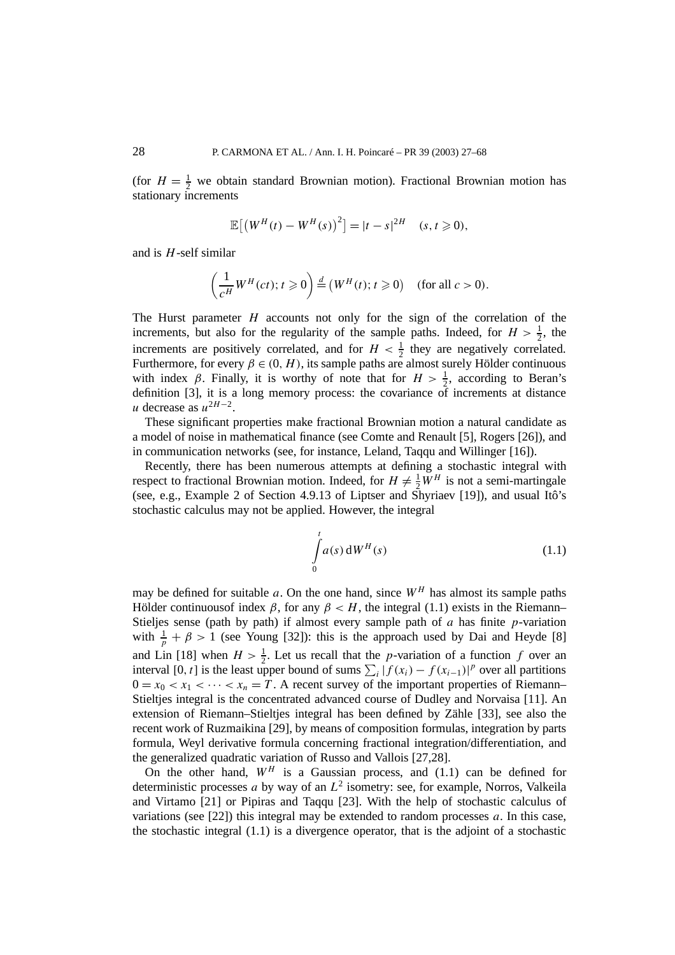(for  $H = \frac{1}{2}$  we obtain standard Brownian motion). Fractional Brownian motion has stationary increments

$$
\mathbb{E}[(W^H(t) - W^H(s))^2] = |t - s|^{2H} \quad (s, t \ge 0),
$$

and is *H*-self similar

$$
\left(\frac{1}{c^H}W^H(ct); t \geq 0\right) \stackrel{d}{=} \left(W^H(t); t \geq 0\right) \quad \text{(for all } c > 0\text{)}.
$$

The Hurst parameter *H* accounts not only for the sign of the correlation of the increments, but also for the regularity of the sample paths. Indeed, for  $H > \frac{1}{2}$ , the increments are positively correlated, and for  $H < \frac{1}{2}$  they are negatively correlated. Furthermore, for every  $\beta \in (0, H)$ , its sample paths are almost surely Hölder continuous with index *β*. Finally, it is worthy of note that for  $H > \frac{1}{2}$ , according to Beran's definition [3], it is a long memory process: the covariance of increments at distance *u* decrease as  $u^{2H-2}$ .

These significant properties make fractional Brownian motion a natural candidate as a model of noise in mathematical finance (see Comte and Renault [5], Rogers [26]), and in communication networks (see, for instance, Leland, Taqqu and Willinger [16]).

Recently, there has been numerous attempts at defining a stochastic integral with respect to fractional Brownian motion. Indeed, for  $H \neq \frac{1}{2}W^H$  is not a semi-martingale (see, e.g., Example 2 of Section 4.9.13 of Liptser and Shyriaev [19]), and usual Itô's stochastic calculus may not be applied. However, the integral

$$
\int_{0}^{t} a(s) \, \mathrm{d}W^{H}(s) \tag{1.1}
$$

may be defined for suitable *a*. On the one hand, since  $W^H$  has almost its sample paths Hölder continuous findex  $\beta$ , for any  $\beta < H$ , the integral (1.1) exists in the Riemann– Stieljes sense (path by path) if almost every sample path of *a* has finite *p*-variation with  $\frac{1}{p} + \beta > 1$  (see Young [32]): this is the approach used by Dai and Heyde [8] and Lin [18] when  $H > \frac{1}{2}$ . Let us recall that the *p*-variation of a function *f* over an interval [0, t] is the least upper bound of sums  $\sum_i |f(x_i) - f(x_{i-1})|^p$  over all partitions  $0 = x_0 < x_1 < \cdots < x_n = T$ . A recent survey of the important properties of Riemann– Stieltjes integral is the concentrated advanced course of Dudley and Norvaisa [11]. An extension of Riemann–Stieltjes integral has been defined by Zähle [33], see also the recent work of Ruzmaikina [29], by means of composition formulas, integration by parts formula, Weyl derivative formula concerning fractional integration/differentiation, and the generalized quadratic variation of Russo and Vallois [27,28].

On the other hand,  $W^H$  is a Gaussian process, and (1.1) can be defined for deterministic processes *a* by way of an *L*<sup>2</sup> isometry: see, for example, Norros, Valkeila and Virtamo [21] or Pipiras and Taqqu [23]. With the help of stochastic calculus of variations (see [22]) this integral may be extended to random processes *a*. In this case, the stochastic integral  $(1.1)$  is a divergence operator, that is the adjoint of a stochastic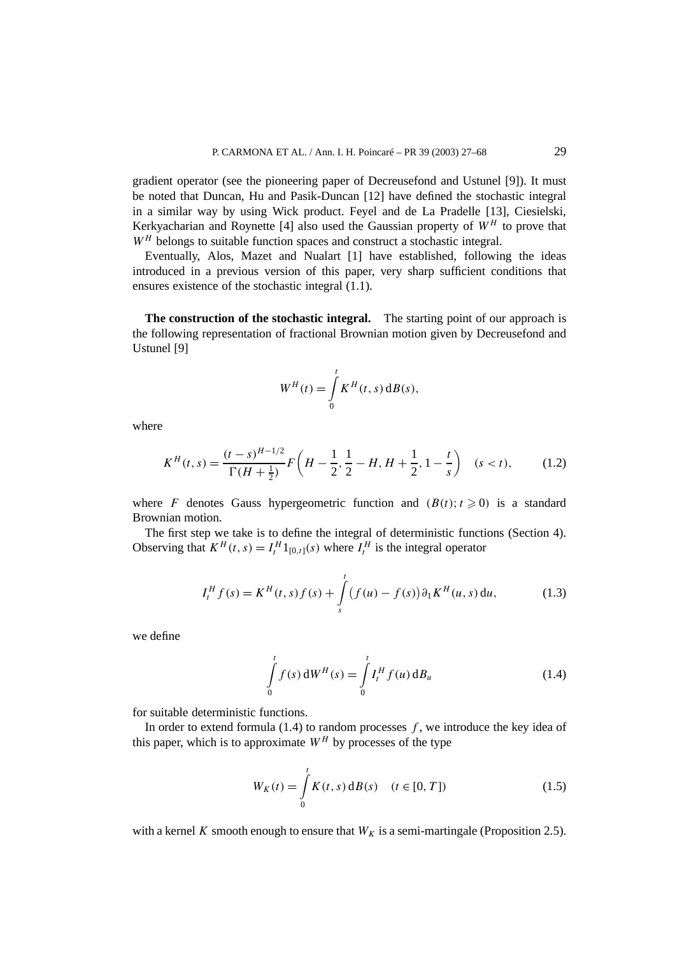gradient operator (see the pioneering paper of Decreusefond and Ustunel [9]). It must be noted that Duncan, Hu and Pasik-Duncan [12] have defined the stochastic integral in a similar way by using Wick product. Feyel and de La Pradelle [13], Ciesielski, Kerkyacharian and Roynette [4] also used the Gaussian property of *W<sup>H</sup>* to prove that *W<sup>H</sup>* belongs to suitable function spaces and construct a stochastic integral.

Eventually, Alos, Mazet and Nualart [1] have established, following the ideas introduced in a previous version of this paper, very sharp sufficient conditions that ensures existence of the stochastic integral (1.1).

**The construction of the stochastic integral.** The starting point of our approach is the following representation of fractional Brownian motion given by Decreusefond and Ustunel [9]

$$
W^H(t) = \int\limits_0^t K^H(t,s) \, \mathrm{d}B(s),
$$

where

$$
K^{H}(t,s) = \frac{(t-s)^{H-1/2}}{\Gamma(H+\frac{1}{2})} F\left(H-\frac{1}{2},\frac{1}{2}-H,H+\frac{1}{2},1-\frac{t}{s}\right) \quad (s < t),\tag{1.2}
$$

where *F* denotes Gauss hypergeometric function and  $(B(t); t \ge 0)$  is a standard Brownian motion.

The first step we take is to define the integral of deterministic functions (Section 4). Observing that  $K^H(t, s) = I_t^H 1_{[0, t]}(s)$  where  $I_t^H$  is the integral operator

$$
I_t^H f(s) = K^H(t, s) f(s) + \int_s^t (f(u) - f(s)) \partial_1 K^H(u, s) du,
$$
 (1.3)

we define

$$
\int_{0}^{t} f(s) dW^{H}(s) = \int_{0}^{t} I_{t}^{H} f(u) dB_{u}
$$
\n(1.4)

for suitable deterministic functions.

In order to extend formula  $(1.4)$  to random processes  $f$ , we introduce the key idea of this paper, which is to approximate  $W^H$  by processes of the type

$$
W_K(t) = \int_{0}^{t} K(t, s) dB(s) \quad (t \in [0, T])
$$
\n(1.5)

with a kernel *K* smooth enough to ensure that  $W_K$  is a semi-martingale (Proposition 2.5).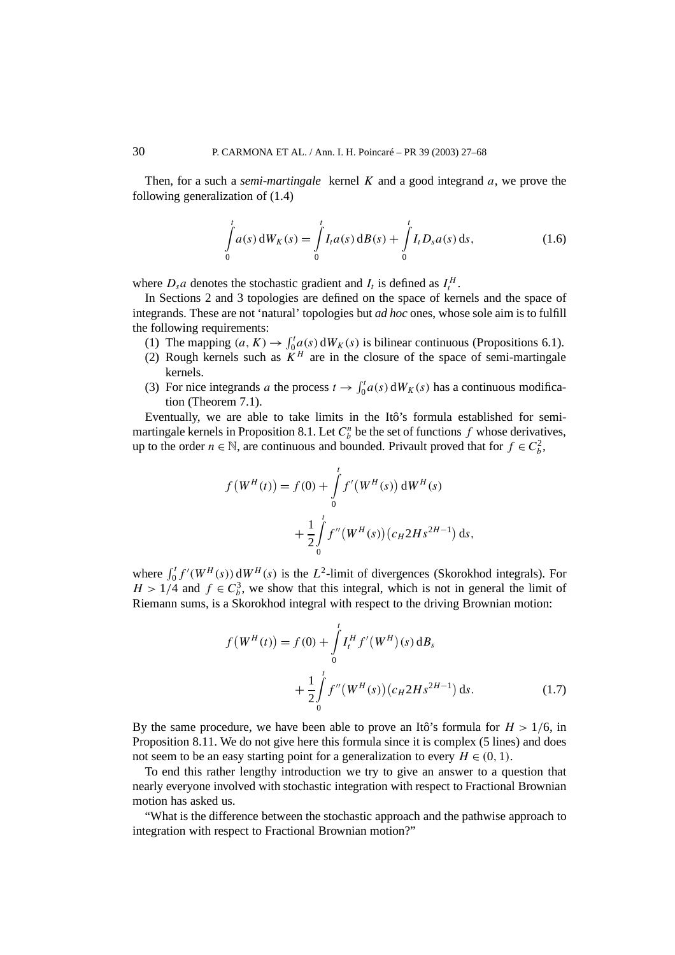Then, for a such a *semi-martingale* kernel *K* and a good integrand *a*, we prove the following generalization of (1.4)

$$
\int_{0}^{t} a(s) dW_K(s) = \int_{0}^{t} I_t a(s) dB(s) + \int_{0}^{t} I_t D_s a(s) ds,
$$
\n(1.6)

where  $D_s a$  denotes the stochastic gradient and  $I_t$  is defined as  $I_t^H$ .

In Sections 2 and 3 topologies are defined on the space of kernels and the space of integrands. These are not 'natural' topologies but *ad hoc* ones, whose sole aim is to fulfill the following requirements:

- (1) The mapping  $(a, K) \to \int_0^t a(s) dW_K(s)$  is bilinear continuous (Propositions 6.1).
- (2) Rough kernels such as  $\tilde{K}^H$  are in the closure of the space of semi-martingale kernels.
- (3) For nice integrands *a* the process  $t \to \int_0^t a(s) dW_K(s)$  has a continuous modification (Theorem 7.1).

Eventually, we are able to take limits in the Itô's formula established for semimartingale kernels in Proposition 8.1. Let  $C_b^n$  be the set of functions  $f$  whose derivatives, up to the order  $n \in \mathbb{N}$ , are continuous and bounded. Privault proved that for  $f \in C_b^2$ ,

$$
f(W^H(t)) = f(0) + \int_0^t f'(W^H(s)) dW^H(s)
$$
  
+ 
$$
\frac{1}{2} \int_0^t f''(W^H(s)) (c_H 2Hs^{2H-1}) ds,
$$

where  $\int_0^t f'(W^H(s)) dW^H(s)$  is the  $L^2$ -limit of divergences (Skorokhod integrals). For  $H > 1/4$  and  $f \in C_b^3$ , we show that this integral, which is not in general the limit of Riemann sums, is a Skorokhod integral with respect to the driving Brownian motion:

$$
f(W^{H}(t)) = f(0) + \int_{0}^{t} I_{t}^{H} f'(W^{H})(s) dB_{s}
$$
  
+ 
$$
\frac{1}{2} \int_{0}^{t} f''(W^{H}(s)) (c_{H} 2Hs^{2H-1}) ds.
$$
 (1.7)

By the same procedure, we have been able to prove an Itô's formula for  $H > 1/6$ , in Proposition 8.11. We do not give here this formula since it is complex (5 lines) and does not seem to be an easy starting point for a generalization to every  $H \in (0, 1)$ .

To end this rather lengthy introduction we try to give an answer to a question that nearly everyone involved with stochastic integration with respect to Fractional Brownian motion has asked us.

"What is the difference between the stochastic approach and the pathwise approach to integration with respect to Fractional Brownian motion?"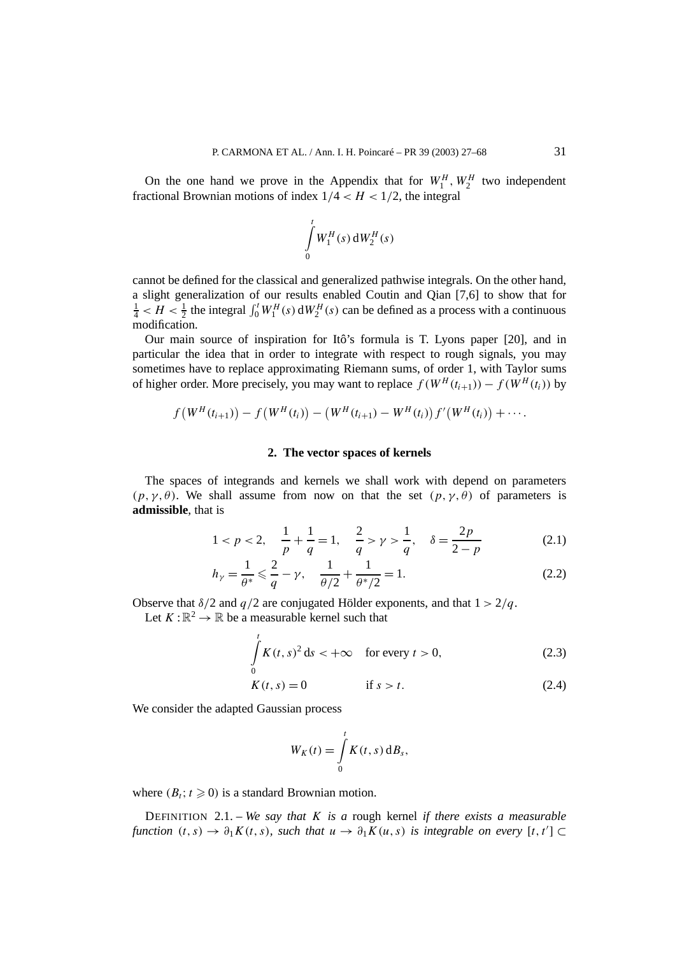On the one hand we prove in the Appendix that for  $W_1^H$ ,  $W_2^H$  two independent fractional Brownian motions of index  $1/4 < H < 1/2$ , the integral

$$
\int\limits_0^t W_1^H(s) \, \mathrm{d} W_2^H(s)
$$

cannot be defined for the classical and generalized pathwise integrals. On the other hand, a slight generalization of our results enabled Coutin and Qian [7,6] to show that for  $\frac{1}{4} < H < \frac{1}{2}$  the integral  $\int_0^t W_1^H(s) dW_2^H(s)$  can be defined as a process with a continuous modification.

Our main source of inspiration for Itô's formula is T. Lyons paper [20], and in particular the idea that in order to integrate with respect to rough signals, you may sometimes have to replace approximating Riemann sums, of order 1, with Taylor sums of higher order. More precisely, you may want to replace  $f(W^H(t_{i+1})) - f(W^H(t_i))$  by

$$
f(W^H(t_{i+1})) - f(W^H(t_i)) - (W^H(t_{i+1}) - W^H(t_i)) f'(W^H(t_i)) + \cdots
$$

#### **2. The vector spaces of kernels**

The spaces of integrands and kernels we shall work with depend on parameters  $(p, \gamma, \theta)$ . We shall assume from now on that the set  $(p, \gamma, \theta)$  of parameters is **admissible**, that is

$$
1 < p < 2, \quad \frac{1}{p} + \frac{1}{q} = 1, \quad \frac{2}{q} > \gamma > \frac{1}{q}, \quad \delta = \frac{2p}{2 - p} \tag{2.1}
$$

$$
h_{\gamma} = \frac{1}{\theta^*} \leq \frac{2}{q} - \gamma, \quad \frac{1}{\theta/2} + \frac{1}{\theta^*/2} = 1.
$$
 (2.2)

Observe that  $\delta/2$  and  $q/2$  are conjugated Hölder exponents, and that  $1 > 2/q$ .

Let  $K:\mathbb{R}^2\to\mathbb{R}$  be a measurable kernel such that

$$
\int_{0}^{t} K(t,s)^{2} ds < +\infty \quad \text{for every } t > 0,
$$
\n(2.3)

$$
K(t,s) = 0 \qquad \text{if } s > t. \tag{2.4}
$$

We consider the adapted Gaussian process

$$
W_K(t) = \int\limits_0^t K(t,s) \, \mathrm{d}B_s,
$$

where  $(B_t; t \geq 0)$  is a standard Brownian motion.

DEFINITION 2.1. – *We say that K is a* rough kernel *if there exists a measurable function*  $(t, s) \rightarrow \partial_1 K(t, s)$ , such that  $u \rightarrow \partial_1 K(u, s)$  is integrable on every  $[t, t'] \subset$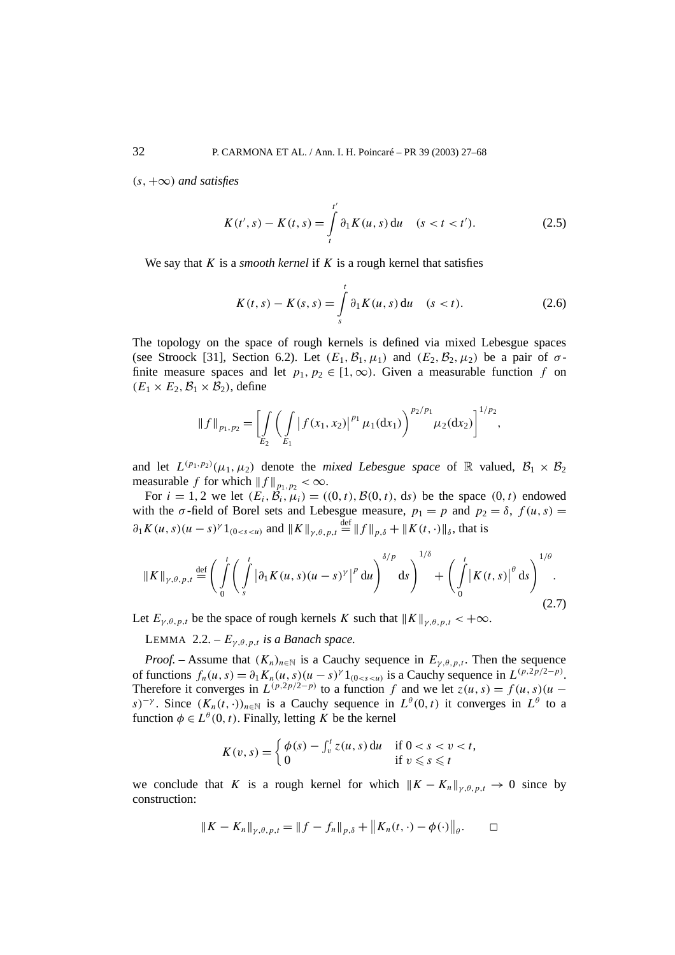*(s,*+∞*) and satisfies*

$$
K(t', s) - K(t, s) = \int_{t}^{t'} \partial_1 K(u, s) du \quad (s < t < t').
$$
 (2.5)

We say that  $K$  is a *smooth kernel* if  $K$  is a rough kernel that satisfies

$$
K(t,s) - K(s,s) = \int_{s}^{t} \partial_1 K(u,s) du \quad (s < t).
$$
 (2.6)

The topology on the space of rough kernels is defined via mixed Lebesgue spaces (see Stroock [31], Section 6.2). Let  $(E_1, \mathcal{B}_1, \mu_1)$  and  $(E_2, \mathcal{B}_2, \mu_2)$  be a pair of  $\sigma$ finite measure spaces and let  $p_1, p_2 \in [1, \infty)$ . Given a measurable function f on  $(E_1 \times E_2, \mathcal{B}_1 \times \mathcal{B}_2)$ , define

$$
||f||_{p_1,p_2} = \left[ \int\limits_{E_2} \left( \int\limits_{E_1} |f(x_1,x_2)|^{p_1} \mu_1(dx_1) \right)^{p_2/p_1} \mu_2(dx_2) \right]^{1/p_2},
$$

and let  $L^{(p_1, p_2)}(\mu_1, \mu_2)$  denote the *mixed Lebesgue space* of R valued,  $B_1 \times B_2$ measurable *f* for which  $||f||_{p_1, p_2} < \infty$ .

For  $i = 1, 2$  we let  $(E_i, \hat{B}_i, \mu_i) = ((0, t), \mathcal{B}(0, t), ds)$  be the space  $(0, t)$  endowed with the  $\sigma$ -field of Borel sets and Lebesgue measure,  $p_1 = p$  and  $p_2 = \delta$ ,  $f(u, s) =$  $\partial_1 K(u, s)(u - s)^{\gamma} 1_{(0 < s < u)}$  and  $||K||_{\gamma, \theta, p, t} \stackrel{\text{def}}{=} ||f||_{p, \delta} + ||K(t, \cdot)||_{\delta}$ , that is

$$
\|K\|_{\gamma,\theta,p,t} \stackrel{\text{def}}{=} \left( \int\limits_0^t \left( \int\limits_s^t \left| \partial_1 K(u,s)(u-s)^{\gamma} \right|^p \mathrm{d}u \right)^{\delta/p} \mathrm{d}s \right)^{1/\delta} + \left( \int\limits_0^t \left| K(t,s) \right|^{\theta} \mathrm{d}s \right)^{1/\theta}.
$$
\n(2.7)

Let  $E_{\nu,\theta,p,t}$  be the space of rough kernels *K* such that  $||K||_{\nu,\theta,p,t} < +\infty$ .

LEMMA 2.2. –  $E_{\gamma,\theta,p,t}$  *is a Banach space.* 

*Proof.* – Assume that  $(K_n)_{n\in\mathbb{N}}$  is a Cauchy sequence in  $E_{\nu,\theta,p,t}$ . Then the sequence of functions  $f_n(u, s) = \partial_1 K_n(u, s)(u - s)^\gamma 1_{(0 < s < u)}$  is a Cauchy sequence in  $L^{(p, 2p/2-p)}$ . Therefore it converges in  $L^{(p,2p/2-p)}$  to a function *f* and we let  $z(u, s) = f(u, s)(u$ *s*)<sup>−*γ*</sup>. Since  $(K_n(t, \cdot))_{n \in \mathbb{N}}$  is a Cauchy sequence in  $L^{\theta}(0, t)$  it converges in  $L^{\theta}$  to a function  $\phi \in L^{\theta}(0, t)$ . Finally, letting *K* be the kernel

$$
K(v,s) = \begin{cases} \phi(s) - \int_v^t z(u,s) du & \text{if } 0 < s < v < t, \\ 0 & \text{if } v \leq s \leq t \end{cases}
$$

we conclude that *K* is a rough kernel for which  $||K - K_n||_{\gamma, \theta, p, t} \to 0$  since by construction:

$$
|| K - K_n ||_{\gamma, \theta, p, t} = || f - f_n ||_{p, \delta} + || K_n(t, \cdot) - \phi(\cdot) ||_{\theta}.
$$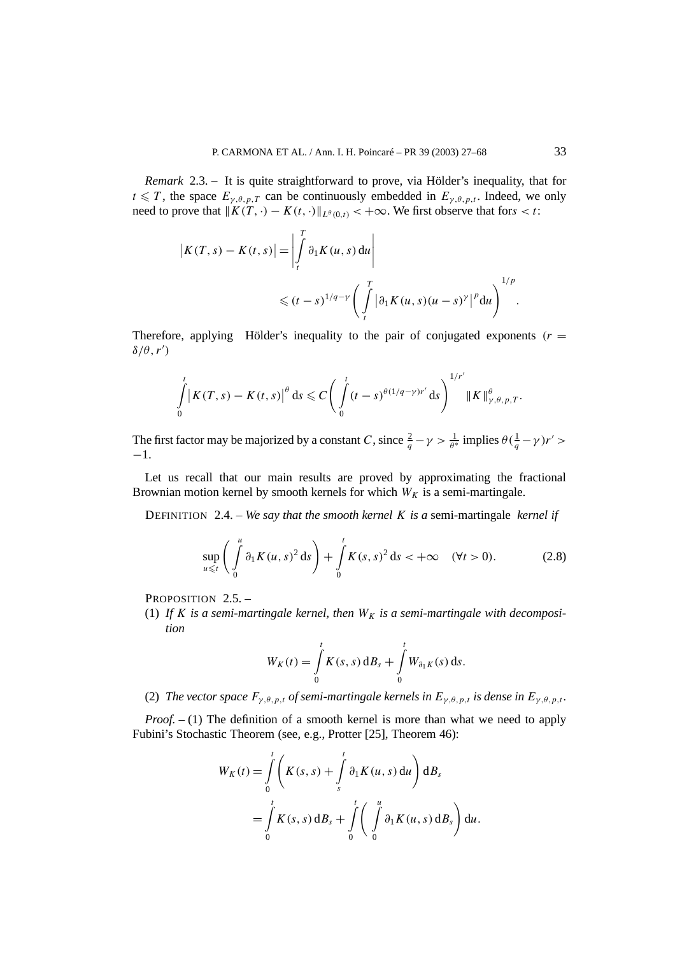*Remark* 2.3. – It is quite straightforward to prove, via Hölder's inequality, that for *t*  $\leq T$ , the space  $E_{\gamma,\theta,p,T}$  can be continuously embedded in  $E_{\gamma,\theta,p,t}$ . Indeed, we only need to prove that  $||K(T, \cdot) - K(t, \cdot)||_{L^{\theta}(0,t)} < +\infty$ . We first observe that for  $s < t$ :

$$
\begin{aligned} \left| K(T,s) - K(t,s) \right| &= \left| \int\limits_t^T \partial_1 K(u,s) \, \mathrm{d}u \right| \\ &\leqslant (t-s)^{1/q-\gamma} \left( \int\limits_t^T \left| \partial_1 K(u,s) (u-s)^{\gamma} \right|^p \mathrm{d}u \right)^{1/p}. \end{aligned}
$$

Therefore, applying Hölder's inequality to the pair of conjugated exponents  $(r =$  $\delta/\theta, r'$ 

$$
\int\limits_{0}^{t}\big|K(T,s)-K(t,s)\big|^{\theta}\,\mathrm{d} s\leqslant C\Bigg(\int\limits_{0}^{t}(t-s)^{\theta(1/q-\gamma)r'}\,\mathrm{d} s\Bigg)^{1/r'}\,\|K\|_{\gamma,\theta,p,T}^{\theta}.
$$

The first factor may be majorized by a constant *C*, since  $\frac{2}{q} - \gamma > \frac{1}{\theta^*}$  implies  $\theta(\frac{1}{q} - \gamma)r' >$ −1.

Let us recall that our main results are proved by approximating the fractional Brownian motion kernel by smooth kernels for which  $W_K$  is a semi-martingale.

DEFINITION 2.4. – *We say that the smooth kernel K is a* semi-martingale *kernel if*

$$
\sup_{u \leqslant t} \left( \int_{0}^{u} \partial_{1} K(u, s)^{2} \, \mathrm{d}s \right) + \int_{0}^{t} K(s, s)^{2} \, \mathrm{d}s < +\infty \quad (\forall t > 0). \tag{2.8}
$$

PROPOSITION 2.5. -

(1) If *K* is a semi-martingale kernel, then  $W_K$  is a semi-martingale with decomposi*tion*

$$
W_K(t) = \int\limits_0^t K(s, s) \, \mathrm{d}B_s + \int\limits_0^t W_{\partial_1 K}(s) \, \mathrm{d}s.
$$

(2) *The vector space*  $F_{\gamma,\theta,p,t}$  *of semi-martingale kernels in*  $E_{\gamma,\theta,p,t}$  *is dense in*  $E_{\gamma,\theta,p,t}$ *.* 

*Proof.* – (1) The definition of a smooth kernel is more than what we need to apply Fubini's Stochastic Theorem (see, e.g., Protter [25], Theorem 46):

$$
W_K(t) = \int\limits_0^t \left( K(s, s) + \int\limits_s^t \partial_1 K(u, s) du \right) dB_s
$$
  
= 
$$
\int\limits_0^t K(s, s) dB_s + \int\limits_0^t \left( \int\limits_0^u \partial_1 K(u, s) dB_s \right) du.
$$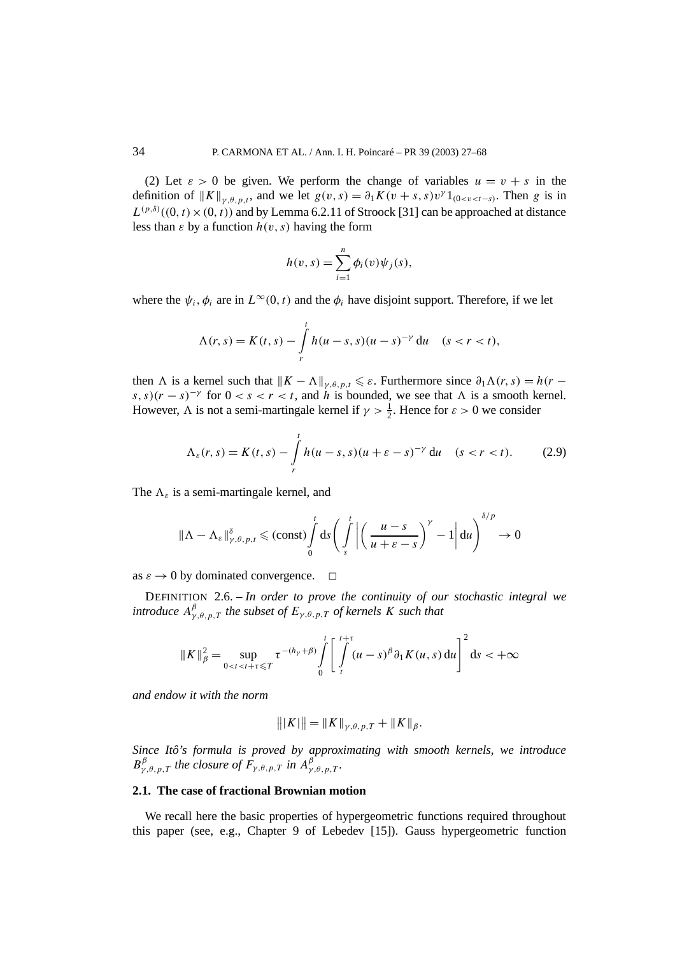(2) Let  $\varepsilon > 0$  be given. We perform the change of variables  $u = v + s$  in the definition of  $||K||_{\gamma,\theta,p,t}$ , and we let  $g(v,s) = \partial_1 K(v+s,s)v^{\gamma}1_{(0 \le v \le t-s)}$ . Then *g* is in  $L^{(p,\delta)}((0, t) \times (0, t))$  and by Lemma 6.2.11 of Stroock [31] can be approached at distance less than  $\varepsilon$  by a function  $h(v, s)$  having the form

$$
h(v, s) = \sum_{i=1}^{n} \phi_i(v) \psi_j(s),
$$

where the  $\psi_i$ ,  $\phi_i$  are in  $L^\infty(0, t)$  and the  $\phi_i$  have disjoint support. Therefore, if we let

$$
\Lambda(r,s) = K(t,s) - \int_{r}^{t} h(u-s,s)(u-s)^{-\gamma} du \quad (s < r < t),
$$

then  $\Lambda$  is a kernel such that  $||K - \Lambda||_{\gamma, \theta, p, t} \leq \varepsilon$ . Furthermore since  $\partial_1 \Lambda(r, s) = h(r - \theta)$  $s, s$ ) $(r - s)^{-\gamma}$  for  $0 < s < r < t$ , and *h* is bounded, we see that  $\Lambda$  is a smooth kernel. However,  $\Lambda$  is not a semi-martingale kernel if  $\gamma > \frac{1}{2}$ . Hence for  $\varepsilon > 0$  we consider

$$
\Lambda_{\varepsilon}(r,s) = K(t,s) - \int_{r}^{t} h(u-s,s)(u+\varepsilon-s)^{-\gamma} du \quad (s < r < t). \tag{2.9}
$$

The  $\Lambda_{\varepsilon}$  is a semi-martingale kernel, and

$$
\|\Lambda-\Lambda_{\varepsilon}\|_{\gamma,\theta,p,t}^{\delta}\leqslant\left(\mathrm{const}\right)\int\limits_{0}^{t}\mathrm{d}s\left(\int\limits_{s}^{t}\left|\left(\frac{u-s}{u+\varepsilon-s}\right)^{\gamma}-1\right|\mathrm{d}u\right)^{\delta/p}\to 0
$$

as  $\varepsilon \to 0$  by dominated convergence.  $\Box$ 

DEFINITION 2.6. – *In order to prove the continuity of our stochastic integral we introduce*  $A_{\gamma,\theta,p,T}^{\beta}$  *the subset of*  $E_{\gamma,\theta,p,T}$  *of kernels K such that* 

$$
||K||_{\beta}^{2} = \sup_{0 < t < t + \tau \leq T} \tau^{-(h_{\gamma} + \beta)} \int_{0}^{t} \left[ \int_{t}^{t + \tau} (u - s)^{\beta} \partial_{1} K(u, s) \, \mathrm{d}u \right]^{2} \, \mathrm{d}s < +\infty
$$

*and endow it with the norm*

$$
|||K|| = ||K||_{\gamma,\theta,p,T} + ||K||_{\beta}.
$$

*Since Itô's formula is proved by approximating with smooth kernels, we introduce*  $B_{\gamma,\theta,p,T}^{\beta}$  *the closure of*  $F_{\gamma,\theta,p,T}$  *in*  $A_{\gamma,\theta,p,T}^{\beta}$ .

#### **2.1. The case of fractional Brownian motion**

We recall here the basic properties of hypergeometric functions required throughout this paper (see, e.g., Chapter 9 of Lebedev [15]). Gauss hypergeometric function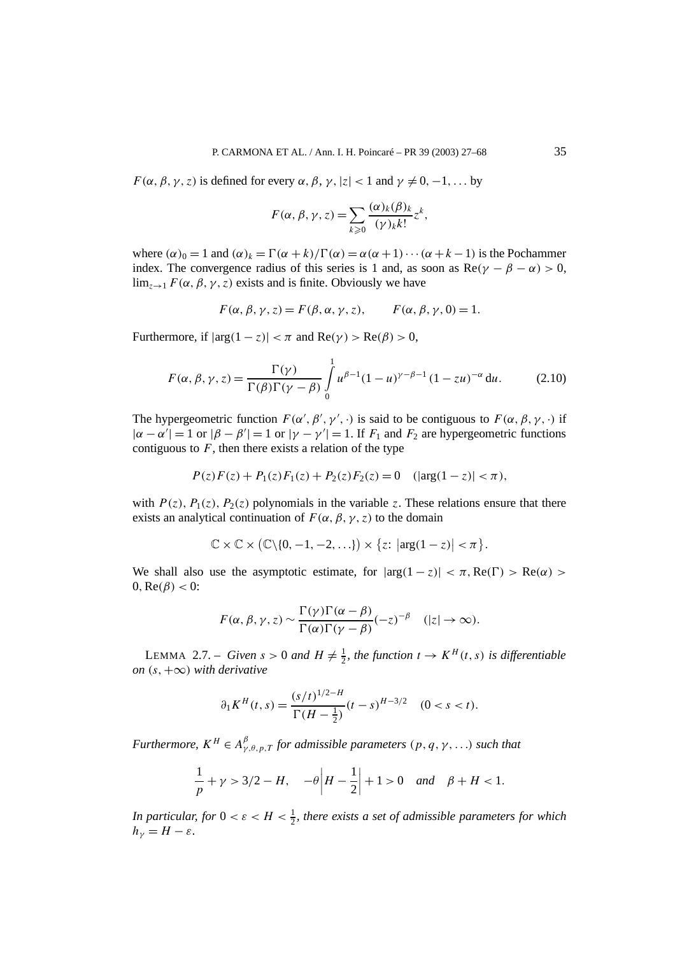*F*( $\alpha$ ,  $\beta$ ,  $\gamma$ ,  $z$ ) is defined for every  $\alpha$ ,  $\beta$ ,  $\gamma$ ,  $|z|$  < 1 and  $\gamma \neq 0, -1, \ldots$  by

$$
F(\alpha, \beta, \gamma, z) = \sum_{k \geq 0} \frac{(\alpha)_k (\beta)_k}{(\gamma)_k k!} z^k,
$$

where  $(\alpha)_0 = 1$  and  $(\alpha)_k = \Gamma(\alpha + k)/\Gamma(\alpha) = \alpha(\alpha + 1) \cdots (\alpha + k - 1)$  is the Pochammer index. The convergence radius of this series is 1 and, as soon as  $\text{Re}(\gamma - \beta - \alpha) > 0$ ,  $\lim_{z\to 1} F(\alpha, \beta, \gamma, z)$  exists and is finite. Obviously we have

$$
F(\alpha, \beta, \gamma, z) = F(\beta, \alpha, \gamma, z), \qquad F(\alpha, \beta, \gamma, 0) = 1.
$$

Furthermore, if  $|\arg(1 - z)| < \pi$  and  $\text{Re}(\gamma) > \text{Re}(\beta) > 0$ ,

$$
F(\alpha, \beta, \gamma, z) = \frac{\Gamma(\gamma)}{\Gamma(\beta)\Gamma(\gamma - \beta)} \int_{0}^{1} u^{\beta - 1} (1 - u)^{\gamma - \beta - 1} (1 - zu)^{-\alpha} du.
$$
 (2.10)

The hypergeometric function  $F(\alpha', \beta', \gamma', \cdot)$  is said to be contiguous to  $F(\alpha, \beta, \gamma, \cdot)$  if  $|\alpha - \alpha'| = 1$  or  $|\beta - \beta'| = 1$  or  $|\gamma - \gamma'| = 1$ . If  $F_1$  and  $F_2$  are hypergeometric functions contiguous to  $F$ , then there exists a relation of the type

$$
P(z)F(z) + P_1(z)F_1(z) + P_2(z)F_2(z) = 0 \quad (|\arg(1-z)| < \pi),
$$

with  $P(z)$ ,  $P_1(z)$ ,  $P_2(z)$  polynomials in the variable *z*. These relations ensure that there exists an analytical continuation of  $F(\alpha, \beta, \gamma, z)$  to the domain

$$
\mathbb{C} \times \mathbb{C} \times (\mathbb{C} \setminus \{0, -1, -2, \ldots\}) \times \{z: \left|\arg(1-z)\right| < \pi\}.
$$

We shall also use the asymptotic estimate, for  $|\arg(1-z)| < \pi$ ,  $\text{Re}(\Gamma) > \text{Re}(\alpha) >$ 0*,*Re*(β) <* 0:

$$
F(\alpha, \beta, \gamma, z) \sim \frac{\Gamma(\gamma)\Gamma(\alpha - \beta)}{\Gamma(\alpha)\Gamma(\gamma - \beta)} (-z)^{-\beta} \quad (|z| \to \infty).
$$

LEMMA 2.7. – *Given*  $s > 0$  *and*  $H \neq \frac{1}{2}$ *, the function*  $t \to K^H(t, s)$  *is differentiable on (s,*+∞*) with derivative*

$$
\partial_1 K^H(t,s) = \frac{(s/t)^{1/2-H}}{\Gamma(H-\frac{1}{2})}(t-s)^{H-3/2} \quad (0 < s < t).
$$

*Furthermore,*  $K^H \in A_{\gamma,\theta,p,T}^{\beta}$  for admissible parameters  $(p,q,\gamma,...)$  such that

$$
\frac{1}{p} + \gamma > 3/2 - H, \quad -\theta \left| H - \frac{1}{2} \right| + 1 > 0 \quad \text{and} \quad \beta + H < 1.
$$

*In particular, for*  $0 < \varepsilon < H < \frac{1}{2}$ , there exists a set of admissible parameters for which  $h_{\nu} = H - \varepsilon$ .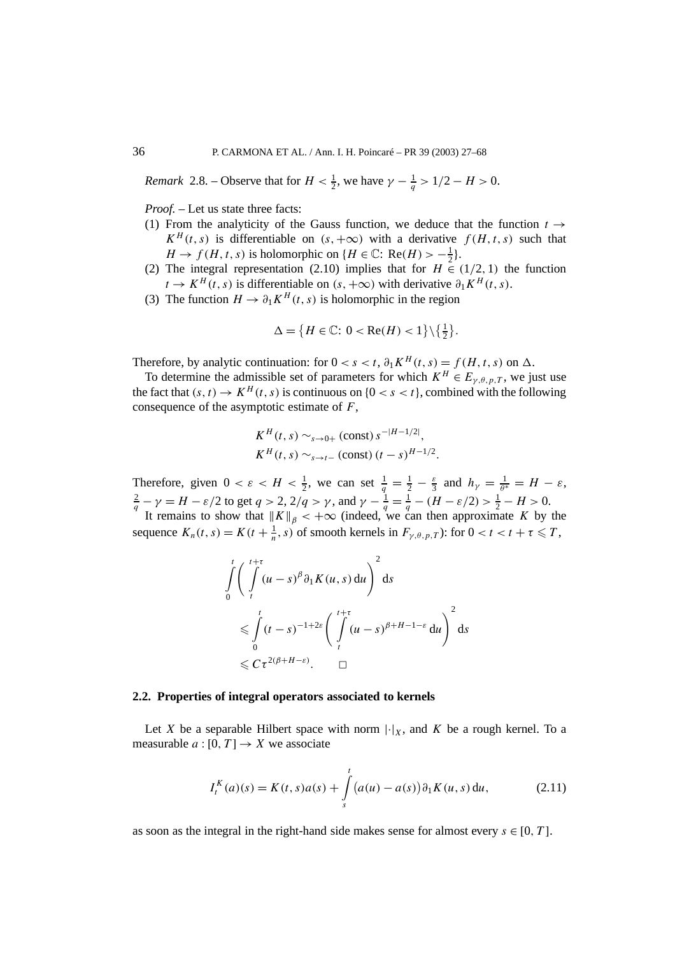*Remark* 2.8. – Observe that for  $H < \frac{1}{2}$ , we have  $\gamma - \frac{1}{q} > 1/2 - H > 0$ .

*Proof. –* Let us state three facts:

- (1) From the analyticity of the Gauss function, we deduce that the function  $t \rightarrow$  $K^H(t, s)$  is differentiable on  $(s, +\infty)$  with a derivative  $f(H, t, s)$  such that  $H \to f(H, t, s)$  is holomorphic on  $\{H \in \mathbb{C} : \text{Re}(H) > -\frac{1}{2}\}.$
- (2) The integral representation (2.10) implies that for  $H \in (1/2, 1)$  the function  $t \rightarrow K^H(t, s)$  is differentiable on  $(s, +\infty)$  with derivative  $\partial_1 K^H(t, s)$ .
- (3) The function  $H \to \partial_1 K^H(t, s)$  is holomorphic in the region

$$
\Delta = \left\{ H \in \mathbb{C} : 0 < \text{Re}(H) < 1 \right\} \setminus \left\{ \frac{1}{2} \right\}.
$$

Therefore, by analytic continuation: for  $0 < s < t$ ,  $\partial_1 K^H(t, s) = f(H, t, s)$  on  $\Delta$ .

To determine the admissible set of parameters for which  $K^H \in E_{\gamma,\theta,\eta,T}$ , we just use the fact that  $(s, t) \to K^H(t, s)$  is continuous on  $\{0 < s < t\}$ , combined with the following consequence of the asymptotic estimate of *F*,

$$
K^H(t, s) \sim_{s \to 0+}
$$
 (const)  $s^{-|H-1/2|}$ ,  
\n $K^H(t, s) \sim_{s \to t-}$  (const)  $(t-s)^{H-1/2}$ .

Therefore, given  $0 < \varepsilon < H < \frac{1}{2}$ , we can set  $\frac{1}{q} = \frac{1}{2} - \frac{\varepsilon}{3}$  and  $h_{\gamma} = \frac{1}{\theta^*} = H - \varepsilon$ ,  $\frac{2}{q} - \gamma = H - \varepsilon/2$  to get  $q > 2$ ,  $2/q > \gamma$ , and  $\gamma - \frac{1}{q} = \frac{1}{q} - (H - \varepsilon/2) > \frac{1}{2} - H > 0$ .

It remains to show that  $||K||_{\beta} < +\infty$  (indeed, we can then approximate K by the sequence  $K_n(t, s) = K(t + \frac{1}{n}, s)$  of smooth kernels in  $F_{\gamma, \theta, p, T}$ ): for  $0 < t < t + \tau \leq T$ ,

$$
\int_{0}^{t} \left( \int_{t}^{t+\tau} (u-s)^{\beta} \partial_{1} K(u,s) du \right)^{2} ds
$$
\n
$$
\leq \int_{0}^{t} (t-s)^{-1+2\varepsilon} \left( \int_{t}^{t+\tau} (u-s)^{\beta+H-1-\varepsilon} du \right)^{2} ds
$$
\n
$$
\leq C \tau^{2(\beta+H-\varepsilon)}. \qquad \Box
$$

#### **2.2. Properties of integral operators associated to kernels**

Let *X* be a separable Hilbert space with norm  $|\cdot|_X$ , and *K* be a rough kernel. To a measurable  $a: [0, T] \rightarrow X$  we associate

$$
I_t^K(a)(s) = K(t, s)a(s) + \int_s^t (a(u) - a(s)) \partial_1 K(u, s) du,
$$
 (2.11)

as soon as the integral in the right-hand side makes sense for almost every  $s \in [0, T]$ .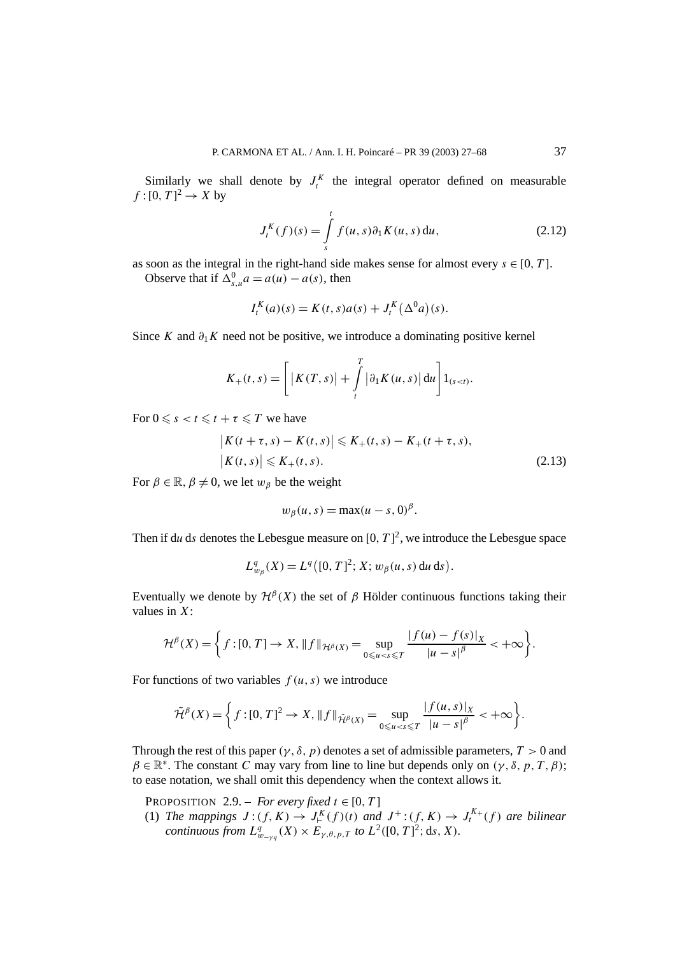Similarly we shall denote by  $J_t^K$  the integral operator defined on measurable  $f:[0,T]^2\to X$  by

$$
J_t^K(f)(s) = \int_s^t f(u, s) \partial_1 K(u, s) \, du,\tag{2.12}
$$

as soon as the integral in the right-hand side makes sense for almost every  $s \in [0, T]$ .

Observe that if  $\Delta_{s,u}^0 a = a(u) - a(s)$ , then

$$
I_t^K(a)(s) = K(t, s)a(s) + J_t^K(\Delta^0 a)(s).
$$

Since *K* and  $\partial_1 K$  need not be positive, we introduce a dominating positive kernel

$$
K_+(t,s) = \left[ \left| K(T,s) \right| + \int\limits_t^T \left| \partial_1 K(u,s) \right| \mathrm{d}u \right] \mathbb{1}_{(s
$$

For  $0 \le s < t \le t + \tau \le T$  we have

$$
\begin{aligned} \left| K(t + \tau, s) - K(t, s) \right| &\le K_+(t, s) - K_+(t + \tau, s), \\ \left| K(t, s) \right| &\le K_+(t, s). \end{aligned} \tag{2.13}
$$

For  $\beta \in \mathbb{R}, \beta \neq 0$ , we let  $w_{\beta}$  be the weight

$$
w_{\beta}(u,s) = \max(u-s,0)^{\beta}.
$$

Then if du ds denotes the Lebesgue measure on  $[0, T]^2$ , we introduce the Lebesgue space

$$
L_{w_{\beta}}^{q}(X) = L^{q}([0, T]^{2}; X; w_{\beta}(u, s) du ds).
$$

Eventually we denote by  $\mathcal{H}^{\beta}(X)$  the set of *β* Hölder continuous functions taking their values in *X*:

$$
\mathcal{H}^{\beta}(X) = \bigg\{ f : [0, T] \to X, \|f\|_{\mathcal{H}^{\beta}(X)} = \sup_{0 \le u < s \le T} \frac{|f(u) - f(s)|_X}{|u - s|^{\beta}} < +\infty \bigg\}.
$$

For functions of two variables  $f(u, s)$  we introduce

$$
\tilde{\mathcal{H}}^{\beta}(X) = \bigg\{ f: [0, T]^2 \to X, \|f\|_{\tilde{\mathcal{H}}^{\beta}(X)} = \sup_{0 \le u < s \le T} \frac{|f(u, s)|_X}{|u - s|^{\beta}} < +\infty \bigg\}.
$$

Through the rest of this paper  $(\gamma, \delta, p)$  denotes a set of admissible parameters,  $T > 0$  and  $\beta \in \mathbb{R}^*$ . The constant *C* may vary from line to line but depends only on  $(\gamma, \delta, p, T, \beta)$ ; to ease notation, we shall omit this dependency when the context allows it.

PROPOSITION 2.9. – *For every fixed*  $t \in [0, T]$ 

(1) *The mappings*  $J:(f, K) \to J^K_{\vdash}(f)(t)$  *and*  $J^+:(f, K) \to J^{K+}_{t}(f)$  *are bilinear continuous from*  $L^q_{w_{\text{--}\gamma q}}(X) \times E_{\gamma,\theta,p,T}$  *to*  $L^2([0,T]^2; ds, X)$ *.*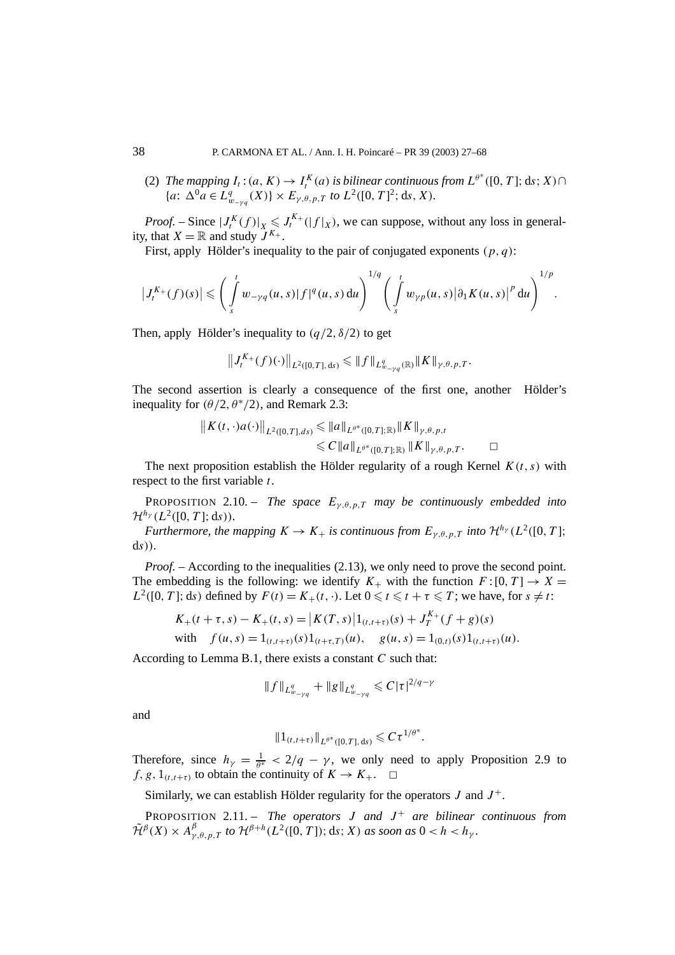(2) *The mapping*  $I_t$ :  $(a, K) \to I_t^K(a)$  *is bilinear continuous from*  $L^{\theta^*}([0, T]; ds; X) \cap$  ${a: \Delta^0 a \in L^q_{w_{\gamma q}}(X)} \times E_{\gamma, \theta, p, T}$  to  $L^2([0, T]^2; ds, X)$ *.* 

*Proof.* – Since  $|J_t^K(f)|_X \leq J_t^{K+}(|f|_X)$ , we can suppose, without any loss in generality, that  $X = \mathbb{R}$  and study  $J^{K^+}$ .

First, apply Hölder's inequality to the pair of conjugated exponents *(p, q)*:

$$
\left|J_t^{K_+}(f)(s)\right| \leqslant \left(\int\limits_s^t w_{-\gamma q}(u,s)|f|^q(u,s)\,du\right)^{1/q}\left(\int\limits_s^t w_{\gamma p}(u,s)\big|\partial_1K(u,s)\big|^p\,du\right)^{1/p}.
$$

Then, apply Hölder's inequality to  $(q/2, \delta/2)$  to get

$$
||J_t^{K_+}(f)(\cdot)||_{L^2([0,T],\,\mathrm{d} s)} \leq ||f||_{L^q_{w_{\nu,\gamma q}}(\mathbb{R})} ||K||_{\gamma,\theta,p,T}.
$$

The second assertion is clearly a consequence of the first one, another Hölder's inequality for  $(\theta/2, \theta^*/2)$ , and Remark 2.3:

$$
\|K(t,\cdot)a(\cdot)\|_{L^2([0,T],ds)} \leq \|a\|_{L^{\theta^*}([0,T];\mathbb{R})} \|K\|_{\gamma,\theta,p,t} \n\leq C \|a\|_{L^{\theta^*}([0,T];\mathbb{R})} \|K\|_{\gamma,\theta,p,T}.
$$

The next proposition establish the Hölder regularity of a rough Kernel  $K(t, s)$  with respect to the first variable *t*.

PROPOSITION 2.10. – *The space*  $E_{\gamma,\theta,p,T}$  *may be continuously embedded into*  $\mathcal{H}^{h_{\gamma}}(L^2([0,T]; \, \mathrm{d} s)).$ 

*Furthermore, the mapping*  $K \to K_+$  *is continuous from*  $E_{\gamma,\theta,p,T}$  *into*  $\mathcal{H}^{h_\gamma}(L^2([0,T];$ d*s)).*

*Proof.* – According to the inequalities (2.13), we only need to prove the second point. The embedding is the following: we identify  $K_{+}$  with the function  $F:[0, T] \rightarrow X =$  $L^2([0, T]; ds)$  defined by  $F(t) = K_+(t, \cdot)$ . Let  $0 \le t \le t + \tau \le T$ ; we have, for  $s \ne t$ :

$$
K_{+}(t+\tau,s) - K_{+}(t,s) = |K(T,s)| 1_{(t,t+\tau)}(s) + J_{T}^{K_{+}}(f+g)(s)
$$
  
with  $f(u,s) = 1_{(t,t+\tau)}(s) 1_{(t+\tau,T)}(u), \quad g(u,s) = 1_{(0,t)}(s) 1_{(t,t+\tau)}(u).$ 

According to Lemma B.1, there exists a constant *C* such that:

$$
||f||_{L^q_{w_{\gamma q}}} + ||g||_{L^q_{w_{\gamma q}}} \leq C |\tau|^{2/q - \gamma}
$$

and

$$
||1_{(t,t+\tau)}||_{L^{\theta^*}([0,T],\,\mathrm{d} s)} \leq C\tau^{1/\theta^*}.
$$

Therefore, since  $h_{\gamma} = \frac{1}{\theta^*} < 2/q - \gamma$ , we only need to apply Proposition 2.9 to *f, g,*  $1_{(t,t+\tau)}$  to obtain the continuity of  $K \to K_+$ .  $\Box$ 

Similarly, we can establish Hölder regularity for the operators  $J$  and  $J^+$ .

PROPOSITION 2.11. – *The operators J* and  $J^+$  are bilinear continuous from  $\tilde{\mathcal{H}}^{\beta}(X) \times A_{\gamma,\theta,p,T}^{\beta}$  *to*  $\mathcal{H}^{\beta+h}(L^2([0,T]); \, ds; X)$  *as soon as*  $0 < h < h_{\gamma}$ *.*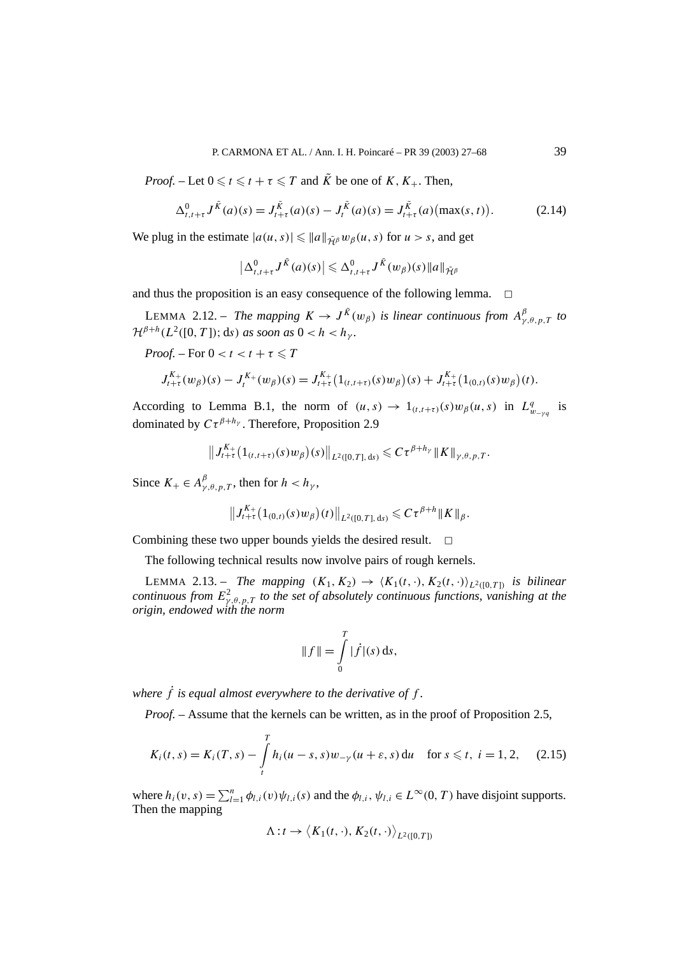*Proof.* – Let  $0 \le t \le t + \tau \le T$  and  $\tilde{K}$  be one of *K*,  $K_{+}$ . Then,

$$
\Delta_{t,t+\tau}^0 J^{\tilde{K}}(a)(s) = J_{t+\tau}^{\tilde{K}}(a)(s) - J_t^{\tilde{K}}(a)(s) = J_{t+\tau}^{\tilde{K}}(a) \big( \max(s,t) \big). \tag{2.14}
$$

We plug in the estimate  $|a(u, s)| \leq ||a||_{\tilde{\mathcal{H}}^{\beta}} w_{\beta}(u, s)$  for  $u > s$ , and get

$$
\left|\Delta_{t,t+\tau}^0 J^{\tilde{K}}(a)(s)\right| \leq \Delta_{t,t+\tau}^0 J^{\tilde{K}}(w_\beta)(s) \|a\|_{\tilde{\mathcal{H}}^\beta}
$$

and thus the proposition is an easy consequence of the following lemma.  $\Box$ 

LEMMA 2.12. – *The mapping*  $K \to J^{\tilde{K}}(w_{\beta})$  *is linear continuous from*  $A^{\beta}_{\gamma,\theta,p,T}$  *to*  $\mathcal{H}^{\beta+h}(L^2([0,T]); \, ds)$  *as soon as*  $0 < h < h_{\gamma}$ *.* 

*Proof.* – For  $0 < t < t + \tau \leq T$ 

$$
J_{t+\tau}^{K_+}(w_{\beta})(s) - J_{t}^{K_+}(w_{\beta})(s) = J_{t+\tau}^{K_+} (1_{(t,t+\tau)}(s)w_{\beta})(s) + J_{t+\tau}^{K_+} (1_{(0,t)}(s)w_{\beta})(t).
$$

According to Lemma B.1, the norm of  $(u, s) \rightarrow 1_{(t, t+\tau)}(s)w_{\beta}(u, s)$  in  $L^q_{w_{\gamma q}}$  is dominated by  $C\tau^{\beta+h_\gamma}$ . Therefore, Proposition 2.9

$$
\left\|J_{t+\tau}^{K_+}(1_{(t,t+\tau)}(s)w_{\beta})(s)\right\|_{L^2([0,T],\,\mathrm{d} s)} \leqslant C\tau^{\beta+h_{\gamma}}\left\|K\right\|_{\gamma,\theta,p,T}.
$$

Since  $K_+ \in A_{\gamma,\theta,p,T}^{\beta}$ , then for  $h < h_{\gamma}$ ,

$$
\left\|J_{t+\tau}^{K_+}(1_{(0,t)}(s)w_{\beta})(t)\right\|_{L^2([0,T],\,\mathrm{d}s)} \leqslant C\tau^{\beta+h} \|K\|_{\beta}.
$$

Combining these two upper bounds yields the desired result.  $\Box$ 

The following technical results now involve pairs of rough kernels.

LEMMA 2.13. – *The mapping*  $(K_1, K_2) \to \langle K_1(t, \cdot), K_2(t, \cdot) \rangle_{L^2([0, T])}$  *is bilinear continuous from*  $E^2_{\gamma,\theta,p,T}$  *to the set of absolutely continuous functions, vanishing at the origin, endowed with the norm*

$$
|| f || = \int_{0}^{T} |\dot{f}|(s) \, \mathrm{d}s,
$$

*where f*˙ *is equal almost everywhere to the derivative of f .*

*Proof.* – Assume that the kernels can be written, as in the proof of Proposition 2.5,

$$
K_i(t,s) = K_i(T,s) - \int_{t}^{T} h_i(u-s,s)w_{-\gamma}(u+\varepsilon,s) du \quad \text{for } s \leq t, \ i = 1, 2, \quad (2.15)
$$

where  $h_i(v, s) = \sum_{l=1}^n \phi_{l,i}(v) \psi_{l,i}(s)$  and the  $\phi_{l,i}, \psi_{l,i} \in L^\infty(0, T)$  have disjoint supports. Then the mapping

$$
\Lambda: t \to \langle K_1(t,\cdot), K_2(t,\cdot) \rangle_{L^2([0,T])}
$$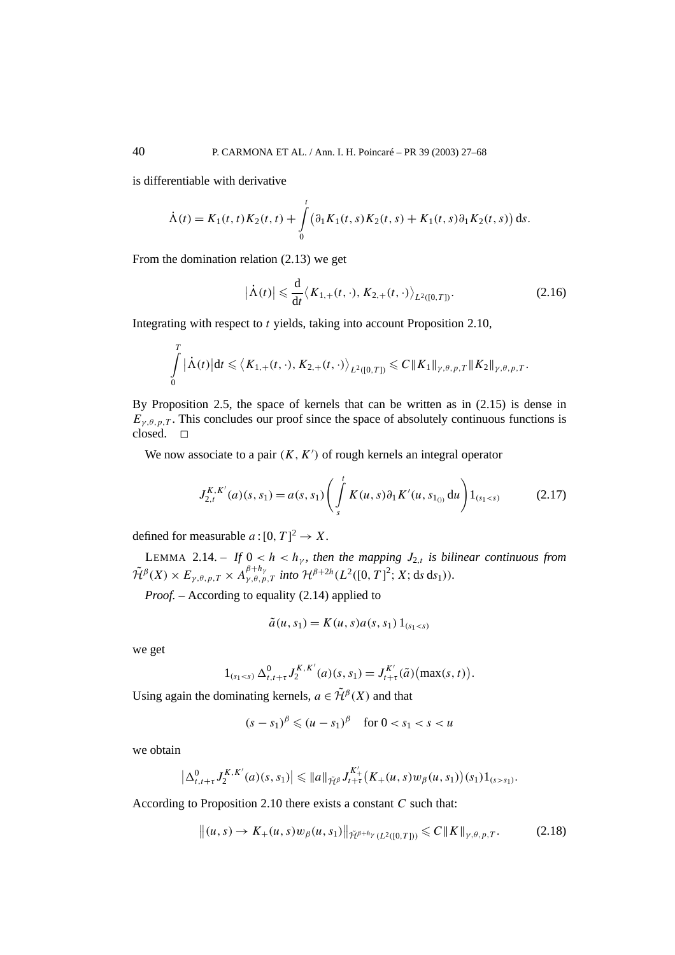is differentiable with derivative

$$
\dot{\Lambda}(t) = K_1(t, t)K_2(t, t) + \int_0^t \left( \partial_1 K_1(t, s)K_2(t, s) + K_1(t, s)\partial_1 K_2(t, s) \right) ds.
$$

From the domination relation (2.13) we get

$$
\left|\dot{\Lambda}(t)\right| \leqslant \frac{\mathrm{d}}{\mathrm{d}t} \langle K_{1,+}(t,\cdot), K_{2,+}(t,\cdot) \rangle_{L^2([0,T])}.
$$
\n(2.16)

Integrating with respect to *t* yields, taking into account Proposition 2.10,

$$
\int_{0}^{T} |\dot{\Lambda}(t)| dt \leq \langle K_{1,+}(t,\cdot), K_{2,+}(t,\cdot)\rangle_{L^{2}([0,T])} \leq C ||K_{1}||_{\gamma,\theta,p,T} ||K_{2}||_{\gamma,\theta,p,T}.
$$

By Proposition 2.5, the space of kernels that can be written as in (2.15) is dense in  $E_{\gamma,\theta,p,T}$ . This concludes our proof since the space of absolutely continuous functions is closed.  $\square$ 

We now associate to a pair  $(K, K')$  of rough kernels an integral operator

$$
J_{2,t}^{K,K'}(a)(s,s_1) = a(s,s_1) \left( \int_s^t K(u,s) \partial_1 K'(u,s_{1_{(j)}} \, du) \right) 1_{(s_1 < s)} \tag{2.17}
$$

defined for measurable  $a:[0, T]^2 \to X$ .

LEMMA 2.14. – *If*  $0 < h < h<sub>y</sub>$ , then the mapping  $J<sub>2,t</sub>$  is bilinear continuous from  $\tilde{\mathcal{H}}^{\beta}(X) \times E_{\gamma,\theta,p,T} \times A_{\gamma,\theta,p,T}^{\beta+h_{\gamma}}$  *into*  $\mathcal{H}^{\beta+2h}(L^2([0,T]^2;X;\text{d} s \text{d} s_1)).$ 

*Proof.* – According to equality (2.14) applied to

$$
\tilde{a}(u, s_1) = K(u, s)a(s, s_1) 1_{(s_1 < s)}
$$

we get

$$
1_{(s_1 < s)} \Delta^0_{t,t+\tau} J_2^{K,K'}(a)(s,s_1) = J_{t+\tau}^{K'}(\tilde{a}) (\max(s,t)).
$$

Using again the dominating kernels,  $a \in \tilde{\mathcal{H}}^{\beta}(X)$  and that

$$
(s - s_1)^{\beta} \le (u - s_1)^{\beta}
$$
 for  $0 < s_1 < s < u$ 

we obtain

$$
\left|\Delta_{t,t+\tau}^{0}J_{2}^{K,K'}(a)(s,s_{1})\right|\leqslant \|a\|_{\tilde{\mathcal{H}}^{\beta}}J_{t+\tau}^{K'_{+}}\big(K_{+}(u,s)w_{\beta}(u,s_{1})\big)(s_{1})1_{(s>s_{1})}.
$$

According to Proposition 2.10 there exists a constant *C* such that:

$$
||(u,s) \to K_{+}(u,s)w_{\beta}(u,s_{1})||_{\tilde{\mathcal{H}}^{\beta+h_{\gamma}}(L^{2}([0,T]))} \leq C ||K||_{\gamma,\theta,p,T}.
$$
 (2.18)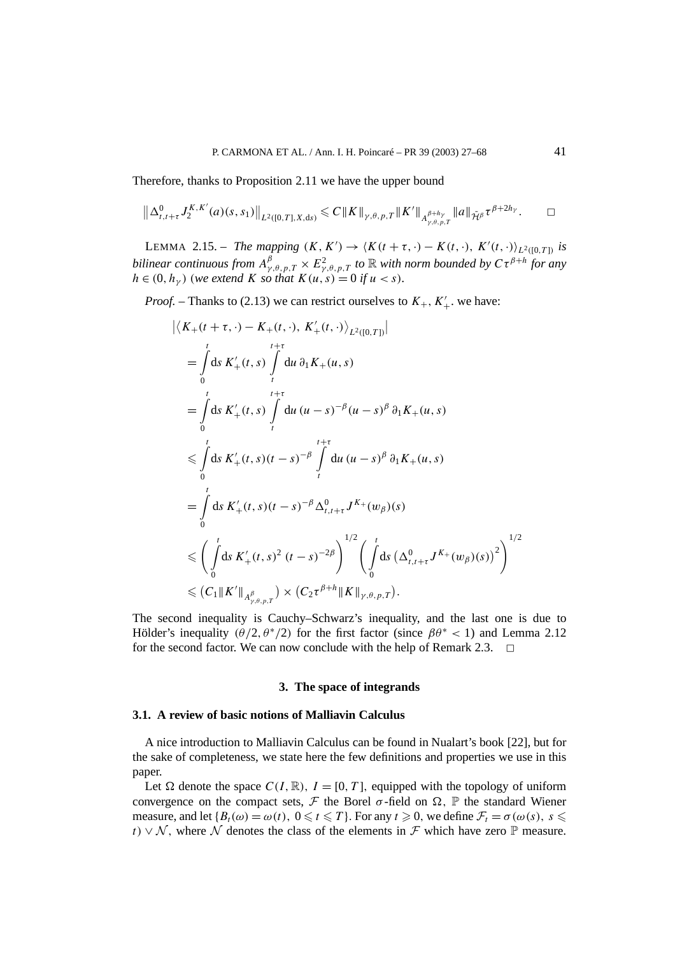Therefore, thanks to Proposition 2.11 we have the upper bound

$$
\left\|\Delta_{t,t+\tau}^{0}J_{2}^{K,K'}(a)(s,s_{1})\right\|_{L^{2}([0,T],X,\mathrm{d}s)} \leq C\|K\|_{\gamma,\theta,p,T}\|K'\|_{A_{\gamma,\theta,p,T}^{\beta+h_{\gamma}}}\|a\|_{\tilde{\mathcal{H}}^{\beta}}\tau^{\beta+2h_{\gamma}}.\quad\Box
$$

LEMMA 2.15. – *The mapping*  $(K, K') \to \langle K(t + \tau, \cdot) - K(t, \cdot), K'(t, \cdot) \rangle_{L^2([0, T])}$  *is bilinear continuous from*  $A^{\beta}_{\gamma,\theta,p,T}\times E^2_{\gamma,\theta,p,T}$  *to*  $\R$  *with norm bounded by*  $C\tau^{\beta+h}$  *for any h*  $\in$   $(0, h_{\gamma})$  (*we extend K so that*  $K(u, s) = 0$  *if*  $u < s$ )*.* 

*Proof.* – Thanks to (2.13) we can restrict ourselves to  $K_+$ ,  $K'_+$  we have:

$$
\begin{split}\n&\left| \langle K_{+}(t+\tau, \cdot) - K_{+}(t, \cdot), K'_{+}(t, \cdot) \rangle_{L^{2}([0, T])} \right| \\
&= \int_{0}^{t} ds \, K'_{+}(t, s) \int_{t}^{t+\tau} du \, \partial_{1} K_{+}(u, s) \\
&= \int_{0}^{t} ds \, K'_{+}(t, s) \int_{t}^{t+\tau} du \, (u-s)^{-\beta} (u-s)^{\beta} \, \partial_{1} K_{+}(u, s) \\
&\leq \int_{0}^{t} ds \, K'_{+}(t, s) (t-s)^{-\beta} \int_{t}^{t+\tau} du \, (u-s)^{\beta} \, \partial_{1} K_{+}(u, s) \\
&= \int_{0}^{t} ds \, K'_{+}(t, s) (t-s)^{-\beta} \Delta_{t, t+\tau}^{0} J^{K_{+}}(w_{\beta})(s) \\
&\leq \left( \int_{0}^{t} ds \, K'_{+}(t, s)^{2} (t-s)^{-2\beta} \right)^{1/2} \left( \int_{0}^{t} ds \, (\Delta_{t, t+\tau}^{0} J^{K_{+}}(w_{\beta})(s))^{2} \right)^{1/2} \\
&\leq (C_{1} \| K' \|_{A_{\gamma, \theta, p, T}^{\beta}}) \times (C_{2} \tau^{\beta + h} \| K \|_{\gamma, \theta, p, T}).\n\end{split}
$$

The second inequality is Cauchy–Schwarz's inequality, and the last one is due to Hölder's inequality  $(\theta/2, \theta^*/2)$  for the first factor (since  $\beta\theta^* < 1$ ) and Lemma 2.12 for the second factor. We can now conclude with the help of Remark 2.3.  $\Box$ 

#### **3. The space of integrands**

#### **3.1. A review of basic notions of Malliavin Calculus**

A nice introduction to Malliavin Calculus can be found in Nualart's book [22], but for the sake of completeness, we state here the few definitions and properties we use in this paper.

Let  $\Omega$  denote the space  $C(I, \mathbb{R})$ ,  $I = [0, T]$ , equipped with the topology of uniform convergence on the compact sets, F the Borel  $\sigma$ -field on  $\Omega$ , P the standard Wiener measure, and let  ${B_t(\omega) = \omega(t), 0 \le t \le T}$ . For any  $t \ge 0$ , we define  $\mathcal{F}_t = \sigma(\omega(s), s \le T)$ . *t*)  $\vee$  *N*, where *N* denotes the class of the elements in *F* which have zero P measure.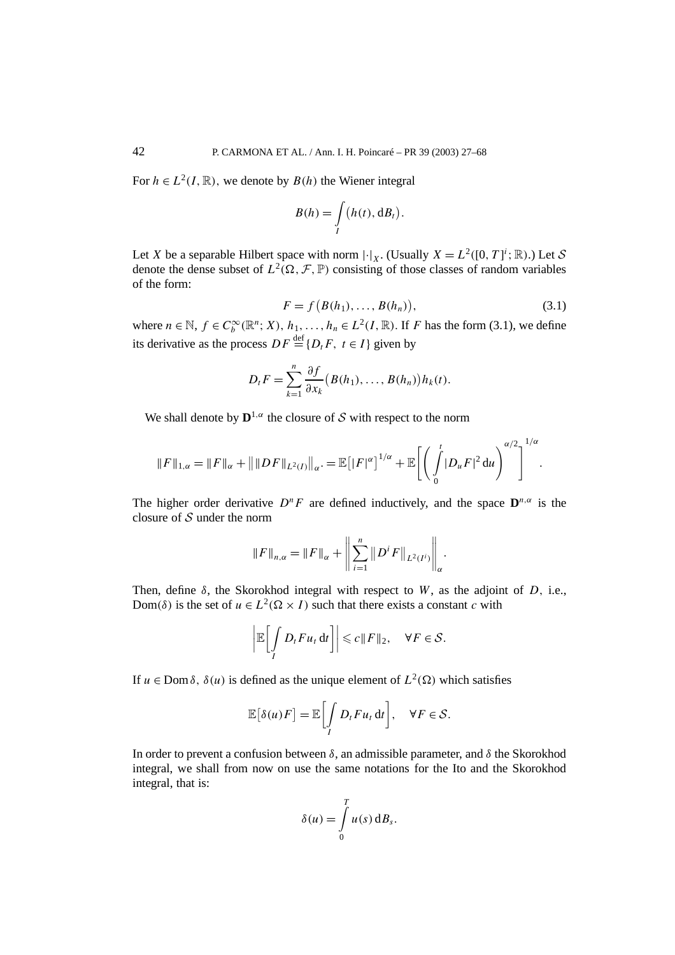For  $h \in L^2(I, \mathbb{R})$ , we denote by  $B(h)$  the Wiener integral

$$
B(h) = \int\limits_I \big(h(t), dB_t\big).
$$

Let *X* be a separable Hilbert space with norm  $|\cdot|_X$ . (Usually  $X = L^2([0, T]^i; \mathbb{R})$ .) Let S denote the dense subset of  $L^2(\Omega, \mathcal{F}, \mathbb{P})$  consisting of those classes of random variables of the form:

$$
F = f\big(B(h_1), \dots, B(h_n)\big),\tag{3.1}
$$

where  $n \in \mathbb{N}$ ,  $f \in C_b^{\infty}(\mathbb{R}^n; X)$ ,  $h_1, \ldots, h_n \in L^2(I, \mathbb{R})$ . If *F* has the form (3.1), we define its derivative as the process  $DF \stackrel{\text{def}}{=} \{D_t F, t \in I\}$  given by

$$
D_t F = \sum_{k=1}^n \frac{\partial f}{\partial x_k} (B(h_1), \ldots, B(h_n)) h_k(t).
$$

We shall denote by  $\mathbf{D}^{1,\alpha}$  the closure of S with respect to the norm

$$
\|F\|_{1,\alpha}=\|F\|_{\alpha}+\big\|\|DF\|_{L^2(I)}\big\|_{\alpha}=\mathbb{E}\big[|F|^{\alpha}\big]^{1/\alpha}+\mathbb{E}\bigg[\bigg(\int\limits_0^t|D_uF|^2\,du\bigg)^{\alpha/2}\bigg]^{1/\alpha}.
$$

The higher order derivative  $D^n F$  are defined inductively, and the space  $D^{n,\alpha}$  is the closure of  $S$  under the norm

$$
||F||_{n,\alpha} = ||F||_{\alpha} + \left\| \sum_{i=1}^{n} ||D^{i} F||_{L^{2}(I^{i})} \right\|_{\alpha}.
$$

Then, define *δ*, the Skorokhod integral with respect to *W*, as the adjoint of *D,* i.e., Dom(δ) is the set of *u* ∈  $L^2$ (Ω × *I*) such that there exists a constant *c* with

$$
\left|\mathbb{E}\left[\int\limits_{I} D_{t} F u_{t} \, \mathrm{d} t\right]\right| \leqslant c \|F\|_{2}, \quad \forall F \in \mathcal{S}.
$$

If  $u \in \text{Dom } \delta$ ,  $\delta(u)$  is defined as the unique element of  $L^2(\Omega)$  which satisfies

$$
\mathbb{E}\big[\delta(u)F\big]=\mathbb{E}\bigg[\int\limits_{I}D_{t}Fu_{t}\,\mathrm{d}t\bigg],\quad\forall F\in\mathcal{S}.
$$

In order to prevent a confusion between *δ*, an admissible parameter, and *δ* the Skorokhod integral, we shall from now on use the same notations for the Ito and the Skorokhod integral, that is:

$$
\delta(u) = \int\limits_0^T u(s) \, \mathrm{d}B_s.
$$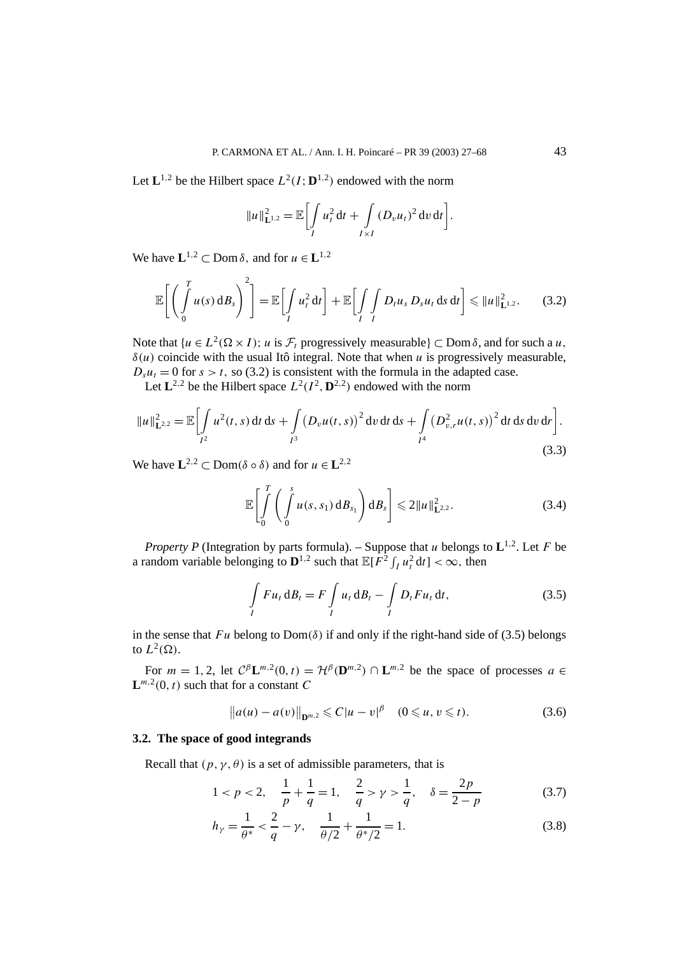Let  $\mathbf{L}^{1,2}$  be the Hilbert space  $L^2(I; \mathbf{D}^{1,2})$  endowed with the norm

$$
||u||_{\mathbf{L}^{1,2}}^2 = \mathbb{E}\bigg[\int\limits_{I} u_t^2 dt + \int\limits_{I \times I} (D_v u_t)^2 dv dt\bigg].
$$

We have  $\mathbf{L}^{1,2} \subset \text{Dom } \delta$ , and for  $u \in \mathbf{L}^{1,2}$ 

$$
\mathbb{E}\bigg[\bigg(\int_0^T u(s)\,\mathrm{d}B_s\bigg)^2\bigg] = \mathbb{E}\bigg[\int_I u_t^2\,\mathrm{d}t\bigg] + \mathbb{E}\bigg[\int_I \int D_t u_s\,D_s u_t\,\mathrm{d}s\,\mathrm{d}t\bigg] \leqslant \|u\|_{\mathbf{L}^{1,2}}^2. \tag{3.2}
$$

Note that  ${u \in L^2(\Omega \times I)}$ ; *u* is  $\mathcal{F}_t$  progressively measurable} ⊂ Dom  $\delta$ , and for such a *u*,  $\delta(u)$  coincide with the usual Itô integral. Note that when *u* is progressively measurable,  $D_s u_t = 0$  for  $s > t$ , so (3.2) is consistent with the formula in the adapted case.

Let  $L^{2,2}$  be the Hilbert space  $L^2(I^2, \mathbf{D}^{2,2})$  endowed with the norm

$$
||u||_{\mathbf{L}^{2,2}}^2 = \mathbb{E}\bigg[\int_{I^2} u^2(t,s) \, \mathrm{d}t \, \mathrm{d}s + \int_{I^3} \big(D_v u(t,s)\big)^2 \, \mathrm{d}v \, \mathrm{d}t \, \mathrm{d}s + \int_{I^4} \big(D_{v,r}^2 u(t,s)\big)^2 \, \mathrm{d}t \, \mathrm{d}s \, \mathrm{d}v \, \mathrm{d}r\bigg].\tag{3.3}
$$

We have  $\mathbf{L}^{2,2} \subset \text{Dom}(\delta \circ \delta)$  and for  $u \in \mathbf{L}^{2,2}$ 

$$
\mathbb{E}\left[\int_{0}^{T}\left(\int_{0}^{s}u(s,s_{1})\,\mathrm{d}B_{s_{1}}\right)\mathrm{d}B_{s}\right]\leq 2\|u\|_{\mathbf{L}^{2,2}}^{2}.
$$
 (3.4)

*Property P* (Integration by parts formula). – Suppose that *u* belongs to  $L^{1,2}$ . Let *F* be a random variable belonging to  $\mathbf{D}^{1,2}$  such that  $\mathbb{E}[F^2 \int_I u_t^2 dt] < \infty$ , then

$$
\int_{I} Fu_t \, \mathrm{d}B_t = F \int_{I} u_t \, \mathrm{d}B_t - \int_{I} D_t Fu_t \, \mathrm{d}t,\tag{3.5}
$$

in the sense that  $Fu$  belong to  $Dom(\delta)$  if and only if the right-hand side of (3.5) belongs to  $L^2(\Omega)$ .

For  $m = 1, 2$ , let  $C^{\beta} \mathbf{L}^{m,2}(0, t) = \mathcal{H}^{\beta}(\mathbf{D}^{m,2}) \cap \mathbf{L}^{m,2}$  be the space of processes  $a \in \mathbb{C}$  $L^{m,2}(0, t)$  such that for a constant *C* 

$$
||a(u) - a(v)||_{\mathbf{D}^{m,2}} \leq C|u - v|^{\beta} \quad (0 \leq u, v \leq t).
$$
 (3.6)

## **3.2. The space of good integrands**

Recall that  $(p, \gamma, \theta)$  is a set of admissible parameters, that is

$$
1 < p < 2, \quad \frac{1}{p} + \frac{1}{q} = 1, \quad \frac{2}{q} > \gamma > \frac{1}{q}, \quad \delta = \frac{2p}{2-p} \tag{3.7}
$$

$$
h_{\gamma} = \frac{1}{\theta^*} < \frac{2}{q} - \gamma, \quad \frac{1}{\theta/2} + \frac{1}{\theta^*/2} = 1. \tag{3.8}
$$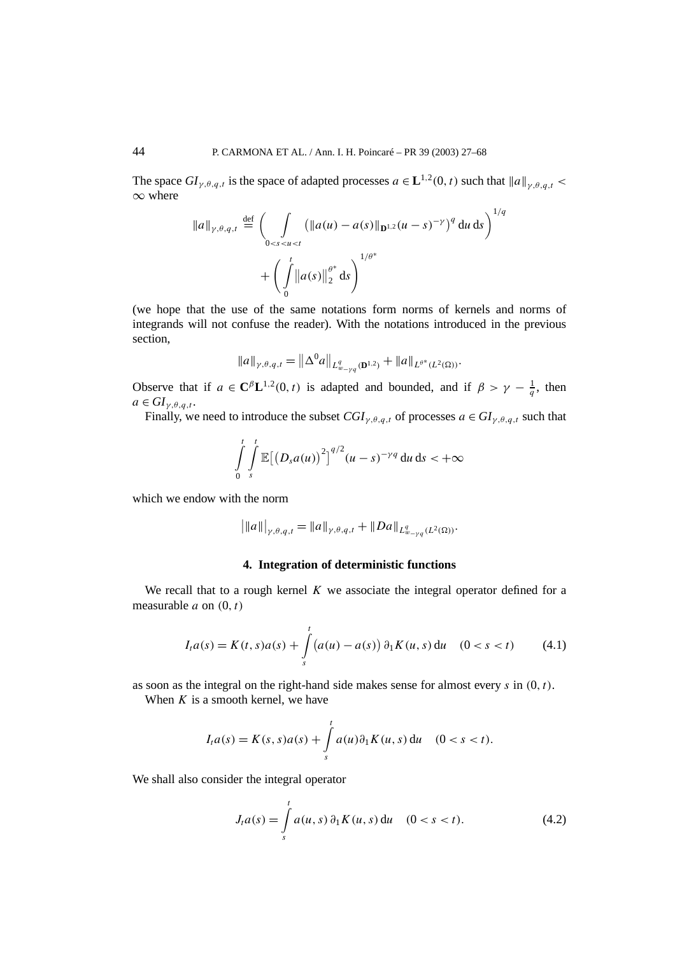The space  $GI_{\gamma,\theta,q,t}$  is the space of adapted processes  $a \in L^{1,2}(0,t)$  such that  $||a||_{\gamma,\theta,q,t}$ ∞ where

$$
\|a\|_{\gamma,\theta,q,t} \stackrel{\text{def}}{=} \left( \int_{0 < s < u < t} (\|a(u) - a(s)\|_{\mathbf{D}^{1,2}} (u - s)^{-\gamma})^q du ds \right)^{1/q} + \left( \int_0^t \|a(s)\|_2^{\theta^*} ds \right)^{1/\theta^*}
$$

(we hope that the use of the same notations form norms of kernels and norms of integrands will not confuse the reader). With the notations introduced in the previous section,

$$
\|a\|_{\gamma,\theta,q,t} = \|\Delta^0 a\|_{L^q_{w-\gamma q}(\mathbf{D}^{1,2})} + \|a\|_{L^{\theta^*}(L^2(\Omega))}.
$$

Observe that if  $a \in \mathbb{C}^{\beta} \mathbb{L}^{1,2}(0,t)$  is adapted and bounded, and if  $\beta > \gamma - \frac{1}{q}$ , then  $a \in GI_{\gamma,\theta,q,t}.$ 

Finally, we need to introduce the subset  $CGI_{\gamma,\theta,q,t}$  of processes  $a \in GI_{\gamma,\theta,q,t}$  such that

$$
\int_{0}^{t} \int_{s}^{t} \mathbb{E}[(D_{s}a(u))^{2}]^{q/2}(u-s)^{-\gamma q} du ds < +\infty
$$

which we endow with the norm

$$
\|a\|_{\gamma,\theta,q,t} = \|a\|_{\gamma,\theta,q,t} + \|Da\|_{L^q_{w_{\gamma q}}(L^2(\Omega))}.
$$

## **4. Integration of deterministic functions**

We recall that to a rough kernel  $K$  we associate the integral operator defined for a measurable *a* on  $(0, t)$ 

$$
I_t a(s) = K(t, s) a(s) + \int_s^t (a(u) - a(s)) \, \partial_1 K(u, s) \, \mathrm{d}u \quad (0 < s < t) \tag{4.1}
$$

as soon as the integral on the right-hand side makes sense for almost every *s* in *(*0*,t)*.

When *K* is a smooth kernel, we have

$$
I_t a(s) = K(s, s) a(s) + \int_s^t a(u) \partial_1 K(u, s) du \quad (0 < s < t).
$$

We shall also consider the integral operator

$$
J_t a(s) = \int_s^t a(u, s) \, \partial_1 K(u, s) \, \mathrm{d}u \quad (0 < s < t). \tag{4.2}
$$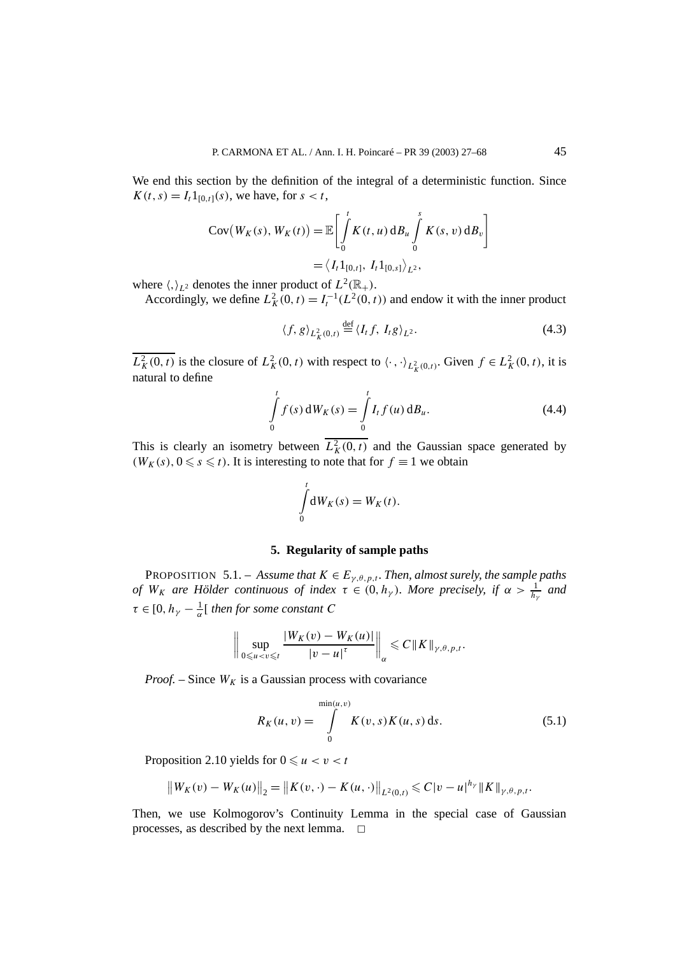We end this section by the definition of the integral of a deterministic function. Since  $K(t, s) = I_t 1_{[0, t]}(s)$ , we have, for  $s < t$ ,

$$
Cov(W_K(s), W_K(t)) = \mathbb{E}\left[\int_{0}^{t} K(t, u) dB_u \int_{0}^{s} K(s, v) dB_v\right]
$$
  
=  $\langle I_t 1_{[0, t]}, I_t 1_{[0, s]}\rangle_{L^2},$ 

where  $\langle,\rangle_{L^2}$  denotes the inner product of  $L^2(\mathbb{R}_+)$ .

Accordingly, we define  $L_K^2(0, t) = I_t^{-1}(L^2(0, t))$  and endow it with the inner product

$$
\langle f, g \rangle_{L_K^2(0,t)} \stackrel{\text{def}}{=} \langle I_t f, I_t g \rangle_{L^2}.
$$
 (4.3)

 $L_K^2(0, t)$  is the closure of  $L_K^2(0, t)$  with respect to  $\langle \cdot, \cdot \rangle_{L_K^2(0, t)}$ . Given  $f \in L_K^2(0, t)$ , it is natural to define

$$
\int_{0}^{t} f(s) dW_{K}(s) = \int_{0}^{t} I_{t} f(u) dB_{u}.
$$
\n(4.4)

This is clearly an isometry between  $L_K^2(0, t)$  and the Gaussian space generated by  $(W_K(s), 0 \le s \le t)$ . It is interesting to note that for  $f \equiv 1$  we obtain

$$
\int\limits_0^t \mathrm{d}W_K(s) = W_K(t).
$$

#### **5. Regularity of sample paths**

PROPOSITION 5.1. – *Assume that*  $K \in E_{\gamma,\theta,p,t}$ . Then, almost surely, the sample paths *of*  $W_K$  *are Hölder continuous of index*  $\tau \in (0, h_\gamma)$ *. More precisely, if*  $\alpha > \frac{1}{h_\gamma}$  *and*  $\tau \in [0, h_{\gamma} - \frac{1}{\alpha}$  [ *then for some constant C* 

$$
\bigg\|\sup_{0\leq u
$$

*Proof.* – Since  $W_K$  is a Gaussian process with covariance

$$
R_K(u, v) = \int_{0}^{\min(u, v)} K(v, s) K(u, s) ds.
$$
 (5.1)

Proposition 2.10 yields for  $0 \le u < v < t$ 

$$
\|W_K(v) - W_K(u)\|_2 = \|K(v, \cdot) - K(u, \cdot)\|_{L^2(0,t)} \leq C|v - u|^{h_Y} \|K\|_{\gamma, \theta, p, t}.
$$

Then, we use Kolmogorov's Continuity Lemma in the special case of Gaussian processes, as described by the next lemma.  $\Box$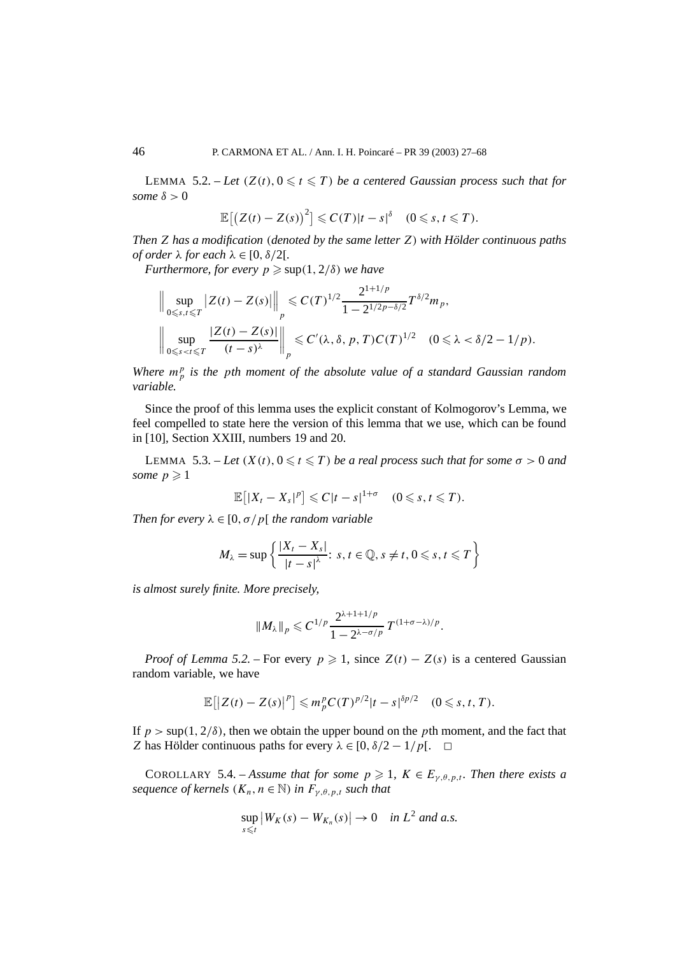LEMMA 5.2.  $-Let(Z(t), 0 \leq t \leq T)$  be a centered Gaussian process such that for *some*  $\delta > 0$ 

$$
\mathbb{E}\big[\big(Z(t)-Z(s)\big)^2\big] \leqslant C(T)|t-s|^{\delta} \quad (0 \leqslant s, t \leqslant T).
$$

*Then Z has a modification (denoted by the same letter Z) with Hölder continuous paths of order*  $\lambda$  *for each*  $\lambda \in [0, \delta/2]$ *.* 

*Furthermore, for every*  $p \geq \sup(1, 2/\delta)$  *we have* 

$$
\left\| \sup_{0 \leq s, t \leq T} |Z(t) - Z(s)| \right\|_p \leq C(T)^{1/2} \frac{2^{1+1/p}}{1 - 2^{1/2p - \delta/2}} T^{\delta/2} m_p,
$$
  

$$
\left\| \sup_{0 \leq s < t \leq T} \frac{|Z(t) - Z(s)|}{(t - s)^{\lambda}} \right\|_p \leq C'(\lambda, \delta, p, T) C(T)^{1/2} \quad (0 \leq \lambda < \delta/2 - 1/p).
$$

*Where m<sup>p</sup> <sup>p</sup> is the pth moment of the absolute value of a standard Gaussian random variable.*

Since the proof of this lemma uses the explicit constant of Kolmogorov's Lemma, we feel compelled to state here the version of this lemma that we use, which can be found in [10], Section XXIII, numbers 19 and 20.

LEMMA 5.3.  $-$  *Let*  $(X(t), 0 \leq t \leq T)$  *be a real process such that for some*  $\sigma > 0$  *and some*  $p \geqslant 1$ 

$$
\mathbb{E}[|X_t-X_s|^p]\leqslant C|t-s|^{1+\sigma}\quad (0\leqslant s,\,t\leqslant T).
$$

*Then for every*  $\lambda \in [0, \sigma/p]$  *the random variable* 

$$
M_{\lambda} = \sup \left\{ \frac{|X_t - X_s|}{|t - s|^{\lambda}} : s, t \in \mathbb{Q}, s \neq t, 0 \leq s, t \leq T \right\}
$$

*is almost surely finite. More precisely,*

$$
\|M_\lambda\|_p \leqslant C^{1/p} \frac{2^{\lambda+1+1/p}}{1-2^{\lambda-\sigma/p}} T^{(1+\sigma-\lambda)/p}.
$$

*Proof of Lemma 5.2.* – For every  $p \ge 1$ , since  $Z(t) - Z(s)$  is a centered Gaussian random variable, we have

$$
\mathbb{E}[Z(t)-Z(s)|^p] \leq m_p^p C(T)^{p/2} |t-s|^{\delta p/2} \quad (0 \leq s,t,T).
$$

If  $p > \sup(1, 2/\delta)$ , then we obtain the upper bound on the *p*th moment, and the fact that *Z* has Hölder continuous paths for every  $\lambda \in [0, \delta/2 - 1/p[$ .  $\Box$ 

COROLLARY 5.4. – *Assume that for some*  $p \ge 1$ ,  $K \in E_{\gamma,\theta,p,t}$ . Then there exists a *sequence of kernels*  $(K_n, n \in \mathbb{N})$  *in*  $F_{\gamma,\theta,p,t}$  *such that* 

$$
\sup_{s\leq t}|W_K(s)-W_{K_n}(s)|\to 0 \quad \text{in } L^2 \text{ and a.s.}
$$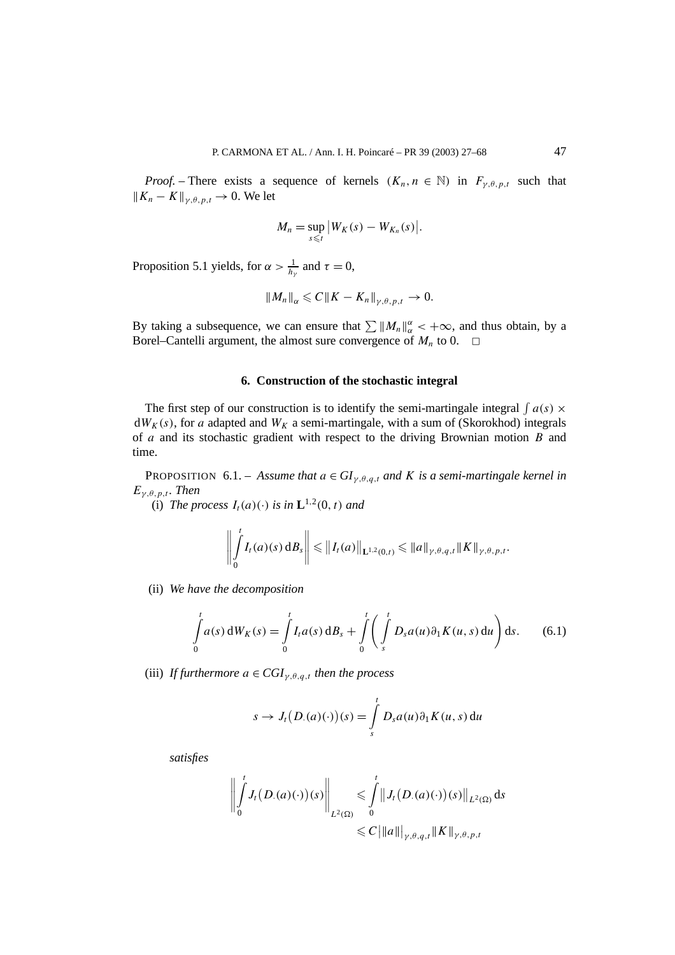*Proof.* – There exists a sequence of kernels  $(K_n, n \in \mathbb{N})$  in  $F_{\gamma, \theta, p, t}$  such that  $||K_n - K||_{\nu, \theta, n,t} \to 0$ . We let

$$
M_n = \sup_{s \leq t} |W_K(s) - W_{K_n}(s)|.
$$

Proposition 5.1 yields, for  $\alpha > \frac{1}{h_{\gamma}}$  and  $\tau = 0$ ,

$$
||M_n||_{\alpha} \leqslant C||K - K_n||_{\gamma,\theta,p,t} \to 0.
$$

By taking a subsequence, we can ensure that  $\sum ||M_n||_{\alpha}^{\alpha} < +\infty$ , and thus obtain, by a Borel–Cantelli argument, the almost sure convergence of  $M_n$  to 0.  $\Box$ 

#### **6. Construction of the stochastic integral**

The first step of our construction is to identify the semi-martingale integral  $\int a(s) \times$  $dW<sub>K</sub>(s)$ , for *a* adapted and  $W<sub>K</sub>$  a semi-martingale, with a sum of (Skorokhod) integrals of *a* and its stochastic gradient with respect to the driving Brownian motion *B* and time.

PROPOSITION 6.1. – *Assume that*  $a \in GI_{\gamma,\theta,q,t}$  *and K is a semi-martingale kernel in*  $E_{\gamma,\theta,p,t}$ *. Then* 

(i) *The process*  $I_t(a)(\cdot)$  *is in*  $\mathbf{L}^{1,2}(0,t)$  *and* 

$$
\left\| \int\limits_0^t I_t(a)(s) \, \mathrm{d} B_s \right\| \leqslant \left\| I_t(a) \right\|_{\mathbf{L}^{1,2}(0,t)} \leqslant \left\| a \right\|_{\gamma,\theta,q,t} \left\| K \right\|_{\gamma,\theta,p,t}.
$$

(ii) *We have the decomposition*

$$
\int_{0}^{t} a(s) dW_{K}(s) = \int_{0}^{t} I_{t} a(s) dB_{s} + \int_{0}^{t} \left( \int_{s}^{t} D_{s} a(u) \partial_{1} K(u, s) du \right) ds.
$$
 (6.1)

(iii) *If furthermore*  $a \in \text{CGI}_{\gamma,\theta,q,t}$  *then the process* 

$$
s \to J_t(D(a)(\cdot))(s) = \int_s^t D_s a(u) \partial_1 K(u, s) \, du
$$

*satisfies*

$$
\left\| \int\limits_0^t J_t(D(a)(\cdot))(s) \right\|_{L^2(\Omega)} \leqslant \int\limits_0^t \left\| J_t(D(a)(\cdot))(s) \right\|_{L^2(\Omega)} ds
$$
  
\$\leqslant C \left\| \|a\| \right\|\_{\gamma,\theta,q,t} \|K\|\_{\gamma,\theta,p,t}\$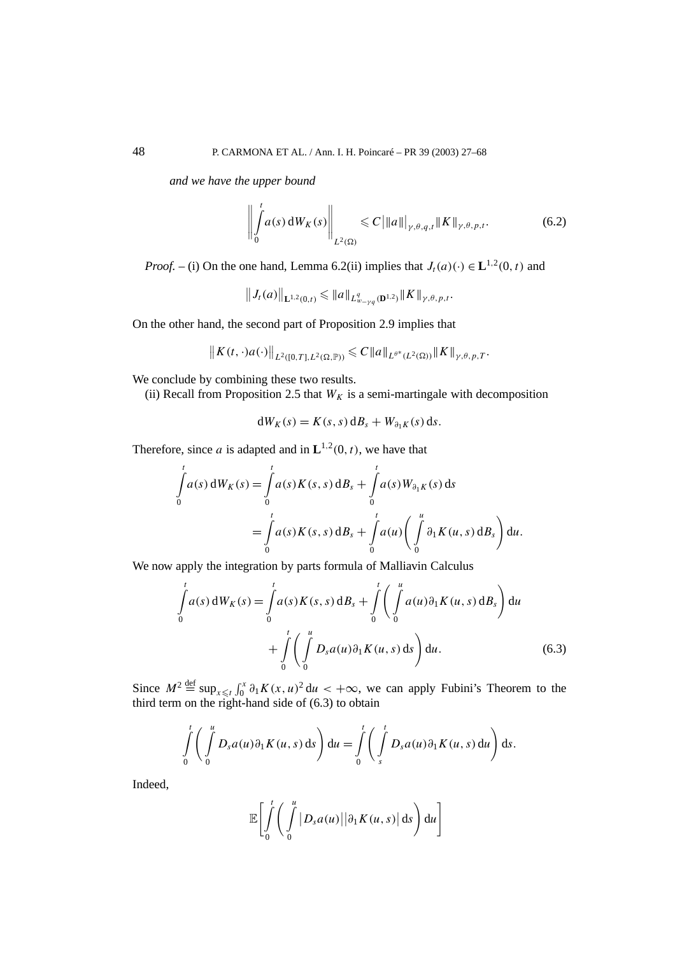*and we have the upper bound*

$$
\left\| \int_{0}^{t} a(s) \, \mathrm{d}W_{K}(s) \right\|_{L^{2}(\Omega)} \leqslant C \left| \left\| a \right\| \right|_{\gamma, \theta, q, t} \left\| K \right\|_{\gamma, \theta, p, t}.
$$

*Proof.* – (i) On the one hand, Lemma 6.2(ii) implies that  $J_t(a)(\cdot) \in L^{1,2}(0, t)$  and

$$
||J_t(a)||_{\mathbf{L}^{1,2}(0,t)} \leq ||a||_{L^q_{w-\gamma q}(\mathbf{D}^{1,2})} ||K||_{\gamma,\theta,p,t}.
$$

On the other hand, the second part of Proposition 2.9 implies that

$$
||K(t,\cdot)a(\cdot)||_{L^2([0,T],L^2(\Omega,\mathbb{P}))}\leq C||a||_{L^{\theta^*}(L^2(\Omega))}||K||_{\gamma,\theta,p,T}.
$$

We conclude by combining these two results.

(ii) Recall from Proposition 2.5 that  $W_K$  is a semi-martingale with decomposition

$$
dW_K(s) = K(s, s) dB_s + W_{\partial_1 K}(s) ds.
$$

Therefore, since *a* is adapted and in  $\mathbf{L}^{1,2}(0, t)$ , we have that

$$
\int_{0}^{t} a(s) dW_{K}(s) = \int_{0}^{t} a(s) K(s, s) dB_{s} + \int_{0}^{t} a(s) W_{\partial_{1} K}(s) ds
$$
\n
$$
= \int_{0}^{t} a(s) K(s, s) dB_{s} + \int_{0}^{t} a(u) \left( \int_{0}^{u} \partial_{1} K(u, s) dB_{s} \right) du.
$$

We now apply the integration by parts formula of Malliavin Calculus

$$
\int_{0}^{t} a(s) dW_{K}(s) = \int_{0}^{t} a(s) K(s, s) dB_{s} + \int_{0}^{t} \left( \int_{0}^{u} a(u) \partial_{1} K(u, s) dB_{s} \right) du \n+ \int_{0}^{t} \left( \int_{0}^{u} D_{s} a(u) \partial_{1} K(u, s) ds \right) du.
$$
\n(6.3)

Since  $M^2 \stackrel{\text{def}}{=} \sup_{x \leq 1} \int_0^x \partial_1 K(x, u)^2 du < +\infty$ , we can apply Fubini's Theorem to the third term on the right-hand side of (6.3) to obtain

$$
\int_{0}^{t} \left( \int_{0}^{u} D_{s} a(u) \partial_{1} K(u, s) ds \right) du = \int_{0}^{t} \left( \int_{s}^{t} D_{s} a(u) \partial_{1} K(u, s) du \right) ds.
$$

Indeed,

$$
\mathbb{E}\bigg[\int\limits_0^t\bigg(\int\limits_0^u\big|D_s a(u)\big|\big|\partial_1 K(u,s)\big|\,\mathrm{d} s\bigg)\,\mathrm{d} u\bigg]
$$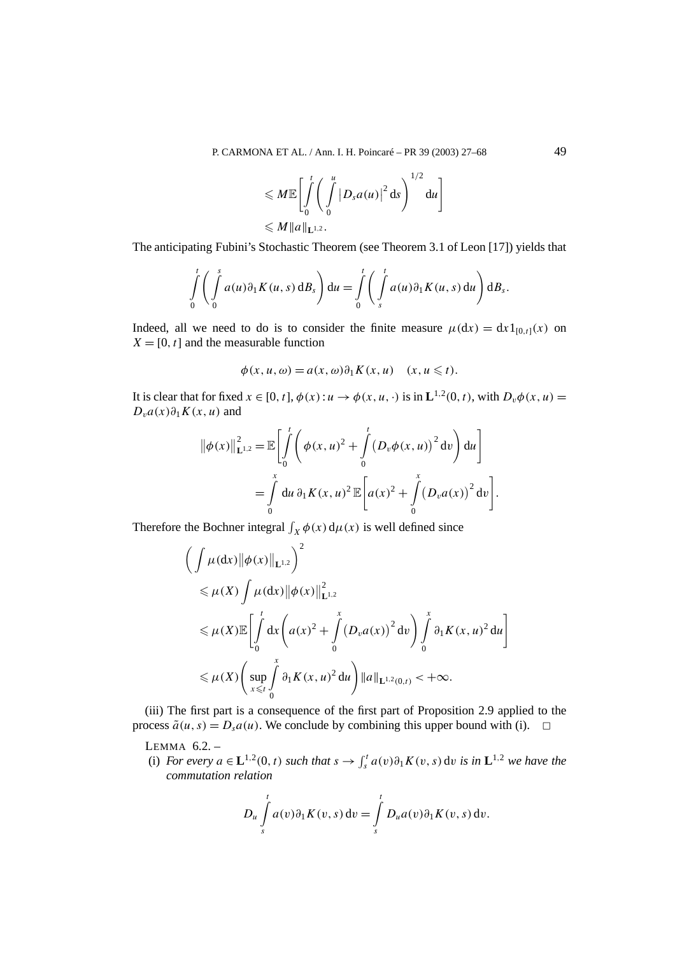$$
\leqslant M \mathbb{E}\left[\int\limits_0^t \left(\int\limits_0^u |D_s a(u)|^2 ds\right)^{1/2} du\right]
$$
  

$$
\leqslant M \|a\|_{\mathbf{L}^{1,2}}.
$$

The anticipating Fubini's Stochastic Theorem (see Theorem 3.1 of Leon [17]) yields that

$$
\int_{0}^{t} \left( \int_{0}^{s} a(u) \partial_{1} K(u, s) dB_{s} \right) du = \int_{0}^{t} \left( \int_{s}^{t} a(u) \partial_{1} K(u, s) du \right) dB_{s}.
$$

Indeed, all we need to do is to consider the finite measure  $\mu(dx) = dx 1_{[0,t]}(x)$  on  $X = [0, t]$  and the measurable function

$$
\phi(x, u, \omega) = a(x, \omega)\partial_1 K(x, u) \quad (x, u \leq t).
$$

It is clear that for fixed  $x \in [0, t]$ ,  $\phi(x): u \to \phi(x, u, \cdot)$  is in  $\mathbf{L}^{1,2}(0, t)$ , with  $D_v\phi(x, u) =$ *D<sub>v</sub>a*(*x*)∂<sub>1</sub>*K*(*x*, *u*) and

$$
\|\phi(x)\|_{\mathbf{L}^{1,2}}^{2} = \mathbb{E}\left[\int_{0}^{t} \left(\phi(x,u)^{2} + \int_{0}^{t} (D_{v}\phi(x,u))^{2} dv\right) du\right]
$$
  
= 
$$
\int_{0}^{x} du \, \partial_{1} K(x,u)^{2} \mathbb{E}\left[a(x)^{2} + \int_{0}^{x} (D_{v}a(x))^{2} dv\right].
$$

Therefore the Bochner integral  $\int_X \phi(x) d\mu(x)$  is well defined since

$$
\left(\int \mu(dx) \|\phi(x)\|_{\mathbf{L}^{1,2}}\right)^2
$$
  
\$\leqslant \mu(X) \int \mu(dx) \|\phi(x)\|\_{\mathbf{L}^{1,2}}^2\$  
\$\leqslant \mu(X)\mathbb{E}\left[\int\_0^t dx \left(a(x)^2 + \int\_0^x \left(D\_v a(x)\right)^2 dv\right) \int\_0^x \partial\_1 K(x, u)^2 du\right]\$  
\$\leqslant \mu(X)\left(\sup\_{x \leqslant t} \int\_0^x \partial\_1 K(x, u)^2 du\right) \|a\|\_{\mathbf{L}^{1,2}(0,t)} < +\infty\$.

(iii) The first part is a consequence of the first part of Proposition 2.9 applied to the process  $\tilde{a}(u, s) = D_s a(u)$ . We conclude by combining this upper bound with (i).  $\Box$ 

LEMMA 6.2. –

(i) *For every*  $a \in \mathbf{L}^{1,2}(0, t)$  *such that*  $s \to \int_s^t a(v) \partial_1 K(v, s) dv$  *is in*  $\mathbf{L}^{1,2}$  *we have the commutation relation*

$$
D_u \int_s^t a(v) \partial_1 K(v, s) dv = \int_s^t D_u a(v) \partial_1 K(v, s) dv.
$$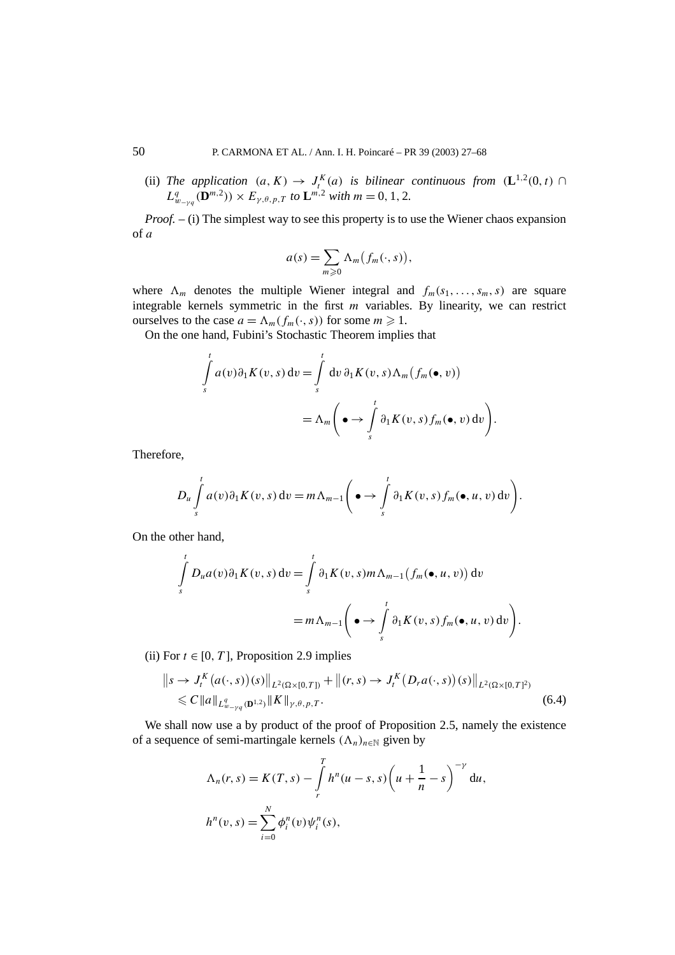(ii) The application  $(a, K) \to J_t^K(a)$  is bilinear continuous from  $(\mathbf{L}^{1,2}(0, t) \cap$  $L_{w_{\text{-}yq}}^q(\mathbf{D}^{m,2}) \times E_{\gamma,\theta,p,T}$  *to*  $\mathbf{L}^{m,2}$  *with*  $m = 0, 1, 2$ *.* 

*Proof.* – (i) The simplest way to see this property is to use the Wiener chaos expansion of *a*

$$
a(s) = \sum_{m \geq 0} \Lambda_m(f_m(\cdot, s)),
$$

where  $\Lambda_m$  denotes the multiple Wiener integral and  $f_m(s_1, \ldots, s_m, s)$  are square integrable kernels symmetric in the first *m* variables. By linearity, we can restrict ourselves to the case  $a = \Lambda_m(f_m(\cdot, s))$  for some  $m \ge 1$ .

On the one hand, Fubini's Stochastic Theorem implies that

$$
\int_{s}^{t} a(v) \partial_{1} K(v, s) dv = \int_{s}^{t} dv \, \partial_{1} K(v, s) \Lambda_{m} (f_{m}(\bullet, v))
$$
\n
$$
= \Lambda_{m} \left( \bullet \to \int_{s}^{t} \partial_{1} K(v, s) f_{m}(\bullet, v) dv \right).
$$

Therefore,

$$
D_u \int\limits_s^t a(v) \partial_1 K(v,s) dv = m \Lambda_{m-1} \left( \bullet \to \int\limits_s^t \partial_1 K(v,s) f_m(\bullet,u,v) dv \right).
$$

On the other hand,

$$
\int_{s}^{t} D_{u}a(v)\partial_{1}K(v,s) dv = \int_{s}^{t} \partial_{1}K(v,s)m\Lambda_{m-1}(f_{m}(\bullet, u, v)) dv
$$

$$
= m\Lambda_{m-1}\left(\bullet \to \int_{s}^{t} \partial_{1}K(v,s)f_{m}(\bullet, u, v) dv\right).
$$

(ii) For  $t \in [0, T]$ , Proposition 2.9 implies

$$
\|s \to J_t^K(a(\cdot, s))(s)\|_{L^2(\Omega \times [0, T])} + \|(r, s) \to J_t^K(D_r a(\cdot, s))(s)\|_{L^2(\Omega \times [0, T])} \n\leq C \|a\|_{L^q_{w \to \gamma q}(\mathbf{D}^{1,2})} \|K\|_{\gamma, \theta, p, T}.
$$
\n(6.4)

We shall now use a by product of the proof of Proposition 2.5, namely the existence of a sequence of semi-martingale kernels  $(\Lambda_n)_{n \in \mathbb{N}}$  given by

$$
\Lambda_n(r,s) = K(T,s) - \int\limits_r^T h^n(u-s,s) \left( u + \frac{1}{n} - s \right)^{-\gamma} du,
$$
  

$$
h^n(v,s) = \sum_{i=0}^N \phi_i^n(v) \psi_i^n(s),
$$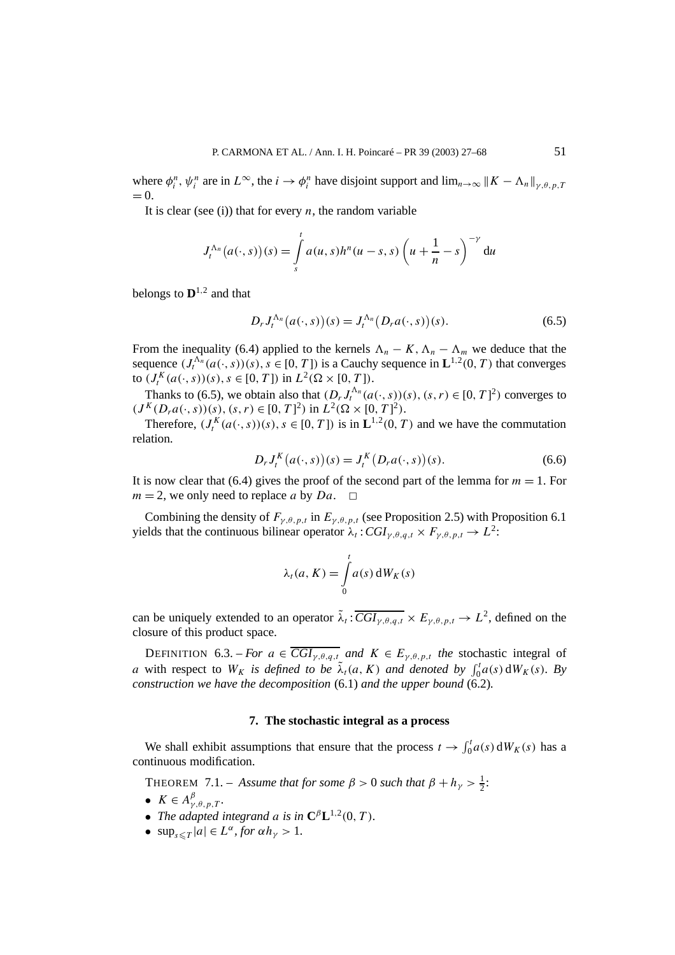where  $\phi_i^n$ ,  $\psi_i^n$  are in  $L^\infty$ , the  $i \to \phi_i^n$  have disjoint support and  $\lim_{n\to\infty} ||K - \Lambda_n||_{\gamma,\theta,p,T}$  $= 0$ .

It is clear (see (i)) that for every  $n$ , the random variable

$$
J_t^{\Lambda_n}(a(\cdot,s))(s) = \int\limits_s^t a(u,s)h^n(u-s,s)\left(u+\frac{1}{n}-s\right)^{-\gamma}du
$$

belongs to **D**<sup>1</sup>*,*<sup>2</sup> and that

$$
D_r J_t^{\Lambda_n}(a(\cdot,s))(s) = J_t^{\Lambda_n}(D_r a(\cdot,s))(s).
$$
 (6.5)

From the inequality (6.4) applied to the kernels  $\Lambda_n - K$ ,  $\Lambda_n - \Lambda_m$  we deduce that the sequence  $(J_t^{\Lambda_n}(a(\cdot,s))(s), s \in [0,T])$  is a Cauchy sequence in  $\mathbf{L}^{1,2}(0,T)$  that converges to  $(J_t^K(a(\cdot, s))(s), s \in [0, T])$  in  $L^2(\Omega \times [0, T])$ .

Thanks to (6.5), we obtain also that  $(D_r J_t^{\Lambda_n}(a(\cdot, s))(s), (s, r) \in [0, T]^2)$  converges to  $(J^K(D_r a(\cdot, s))(s), (s, r) \in [0, T]^2)$  in  $L^2(\Omega \times [0, T]^2)$ .

Therefore,  $(J_t^K(a(\cdot, s))(s), s \in [0, T])$  is in  $\mathbf{L}^{1,2}(0, T)$  and we have the commutation relation.

$$
D_r J_t^K(a(\cdot, s))(s) = J_t^K(D_r a(\cdot, s))(s).
$$
 (6.6)

It is now clear that (6.4) gives the proof of the second part of the lemma for  $m = 1$ . For  $m = 2$ , we only need to replace *a* by *Da*.  $\Box$ 

Combining the density of  $F_{\gamma,\theta,p,t}$  in  $E_{\gamma,\theta,p,t}$  (see Proposition 2.5) with Proposition 6.1 yields that the continuous bilinear operator  $\lambda_t$ :  $CGI_{\gamma,\theta,q,t} \times F_{\gamma,\theta,p,t} \to L^2$ :

$$
\lambda_t(a, K) = \int_0^t a(s) \, dW_K(s)
$$

can be uniquely extended to an operator  $\tilde{\lambda}_t$ :  $\overline{CGI_{\gamma,\theta,q,t}} \times E_{\gamma,\theta,p,t} \to L^2$ , defined on the closure of this product space.

DEFINITION 6.3. – *For*  $a \in \overline{CGI_{\gamma,\theta,q,t}}$  and  $K \in E_{\gamma,\theta,p,t}$  the stochastic integral of *a* with respect to  $W_K$  *is defined to be*  $\tilde{\lambda}_t(a, K)$  *and denoted by*  $\int_0^t a(s) dW_K(s)$ *. By construction we have the decomposition* (6.1) *and the upper bound* (6.2)*.*

#### **7. The stochastic integral as a process**

We shall exhibit assumptions that ensure that the process  $t \to \int_0^t a(s) dW_K(s)$  has a continuous modification.

THEOREM 7.1. – *Assume that for some*  $\beta > 0$  *such that*  $\beta + h_{\gamma} > \frac{1}{2}$ :

- $K \in A_{\gamma,\theta,p,T}^{\beta}$ .
- *The adapted integrand a is in*  $\mathbb{C}(\beta \mathbb{L}^{1,2}(0,T))$ *.*
- $\sup_{s \le T} |a| \in L^{\alpha}$ , for  $\alpha h_{\gamma} > 1$ .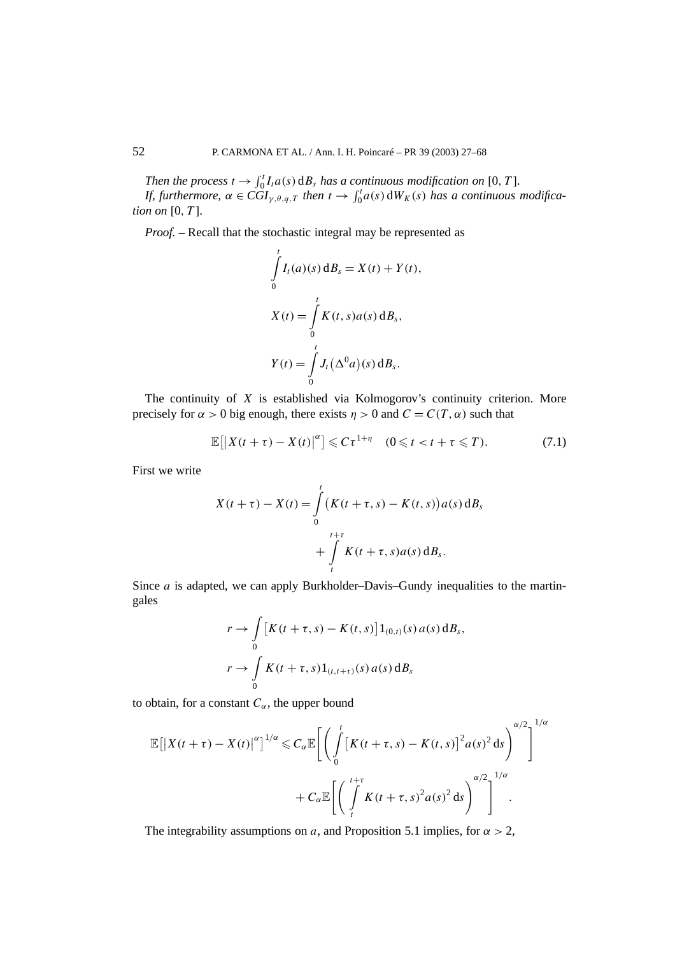*Then the process*  $t \to \int_0^t I_t a(s) \, dB_s$  *has a continuous modification on* [0*, T*]. *If, furthermore,*  $\alpha \in \tilde{C}GL_{\gamma,\theta,q,T}$  *then*  $t \to \int_0^t a(s) dW_K(s)$  *has a continuous modification on* [0*, T* ]*.*

*Proof. –* Recall that the stochastic integral may be represented as

$$
\int_{0}^{t} I_{t}(a)(s) dB_{s} = X(t) + Y(t),
$$
\n
$$
X(t) = \int_{0}^{t} K(t, s) a(s) dB_{s},
$$
\n
$$
Y(t) = \int_{0}^{t} J_{t}(\Delta^{0} a)(s) dB_{s}.
$$

The continuity of *X* is established via Kolmogorov's continuity criterion. More precisely for  $\alpha > 0$  big enough, there exists  $\eta > 0$  and  $C = C(T, \alpha)$  such that

$$
\mathbb{E}\left[\left|X(t+\tau)-X(t)\right|^{\alpha}\right] \leqslant C\tau^{1+\eta} \quad (0 \leqslant t < t+\tau \leqslant T). \tag{7.1}
$$

First we write

$$
X(t+\tau) - X(t) = \int_{0}^{t} \left( K(t+\tau,s) - K(t,s) \right) a(s) \, \mathrm{d}B_s
$$

$$
+ \int_{t}^{t+\tau} K(t+\tau,s) a(s) \, \mathrm{d}B_s.
$$

Since *a* is adapted, we can apply Burkholder–Davis–Gundy inequalities to the martingales

$$
r \to \int\limits_0^{\infty} \left[ K(t + \tau, s) - K(t, s) \right] 1_{(0, t)}(s) a(s) dB_s,
$$
  

$$
r \to \int\limits_0^{\infty} K(t + \tau, s) 1_{(t, t + \tau)}(s) a(s) dB_s
$$

to obtain, for a constant  $C_{\alpha}$ , the upper bound

$$
\mathbb{E}\left[\left|X(t+\tau)-X(t)\right|^{\alpha}\right]^{1/\alpha} \leq C_{\alpha} \mathbb{E}\left[\left(\int\limits_{0}^{t} \left[K(t+\tau,s)-K(t,s)\right]^{2} a(s)^{2} \, \mathrm{d}s\right)^{\alpha/2}\right]^{1/\alpha} + C_{\alpha} \mathbb{E}\left[\left(\int\limits_{t}^{t+\tau} K(t+\tau,s)^{2} a(s)^{2} \, \mathrm{d}s\right)^{\alpha/2}\right]^{1/\alpha}.
$$

The integrability assumptions on *a*, and Proposition 5.1 implies, for  $\alpha > 2$ ,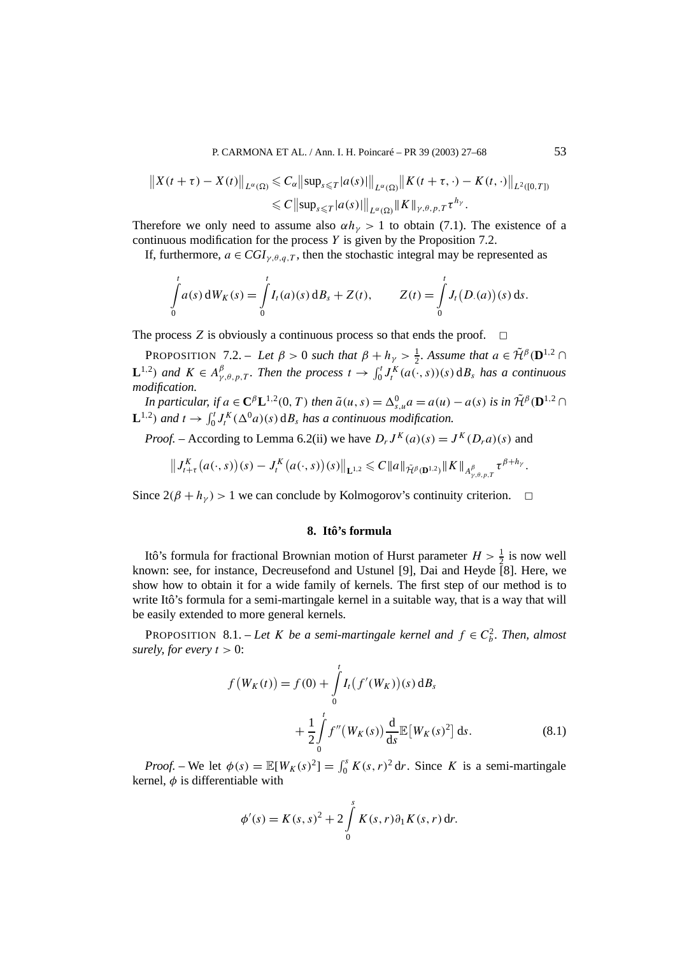P. CARMONA ET AL. / Ann. I. H. Poincaré – PR 39 (2003) 27–68 53

$$
||X(t+\tau)-X(t)||_{L^{\alpha}(\Omega)} \leq C_{\alpha} ||\sup_{s\leq T} |a(s)||_{L^{\alpha}(\Omega)} ||K(t+\tau,\cdot)-K(t,\cdot)||_{L^{2}([0,T])}
$$
  

$$
\leq C ||\sup_{s\leq T} |a(s)||_{L^{\alpha}(\Omega)} ||K||_{\gamma,\theta,p,T} \tau^{h_{\gamma}}.
$$

Therefore we only need to assume also  $\alpha h_y > 1$  to obtain (7.1). The existence of a continuous modification for the process *Y* is given by the Proposition 7.2.

If, furthermore,  $a \in \text{CGI}_{\gamma,\theta,q,T}$ , then the stochastic integral may be represented as

$$
\int_{0}^{t} a(s) dW_K(s) = \int_{0}^{t} I_t(a)(s) dB_s + Z(t), \qquad Z(t) = \int_{0}^{t} J_t(D(a))(s) ds.
$$

The process *Z* is obviously a continuous process so that ends the proof.

PROPOSITION 7.2. – Let  $\beta > 0$  such that  $\beta + h_{\gamma} > \frac{1}{2}$ . Assume that  $a \in \tilde{\mathcal{H}}^{\beta}(\mathbf{D}^{1,2} \cap$  $\mathbf{L}^{1,2}$ ) and  $K \in A_{\gamma,\theta,p,T}^{\beta}$ . Then the process  $t \to \int_0^t J_t^K(a(\cdot,s))(s) \, ds \, ds$  a continuous *modification.*

*In particular, if*  $a \in \mathbb{C}^{\beta} \mathbf{L}^{1,2}(0,T)$  *then*  $\tilde{a}(u,s) = \Delta_{s,u}^{0} a = a(u) - a(s)$  *is in*  $\tilde{\mathcal{H}}^{\beta}(\mathbf{D}^{1,2} \cap \mathbf{D})$  $\mathbf{L}^{1,2}$ ) *and*  $t \to \int_0^t J_t^K(\Delta^0 a)(s) dB_s$  *has a continuous modification.* 

*Proof.* – According to Lemma 6.2(ii) we have  $D_r J^K(a)(s) = J^K(D_r a)(s)$  and

$$
\left\|J_{t+\tau}^K\big(a(\cdot,s)\big)(s)-J_t^K\big(a(\cdot,s)\big)(s)\right\|_{\mathbf{L}^{1,2}}\leqslant C\|a\|_{\tilde{\mathcal{H}}^{\beta}(\mathbf{D}^{1,2})}\|K\|_{A_{\gamma,\theta,p,T}^{\beta}}\tau^{\beta+h_{\gamma}}.
$$

Since  $2(\beta + h_y) > 1$  we can conclude by Kolmogorov's continuity criterion.  $\Box$ 

#### **8. Itô's formula**

Itô's formula for fractional Brownian motion of Hurst parameter  $H > \frac{1}{2}$  is now well known: see, for instance, Decreusefond and Ustunel [9], Dai and Heyde [8]. Here, we show how to obtain it for a wide family of kernels. The first step of our method is to write Itô's formula for a semi-martingale kernel in a suitable way, that is a way that will be easily extended to more general kernels.

PROPOSITION 8.1. – Let *K* be a semi-martingale kernel and  $f \in C_b^2$ . Then, almost *surely, for every*  $t > 0$ :

$$
f(W_K(t)) = f(0) + \int_{0}^{t} I_t(f'(W_K))(s) dB_s
$$
  
+ 
$$
\frac{1}{2} \int_{0}^{t} f''(W_K(s)) \frac{d}{ds} \mathbb{E}[W_K(s)^2] ds.
$$
 (8.1)

*Proof.* – We let  $\phi(s) = \mathbb{E}[W_K(s)^2] = \int_0^s K(s, r)^2 dr$ . Since *K* is a semi-martingale kernel, *φ* is differentiable with

$$
\phi'(s) = K(s,s)^2 + 2\int\limits_0^s K(s,r)\partial_1 K(s,r)\,\mathrm{d}r.
$$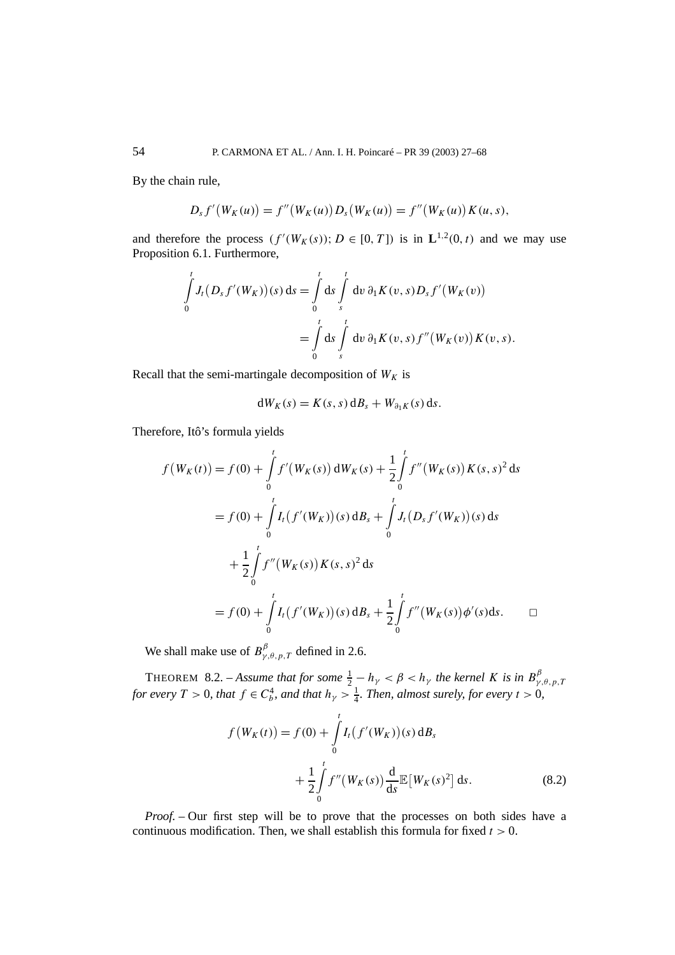By the chain rule,

$$
D_{s} f'(W_{K}(u)) = f''(W_{K}(u)) D_{s}(W_{K}(u)) = f''(W_{K}(u)) K(u, s),
$$

and therefore the process  $(f'(W_K(s)); D \in [0, T])$  is in  $\mathbf{L}^{1,2}(0, t)$  and we may use Proposition 6.1. Furthermore,

$$
\int_{0}^{t} J_{t}(D_{s}f'(W_{K}))(s) ds = \int_{0}^{t} ds \int_{s}^{t} dv \, \partial_{1} K(v, s) D_{s} f'(W_{K}(v))
$$
\n
$$
= \int_{0}^{t} ds \int_{s}^{t} dv \, \partial_{1} K(v, s) f''(W_{K}(v)) K(v, s).
$$

Recall that the semi-martingale decomposition of  $W_K$  is

$$
dW_K(s) = K(s, s) dB_s + W_{\partial_1 K}(s) ds.
$$

Therefore, Itô's formula yields

$$
f(W_K(t)) = f(0) + \int_0^t f'(W_K(s)) dW_K(s) + \frac{1}{2} \int_0^t f''(W_K(s)) K(s, s)^2 ds
$$
  

$$
= f(0) + \int_0^t I_t(f'(W_K))(s) dB_s + \int_0^t J_t(D_s f'(W_K))(s) ds
$$
  

$$
+ \frac{1}{2} \int_0^t f''(W_K(s)) K(s, s)^2 ds
$$
  

$$
= f(0) + \int_0^t I_t(f'(W_K))(s) dB_s + \frac{1}{2} \int_0^t f''(W_K(s)) \phi'(s) ds. \qquad \Box
$$

We shall make use of  $B^{\beta}_{\gamma,\theta,p,T}$  defined in 2.6.

THEOREM 8.2. – Assume that for some  $\frac{1}{2} - h_{\gamma} < \beta < h_{\gamma}$  the kernel K is in  $B^{\beta}_{\gamma,\theta,p,T}$ *for every*  $T > 0$ *, that*  $f \in C_b^4$ *, and that*  $h_\gamma > \frac{1}{4}$ *. Then, almost surely, for every*  $t > 0$ *,* 

$$
f(W_K(t)) = f(0) + \int_{0}^{t} I_t(f'(W_K))(s) dB_s
$$
  
+ 
$$
\frac{1}{2} \int_{0}^{t} f''(W_K(s)) \frac{d}{ds} \mathbb{E}[W_K(s)^2] ds.
$$
 (8.2)

*Proof. –* Our first step will be to prove that the processes on both sides have a continuous modification. Then, we shall establish this formula for fixed  $t > 0$ .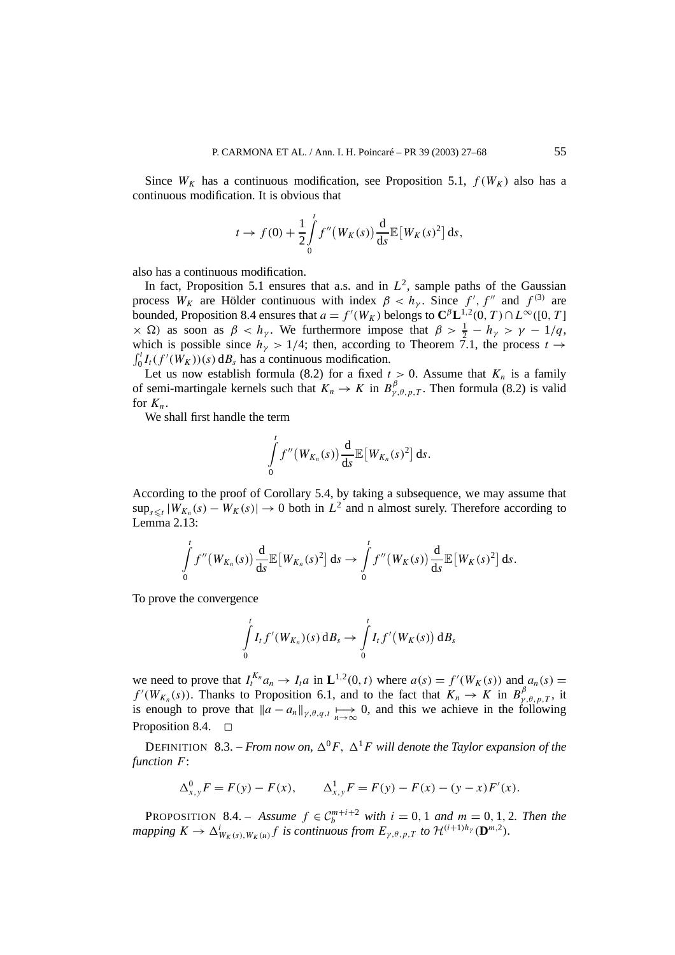Since  $W_K$  has a continuous modification, see Proposition 5.1,  $f(W_K)$  also has a continuous modification. It is obvious that

$$
t \to f(0) + \frac{1}{2} \int_{0}^{t} f''(W_K(s)) \frac{d}{ds} \mathbb{E}[W_K(s)^2] ds,
$$

also has a continuous modification.

In fact, Proposition 5.1 ensures that a.s. and in  $L^2$ , sample paths of the Gaussian process  $W_K$  are Hölder continuous with index  $\beta < h_\gamma$ . Since  $f', f''$  and  $f^{(3)}$  are bounded, Proposition 8.4 ensures that  $a = f'(W_K)$  belongs to  $\mathbb{C}^{\beta} \mathbf{L}^{1,2}(0,T) \cap L^{\infty}([0,T])$  $\times$  Ω) as soon as  $β < h<sub>γ</sub>$ . We furthermore impose that  $β > \frac{1}{2} - h<sub>γ</sub> > γ - 1/q$ , which is possible since  $h_y > 1/4$ ; then, according to Theorem 7.1, the process  $t \to$   $f^t L(f'(W))$  (c) d B has a continuous modification  $\int_0^t I_t(f'(W_K))(s) dB_s$  has a continuous modification.

Let us now establish formula (8.2) for a fixed  $t > 0$ . Assume that  $K_n$  is a family of semi-martingale kernels such that  $K_n \to K$  in  $B_{\gamma,\theta,p,T}^{\beta}$ . Then formula (8.2) is valid for  $K_n$ .

We shall first handle the term

$$
\int\limits_0^t f''(W_{K_n}(s))\frac{\mathrm{d}}{\mathrm{d}s}\mathbb{E}[W_{K_n}(s)^2]\,\mathrm{d}s.
$$

According to the proof of Corollary 5.4, by taking a subsequence, we may assume that  $\sup_{s \le t} |W_{K_n}(s) - W_K(s)| \to 0$  both in  $L^2$  and n almost surely. Therefore according to Lemma 2.13:

$$
\int\limits_0^t f''\big(W_{K_n}(s)\big)\frac{\mathrm{d}}{\mathrm{d}s}\mathbb{E}\big[W_{K_n}(s)^2\big]\,\mathrm{d}s\to \int\limits_0^t f''\big(W_K(s)\big)\frac{\mathrm{d}}{\mathrm{d}s}\mathbb{E}\big[W_K(s)^2\big]\,\mathrm{d}s.
$$

To prove the convergence

$$
\int\limits_0^t I_t f'(W_{K_n})(s) dB_s \to \int\limits_0^t I_t f'(W_K(s)) dB_s
$$

we need to prove that  $I_t^{K_n} a_n \to I_t a$  in  $\mathbf{L}^{1,2}(0, t)$  where  $a(s) = f'(W_K(s))$  and  $a_n(s) =$  $f'(W_{K_n}(s))$ . Thanks to Proposition 6.1, and to the fact that  $K_n \to K$  in  $B_{\gamma,\theta,p,T}^{\beta}$ , it is enough to prove that  $\|a - a_n\|_{\gamma, \theta, q, t} \mapsto 0$ , and this we achieve in the following Proposition 8.4.  $\Box$ 

DEFINITION 8.3. – *From now on,*  $\Delta^{0}F$ ,  $\Delta^{1}F$  *will denote the Taylor expansion of the function F*:

$$
\Delta_{x,y}^0 F = F(y) - F(x), \qquad \Delta_{x,y}^1 F = F(y) - F(x) - (y - x)F'(x).
$$

**PROPOSITION** 8.4. – *Assume*  $f \in C_b^{m+i+2}$  *with*  $i = 0, 1$  *and*  $m = 0, 1, 2$ *. Then the mapping*  $K \to \Delta^i_{W_K(s),W_K(u)} f$  *is continuous from*  $E_{\gamma,\theta,p,T}$  *to*  $\mathcal{H}^{(i+1)h_\gamma}(\mathbf{D}^{m,2})$ *.*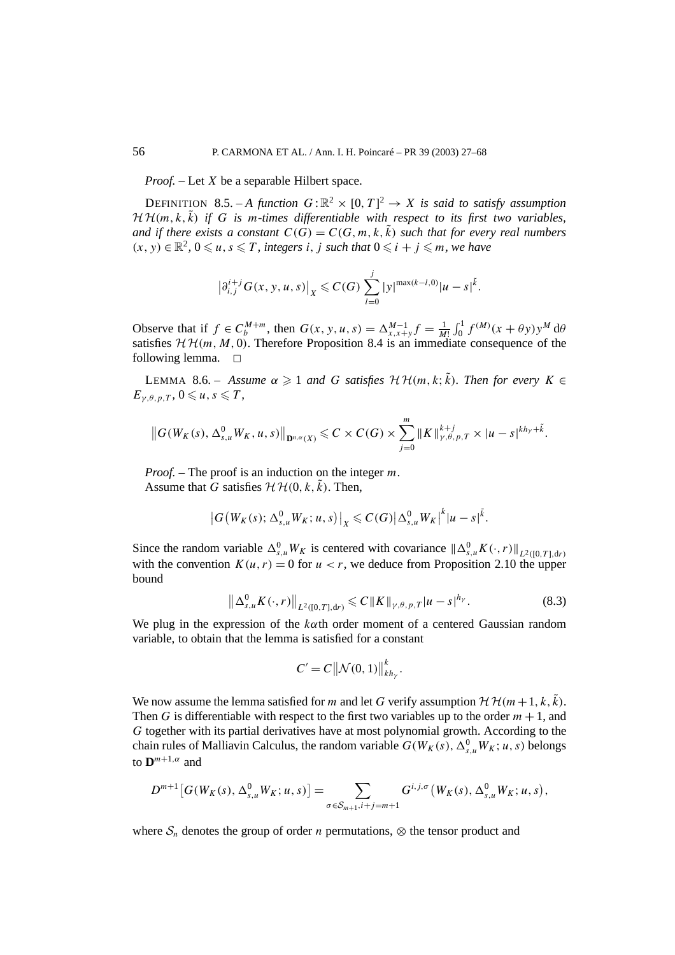*Proof. –* Let *X* be a separable Hilbert space.

DEFINITION 8.5. – A function  $G:\mathbb{R}^2 \times [0,T]^2 \to X$  is said to satisfy assumption  $H(H(m, k, \tilde{k})$  *if* G *is m-times differentiable with respect to its first two variables, and if there exists a constant*  $C(G) = C(G, m, k, \tilde{k})$  *such that for every real numbers*  $f(x, y) \in \mathbb{R}^2$ ,  $0 \le u, s \le T$ , integers *i*, *j* such that  $0 \le i + j \le m$ , we have

$$
\left|\partial_{i,j}^{i+j}G(x, y, u, s)\right|_{X} \leqslant C(G) \sum_{l=0}^{j} |y|^{\max(k-l, 0)} |u-s|^{\tilde{k}}.
$$

Observe that if  $f \in C_b^{M+m}$ , then  $G(x, y, u, s) = \Delta_{x, x+y}^{M-1} f = \frac{1}{M!} \int_0^1 f^{(M)}(x + \theta y) y^M d\theta$ satisfies  $H H(m, M, 0)$ . Therefore Proposition 8.4 is an immediate consequence of the following lemma.  $\square$ 

LEMMA 8.6. – *Assume*  $\alpha \geq 1$  *and G satisfies*  $H\mathcal{H}(m, k; \tilde{k})$ *. Then for every*  $K \in$  $E_{\gamma,\theta,p,T}$ ,  $0 \leq u, s \leq T$ ,

$$
\left\|G(W_K(s),\Delta_{s,u}^0W_K,u,s)\right\|_{\mathbf{D}^{n,\alpha}(X)}\leqslant C\times C(G)\times \sum_{j=0}^m\left\|K\right\|_{\gamma,\theta,p,T}^{k+j}\times|u-s|^{kh_\gamma+\tilde{k}}.
$$

*Proof. –* The proof is an induction on the integer *m*. Assume that *G* satisfies  $H H(0, k, \tilde{k})$ . Then,

$$
\left|G\big(W_K(s); \Delta_{s,u}^0 W_K; u, s\big)\right|_X \leqslant C(G) \left|\Delta_{s,u}^0 W_K\right|^k |u-s|^{\tilde{k}}.
$$

Since the random variable  $\Delta_{s,u}^0 W_K$  is centered with covariance  $\left\|\Delta_{s,u}^0 K(\cdot,r)\right\|_{L^2([0,T],dr)}$ with the convention  $K(u, r) = 0$  for  $u < r$ , we deduce from Proposition 2.10 the upper bound

$$
\left\| \Delta_{s,u}^0 K(\cdot, r) \right\|_{L^2([0,T],\text{d}r)} \leqslant C \| K \|_{\gamma,\theta,p,T} |u-s|^{h_\gamma}.
$$
 (8.3)

We plug in the expression of the *kα*th order moment of a centered Gaussian random variable, to obtain that the lemma is satisfied for a constant

$$
C'=C\big\|\mathcal{N}(0,1)\big\|_{kh_{\gamma}}^k.
$$

We now assume the lemma satisfied for *m* and let *G* verify assumption  $\mathcal{H}\mathcal{H}(m+1,k,\tilde{k})$ . Then *G* is differentiable with respect to the first two variables up to the order  $m + 1$ , and *G* together with its partial derivatives have at most polynomial growth. According to the chain rules of Malliavin Calculus, the random variable  $G(W_K(s), \Delta_{s,u}^0 W_K; u, s)$  belongs to **D***<sup>m</sup>*+1*,α* and

$$
D^{m+1}[G(W_K(s), \Delta_{s,u}^0 W_K; u, s)] = \sum_{\sigma \in S_{m+1}, i+j=m+1} G^{i,j,\sigma}(W_K(s), \Delta_{s,u}^0 W_K; u, s),
$$

where  $S_n$  denotes the group of order *n* permutations,  $\otimes$  the tensor product and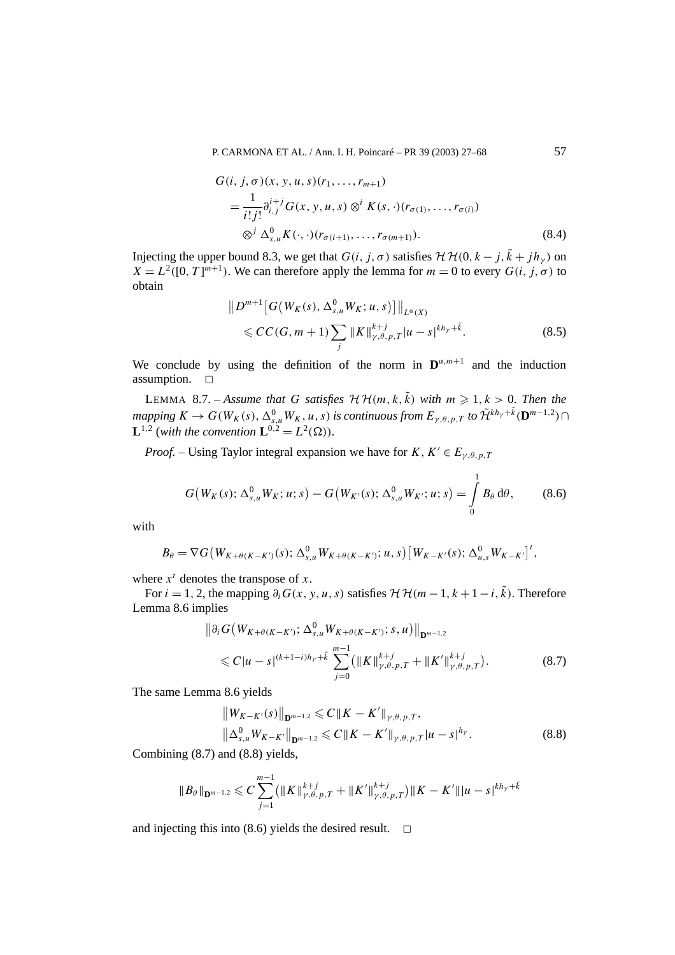P. CARMONA ET AL. / Ann. I. H. Poincaré – PR 39 (2003) 27–68 57

$$
G(i, j, \sigma)(x, y, u, s)(r_1, ..., r_{m+1})
$$
  
= 
$$
\frac{1}{i!j!} \partial_{i,j}^{i+j} G(x, y, u, s) \otimes^{i} K(s, \cdot)(r_{\sigma(1)}, ..., r_{\sigma(i)})
$$
  

$$
\otimes^{j} \Delta_{s,u}^{0} K(\cdot, \cdot)(r_{\sigma(i+1)}, ..., r_{\sigma(m+1)}).
$$
 (8.4)

Injecting the upper bound 8.3, we get that  $G(i, j, \sigma)$  satisfies  $H H(0, k - j, \tilde{k} + jh_{\nu})$  on  $X = L^2([0, T]^{m+1})$ . We can therefore apply the lemma for  $m = 0$  to every  $G(i, j, \sigma)$  to obtain

$$
||D^{m+1}[G(W_K(s), \Delta_{s,u}^0 W_K; u, s)]||_{L^{\alpha}(X)}
$$
  
\$\leq C C(G, m+1) \sum\_j ||K||\_{\gamma, \theta, p, T}^{k+j} |u-s|^{kh\_{\gamma} + \tilde{k}}. \t(8.5)

We conclude by using the definition of the norm in  $\mathbf{D}^{\alpha,m+1}$  and the induction assumption.  $\square$ 

LEMMA 8.7. – *Assume that G satisfies*  $H H(m, k, \tilde{k})$  *with*  $m \ge 1, k > 0$ *. Then the*  $m$ *apping*  $K \to G(W_K(s), \Delta^0_{s,u}W_K, u, s)$  *is continuous from*  $E_{\gamma,\theta,p,T}$  *to*  $\tilde{\mathcal{H}}^{kh_{\gamma}+\tilde{k}}(\mathbf{D}^{m-1,2})\cap \mathcal{H}^{h,\theta,p+1}$ **L**<sup>1,2</sup> (with the convention  $L^{0,2} = L^2(\Omega)$ ).

*Proof.* – Using Taylor integral expansion we have for  $K, K' \in E_{\gamma,\theta,p,T}$ 

$$
G(W_K(s); \Delta_{s,u}^0 W_K; u; s) - G(W_{K'}(s); \Delta_{s,u}^0 W_{K'}; u; s) = \int_0^1 B_\theta \, d\theta, \qquad (8.6)
$$

with

$$
B_{\theta} = \nabla G(W_{K+\theta(K-K')}(s); \Delta_{s,u}^{0}W_{K+\theta(K-K')}; u, s) [W_{K-K'}(s); \Delta_{u,s}^{0}W_{K-K'}]^{t},
$$

where  $x^t$  denotes the transpose of  $x$ .

For *i* = 1, 2, the mapping  $\partial_i G(x, y, u, s)$  satisfies  $H H(m-1, k+1-i, \tilde{k})$ . Therefore Lemma 8.6 implies

$$
\|\partial_i G(W_{K+\theta(K-K')}; \Delta^0_{s,u} W_{K+\theta(K-K')}; s, u)\|_{\mathbf{D}^{m-1,2}}\n\leq C|u-s|^{(k+1-i)h_{\gamma}+\tilde{k}}\sum_{j=0}^{m-1} (||K||_{\gamma,\theta,p,T}^{k+j} + ||K'||_{\gamma,\theta,p,T}^{k+j}).
$$
\n(8.7)

The same Lemma 8.6 yields

$$
||W_{K-K'}(s)||_{\mathbf{D}^{m-1,2}} \leq C||K - K'||_{\gamma,\theta,p,T},
$$
  

$$
||\Delta_{s,u}^{0}W_{K-K'}||_{\mathbf{D}^{m-1,2}} \leq C||K - K'||_{\gamma,\theta,p,T}|u - s|^{h_{\gamma}}.
$$
 (8.8)

Combining (8.7) and (8.8) yields,

$$
\|B_{\theta}\|_{\mathbf{D}^{m-1,2}} \leqslant C \sum_{j=1}^{m-1} \left( \|K\|_{\gamma,\theta,p,T}^{k+j} + \|K'\|_{\gamma,\theta,p,T}^{k+j}\right) \|K-K'\|\|u-s\|^{kh_{\gamma}+\tilde{k}}
$$

and injecting this into (8.6) yields the desired result.  $\Box$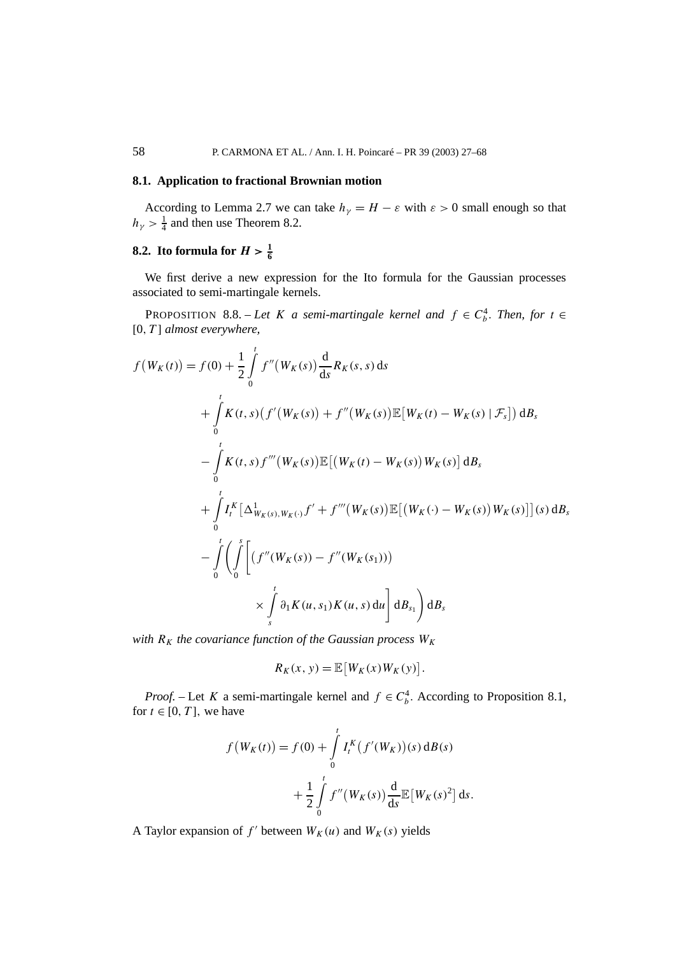#### **8.1. Application to fractional Brownian motion**

According to Lemma 2.7 we can take  $h_{\gamma} = H - \varepsilon$  with  $\varepsilon > 0$  small enough so that  $h_{\gamma} > \frac{1}{4}$  and then use Theorem 8.2.

## **8.2.** Ito formula for  $H > \frac{1}{6}$

We first derive a new expression for the Ito formula for the Gaussian processes associated to semi-martingale kernels.

PROPOSITION 8.8. – *Let K a semi-martingale kernel and*  $f \in C_b^4$ *. Then, for*  $t \in$ [0*, T* ] *almost everywhere,*

$$
f(W_{K}(t)) = f(0) + \frac{1}{2} \int_{0}^{t} f''(W_{K}(s)) \frac{d}{ds} R_{K}(s, s) ds
$$
  
+ 
$$
\int_{0}^{t} K(t, s) (f'(W_{K}(s)) + f''(W_{K}(s)) \mathbb{E}[W_{K}(t) - W_{K}(s) | \mathcal{F}_{s}]) dB_{s}
$$
  
- 
$$
\int_{0}^{t} K(t, s) f'''(W_{K}(s)) \mathbb{E}[(W_{K}(t) - W_{K}(s)) W_{K}(s)] dB_{s}
$$
  
+ 
$$
\int_{0}^{t} I_{t}^{K} [\Delta_{W_{K}(s), W_{K}(t)}^{1} f' + f'''(W_{K}(s)) \mathbb{E}[(W_{K}(t) - W_{K}(s)) W_{K}(s)]](s) dB_{s}
$$
  
- 
$$
\int_{0}^{t} \left( \int_{0}^{s} \left[ (f''(W_{K}(s)) - f''(W_{K}(s_{1}))) \times \int_{s}^{t} \partial_{1} K(u, s_{1}) K(u, s) du \right] dB_{s_{1}} \right) dB_{s}
$$

*with*  $R_K$  *the covariance function of the Gaussian process*  $W_K$ 

$$
R_K(x, y) = \mathbb{E}[W_K(x)W_K(y)].
$$

*Proof.* – Let *K* a semi-martingale kernel and  $f \in C_b^4$ . According to Proposition 8.1, for  $t \in [0, T]$ , we have

$$
f(W_K(t)) = f(0) + \int_{0}^{t} I_t^K(f'(W_K))(s) dB(s)
$$
  
+ 
$$
\frac{1}{2} \int_{0}^{t} f''(W_K(s)) \frac{d}{ds} \mathbb{E}[W_K(s)^2] ds.
$$

A Taylor expansion of  $f'$  between  $W_K(u)$  and  $W_K(s)$  yields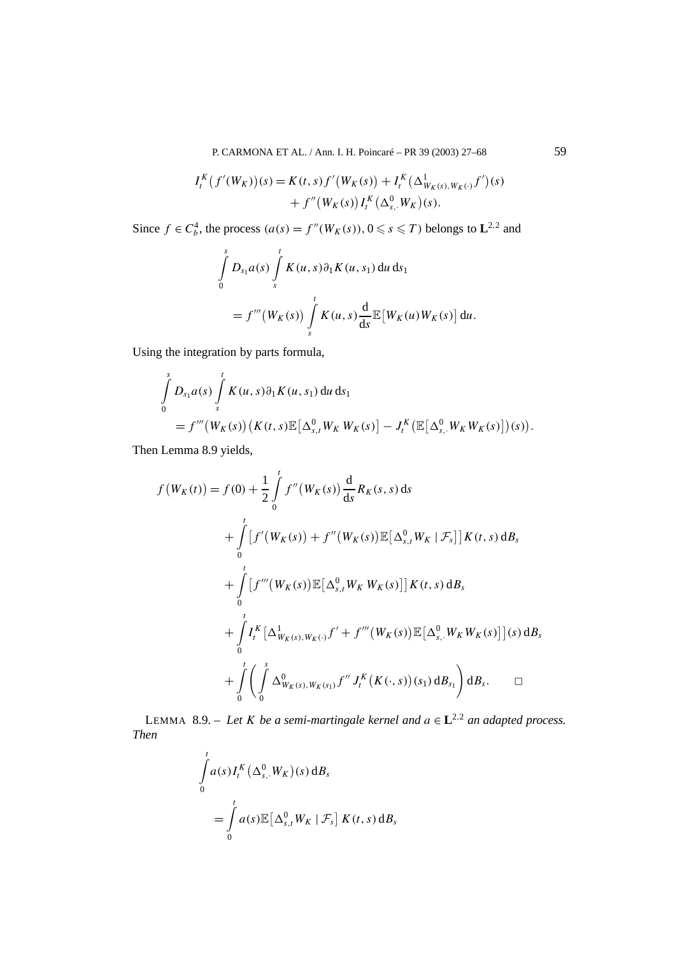P. CARMONA ET AL. / Ann. I. H. Poincaré – PR 39 (2003) 27–68 59

$$
I_t^K(f'(W_K))(s) = K(t,s) f'(W_K(s)) + I_t^K(\Delta^1_{W_K(s),W_K(\cdot)} f')(s)
$$
  
+  $f''(W_K(s)) I_t^K(\Delta^0_{s,\cdot},W_K)(s).$ 

Since  $f \in C_b^4$ , the process  $(a(s) = f''(W_K(s)), 0 \le s \le T)$  belongs to  $\mathbf{L}^{2,2}$  and

$$
\int_{0}^{s} D_{s_1} a(s) \int_{s}^{t} K(u, s) \partial_1 K(u, s_1) du ds_1
$$
  
=  $f'''(W_K(s)) \int_{s}^{t} K(u, s) \frac{d}{ds} \mathbb{E}[W_K(u)W_K(s)] du.$ 

Using the integration by parts formula,

$$
\int_{0}^{s} D_{s_1} a(s) \int_{s}^{t} K(u, s) \partial_1 K(u, s_1) du ds_1
$$
\n
$$
= f'''(W_K(s)) (K(t, s) \mathbb{E}[\Delta_{s,t}^{0} W_K W_K(s)] - J_t^K(\mathbb{E}[\Delta_{s,t}^{0} W_K W_K(s)])(s)).
$$

Then Lemma 8.9 yields,

$$
f(W_K(t)) = f(0) + \frac{1}{2} \int_{0}^{t} f''(W_K(s)) \frac{d}{ds} R_K(s, s) ds
$$
  
+ 
$$
\int_{0}^{t} [f'(W_K(s)) + f''(W_K(s)) \mathbb{E}[\Delta_{s,t}^0 W_K | \mathcal{F}_s]] K(t, s) dB_s
$$
  
+ 
$$
\int_{0}^{t} [f'''(W_K(s)) \mathbb{E}[\Delta_{s,t}^0 W_K W_K(s)]] K(t, s) dB_s
$$
  
+ 
$$
\int_{0}^{t} I_t^K [\Delta_{W_K(s), W_K(\cdot)}^1 f' + f'''(W_K(s)) \mathbb{E}[\Delta_{s,\cdot}^0 W_K W_K(s)]] (s) dB_s
$$
  
+ 
$$
\int_{0}^{t} \left( \int_{0}^{s} \Delta_{W_K(s), W_K(s_1)}^0 f'' J_t^K(K(\cdot, s)) (s_1) dB_{s_1} \right) dB_s.
$$

LEMMA 8.9. – Let *K* be a semi-martingale kernel and  $a \in L^{2,2}$  an adapted process. *Then*

$$
\int_{0}^{t} a(s) I_{t}^{K} (\Delta_{s}^{0}, W_{K})(s) dB_{s}
$$
\n
$$
= \int_{0}^{t} a(s) \mathbb{E} [\Delta_{s,t}^{0} W_{K} | \mathcal{F}_{s}] K(t, s) dB_{s}
$$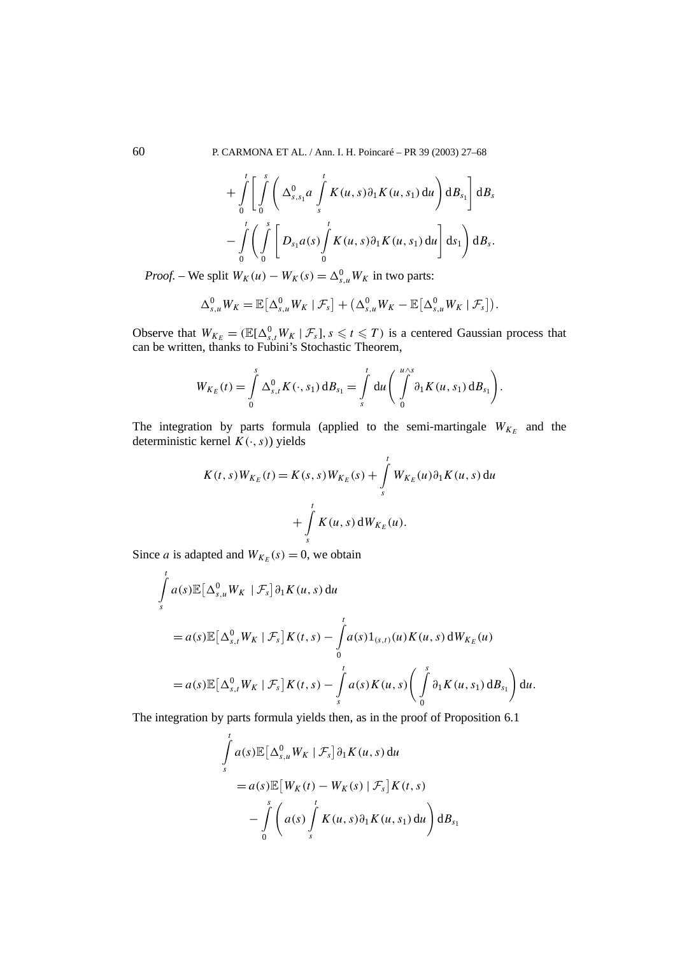60 P. CARMONA ET AL. / Ann. I. H. Poincaré – PR 39 (2003) 27–68

$$
+\int\limits_0^t\left[\int\limits_0^s\left(\Delta^0_{s,s_1}a\int\limits_s^tK(u,s)\partial_1K(u,s_1)\,du\right)dB_{s_1}\right]dB_s
$$
  

$$
-\int\limits_0^t\left(\int\limits_0^s\left[D_{s_1}a(s)\int\limits_0^tK(u,s)\partial_1K(u,s_1)\,du\right]ds_1\right)dB_s.
$$

*Proof.* – We split  $W_K(u) - W_K(s) = \Delta_{s,u}^0 W_K$  in two parts:

$$
\Delta_{s,u}^0 W_K = \mathbb{E} \big[ \Delta_{s,u}^0 W_K \mid \mathcal{F}_s \big] + \big( \Delta_{s,u}^0 W_K - \mathbb{E} \big[ \Delta_{s,u}^0 W_K \mid \mathcal{F}_s \big] \big).
$$

Observe that  $W_{K_E} = (\mathbb{E}[\Delta_{s,t}^0 W_K | \mathcal{F}_s], s \leq t \leq T)$  is a centered Gaussian process that can be written, thanks to Fubini's Stochastic Theorem,

$$
W_{K_E}(t) = \int_{0}^{s} \Delta_{s,t}^{0} K(\cdot, s_1) dB_{s_1} = \int_{s}^{t} du \left( \int_{0}^{u \wedge s} \partial_1 K(u, s_1) dB_{s_1} \right).
$$

The integration by parts formula (applied to the semi-martingale  $W_{K_E}$  and the deterministic kernel  $K(\cdot, s)$ ) yields

$$
K(t, s)W_{K_E}(t) = K(s, s)W_{K_E}(s) + \int_{s}^{t} W_{K_E}(u)\partial_1 K(u, s) du + \int_{s}^{t} K(u, s) dW_{K_E}(u).
$$

Since *a* is adapted and  $W_{K_E}(s) = 0$ , we obtain

$$
\int_{s}^{t} a(s) \mathbb{E} \big[ \Delta_{s,u}^{0} W_K \mid \mathcal{F}_s \big] \partial_1 K(u, s) du
$$
\n
$$
= a(s) \mathbb{E} \big[ \Delta_{s,t}^{0} W_K \mid \mathcal{F}_s \big] K(t, s) - \int_{0}^{t} a(s) 1_{(s,t)}(u) K(u, s) dW_{K_E}(u)
$$
\n
$$
= a(s) \mathbb{E} \big[ \Delta_{s,t}^{0} W_K \mid \mathcal{F}_s \big] K(t, s) - \int_{s}^{t} a(s) K(u, s) \bigg( \int_{0}^{s} \partial_1 K(u, s_1) dB_{s_1} \bigg) du.
$$

The integration by parts formula yields then, as in the proof of Proposition 6.1

$$
\int_{s}^{t} a(s) \mathbb{E} \left[ \Delta_{s,u}^{0} W_{K} \mid \mathcal{F}_{s} \right] \partial_{1} K(u, s) du
$$
\n
$$
= a(s) \mathbb{E} \left[ W_{K}(t) - W_{K}(s) \mid \mathcal{F}_{s} \right] K(t, s)
$$
\n
$$
- \int_{0}^{s} \left( a(s) \int_{s}^{t} K(u, s) \partial_{1} K(u, s_{1}) du \right) dB_{s_{1}}
$$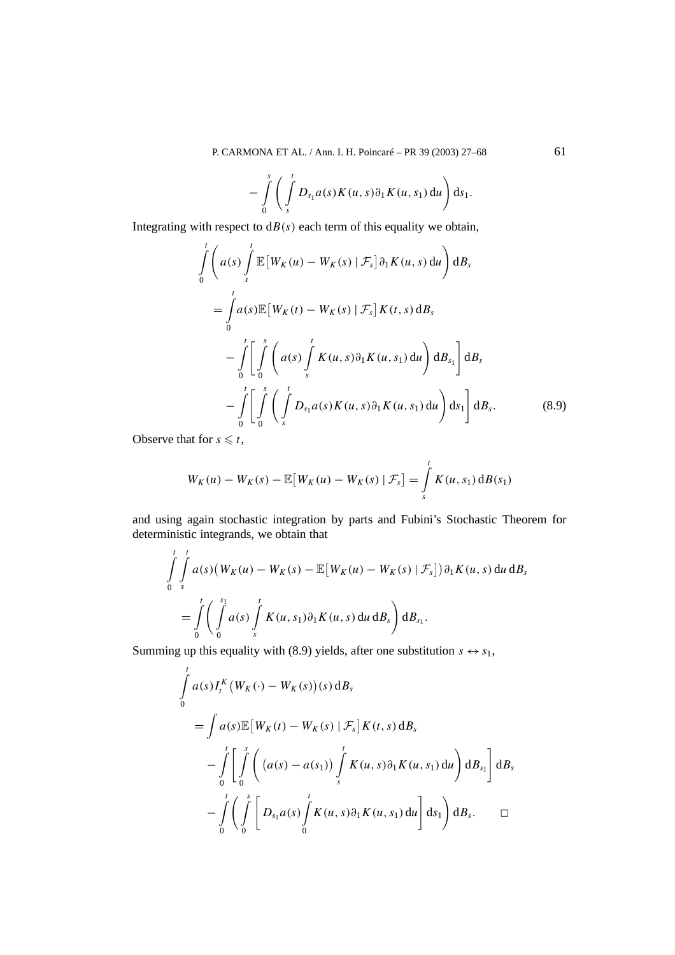$$
-\int\limits_0^s\left(\int\limits_s^tD_{s_1}a(s)K(u,s)\partial_1K(u,s_1)\,du\right)ds_1.
$$

Integrating with respect to  $dB(s)$  each term of this equality we obtain,

$$
\int_{0}^{t} \left( a(s) \int_{s}^{t} \mathbb{E} \left[ W_{K}(u) - W_{K}(s) \mid \mathcal{F}_{s} \right] \partial_{1} K(u, s) du \right) dB_{s}
$$
\n
$$
= \int_{0}^{t} a(s) \mathbb{E} \left[ W_{K}(t) - W_{K}(s) \mid \mathcal{F}_{s} \right] K(t, s) dB_{s}
$$
\n
$$
- \int_{0}^{t} \left[ \int_{0}^{s} \left( a(s) \int_{s}^{t} K(u, s) \partial_{1} K(u, s_{1}) du \right) dB_{s_{1}} \right] dB_{s}
$$
\n
$$
- \int_{0}^{t} \left[ \int_{0}^{s} \left( \int_{s}^{t} D_{s_{1}} a(s) K(u, s) \partial_{1} K(u, s_{1}) du \right) ds_{1} \right] dB_{s}.
$$
\n(8.9)

Observe that for  $s \leq t$ ,

$$
W_K(u) - W_K(s) - \mathbb{E}[W_K(u) - W_K(s) | \mathcal{F}_s] = \int_s^t K(u, s_1) dB(s_1)
$$

and using again stochastic integration by parts and Fubini's Stochastic Theorem for deterministic integrands, we obtain that

$$
\int_{0}^{t} \int_{s}^{t} a(s) \big(W_K(u) - W_K(s) - \mathbb{E}\big[W_K(u) - W_K(s) | \mathcal{F}_s\big]\big) \partial_1 K(u, s) \, du \, dB_s
$$
\n
$$
= \int_{0}^{t} \bigg( \int_{0}^{s_1} a(s) \int_{s}^{t} K(u, s_1) \partial_1 K(u, s) \, du \, dB_s \bigg) \, dB_{s_1}.
$$

Summing up this equality with (8.9) yields, after one substitution  $s \leftrightarrow s_1$ ,

$$
\int_{0}^{t} a(s) I_{t}^{K} (W_{K}(\cdot) - W_{K}(s))(s) dB_{s}
$$
\n
$$
= \int a(s) \mathbb{E} [W_{K}(t) - W_{K}(s) | \mathcal{F}_{s}] K(t, s) dB_{s}
$$
\n
$$
- \int_{0}^{t} \left[ \int_{0}^{s} \left( (a(s) - a(s_{1})) \int_{s}^{t} K(u, s) \partial_{1} K(u, s_{1}) du \right) dB_{s_{1}} \right] dB_{s}
$$
\n
$$
- \int_{0}^{t} \left( \int_{0}^{s} \left[ D_{s_{1}} a(s) \int_{0}^{t} K(u, s) \partial_{1} K(u, s_{1}) du \right] ds_{1} \right) dB_{s}.
$$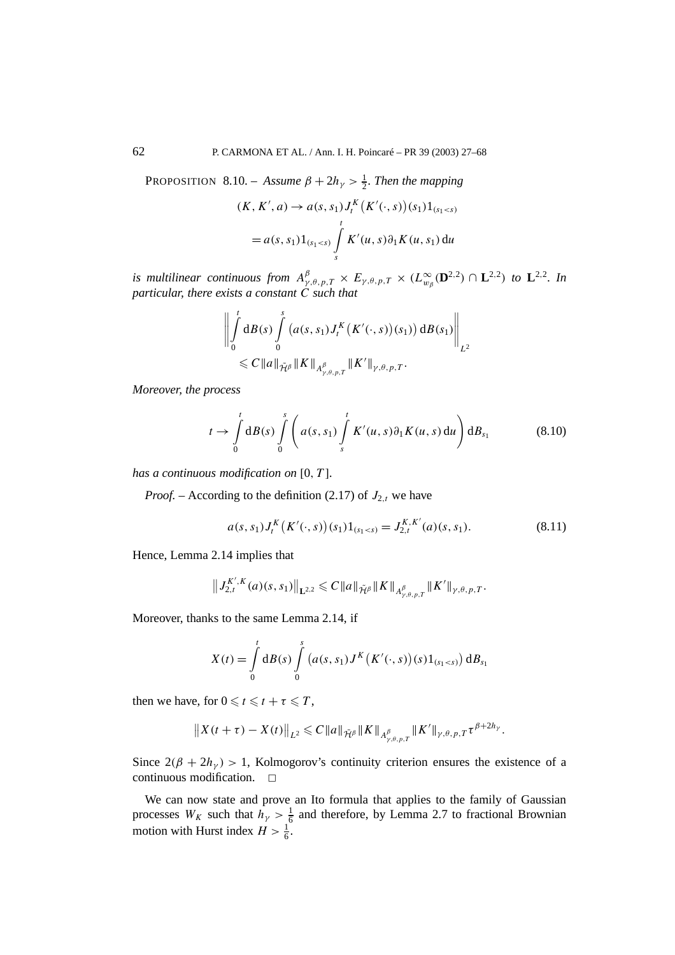PROPOSITION 8.10. – Assume  $\beta + 2h_{\gamma} > \frac{1}{2}$ . Then the mapping

$$
(K, K', a) \to a(s, s_1) J_t^K(K'(\cdot, s))(s_1) 1_{(s_1 < s)}
$$
  
=  $a(s, s_1) 1_{(s_1 < s)} \int_s^t K'(u, s) \partial_1 K(u, s_1) du$ 

*is multilinear continuous from*  $A^{\beta}_{\gamma,\theta,p,T} \times E_{\gamma,\theta,p,T} \times (L^{\infty}_{w_{\beta}}(\mathbf{D}^{2,2}) \cap \mathbf{L}^{2,2})$  *to*  $\mathbf{L}^{2,2}$ *. In particular, there exists a constant C such that*

$$
\left\| \int_{0}^{t} dB(s) \int_{0}^{s} (a(s, s_1) J_{t}^{K}(K'(\cdot, s))(s_1)) dB(s_1) \right\|_{L^{2}} \leq C \|a\|_{\tilde{\mathcal{H}}^{\beta}} \|K\|_{A^{^{\beta}}_{\gamma, \theta, p, T}} \|K'\|_{\gamma, \theta, p, T}.
$$

*Moreover, the process*

$$
t \to \int\limits_0^t dB(s) \int\limits_0^s \left( a(s, s_1) \int\limits_s^t K'(u, s) \partial_1 K(u, s) du \right) dB_{s_1}
$$
 (8.10)

*has a continuous modification on* [0*, T* ]*.*

*Proof.* – According to the definition (2.17) of  $J_{2,t}$  we have

$$
a(s,s_1)J_t^K\big(K'(\cdot,s)\big)(s_1)1_{(s_1
$$

Hence, Lemma 2.14 implies that

$$
||J_{2,t}^{K',K}(a)(s,s_1)||_{L^{2,2}} \leq C ||a||_{\tilde{\mathcal{H}}^{\beta}} ||K||_{A_{\gamma,\theta,p,T}^{\beta}} ||K'||_{\gamma,\theta,p,T}.
$$

Moreover, thanks to the same Lemma 2.14, if

$$
X(t) = \int_{0}^{t} dB(s) \int_{0}^{s} (a(s, s_1) J^K(K'(\cdot, s))(s) 1_{(s_1 < s)}) dB_{s_1}
$$

then we have, for  $0 \le t \le t + \tau \le T$ ,

$$
||X(t+\tau)-X(t)||_{L^{2}} \leq C||a||_{\tilde{\mathcal{H}}^{\beta}}||K||_{A_{\gamma,\theta,p,T}^{\beta}}||K'||_{\gamma,\theta,p,T}\tau^{\beta+2h_{\gamma}}.
$$

Since  $2(\beta + 2h_y) > 1$ , Kolmogorov's continuity criterion ensures the existence of a continuous modification.  $\Box$ 

We can now state and prove an Ito formula that applies to the family of Gaussian processes  $W_K$  such that  $h_\gamma > \frac{1}{6}$  and therefore, by Lemma 2.7 to fractional Brownian motion with Hurst index  $H > \frac{1}{6}$ .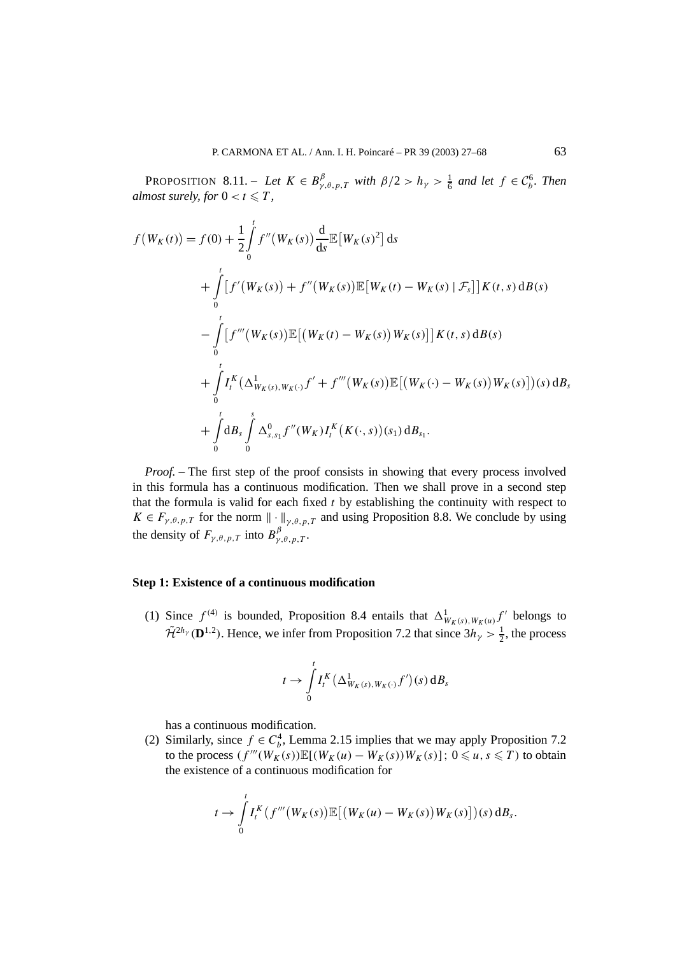PROPOSITION 8.11. – Let  $K \in B_{\gamma,\theta,p,T}^{\beta}$  with  $\beta/2 > h_{\gamma} > \frac{1}{6}$  and let  $f \in C_b^6$ . Then *almost surely, for*  $0 < t \leq T$ ,

$$
f(W_K(t)) = f(0) + \frac{1}{2} \int_0^t f''(W_K(s)) \frac{d}{ds} \mathbb{E}[W_K(s)^2] ds
$$
  
+ 
$$
\int_0^t [f'(W_K(s)) + f''(W_K(s)) \mathbb{E}[W_K(t) - W_K(s) | \mathcal{F}_s]] K(t, s) dB(s)
$$
  
- 
$$
\int_0^t [f'''(W_K(s)) \mathbb{E}[(W_K(t) - W_K(s)) W_K(s)]] K(t, s) dB(s)
$$
  
+ 
$$
\int_0^t I_t^K(\Delta^1_{W_K(s), W_K(\cdot)} f' + f'''(W_K(s)) \mathbb{E}[(W_K(\cdot) - W_K(s)) W_K(s)])(s) dB_s
$$
  
+ 
$$
\int_0^t dB_s \int_0^s \Delta^0_{s, s_1} f''(W_K) I_t^K(K(\cdot, s)) (s_1) dB_{s_1}.
$$

*Proof.* – The first step of the proof consists in showing that every process involved in this formula has a continuous modification. Then we shall prove in a second step that the formula is valid for each fixed *t* by establishing the continuity with respect to  $K \in F_{\gamma,\theta,p,T}$  for the norm  $\|\cdot\|_{\gamma,\theta,p,T}$  and using Proposition 8.8. We conclude by using the density of  $F_{\gamma,\theta,p,T}$  into  $B_{\gamma,\theta,p,T}^{\beta}$ .

### **Step 1: Existence of a continuous modification**

(1) Since  $f^{(4)}$  is bounded, Proposition 8.4 entails that  $\Delta^1_{W_K(s),W_K(u)} f'$  belongs to  $\tilde{\mathcal{H}}^{2h_{\gamma}}(\mathbf{D}^{1,2})$ . Hence, we infer from Proposition 7.2 that since  $3h_{\gamma} > \frac{1}{2}$ , the process

$$
t \to \int\limits_0^t I_t^K\big(\Delta^1_{W_K(s),W_K(\cdot)}f'\big)(s) \,\mathrm{d} B_s
$$

has a continuous modification.

(2) Similarly, since  $f \in C_b^4$ , Lemma 2.15 implies that we may apply Proposition 7.2 to the process  $(f'''(W_K(s))\mathbb{E}[(W_K(u) - W_K(s))W_K(s)]; 0 \le u, s \le T)$  to obtain the existence of a continuous modification for

$$
t\rightarrow \int\limits_0^t I_t^K\big(f'''(W_K(s))\mathbb{E}\big[(W_K(u)-W_K(s))W_K(s)\big](s)\,\mathrm{d}B_s.
$$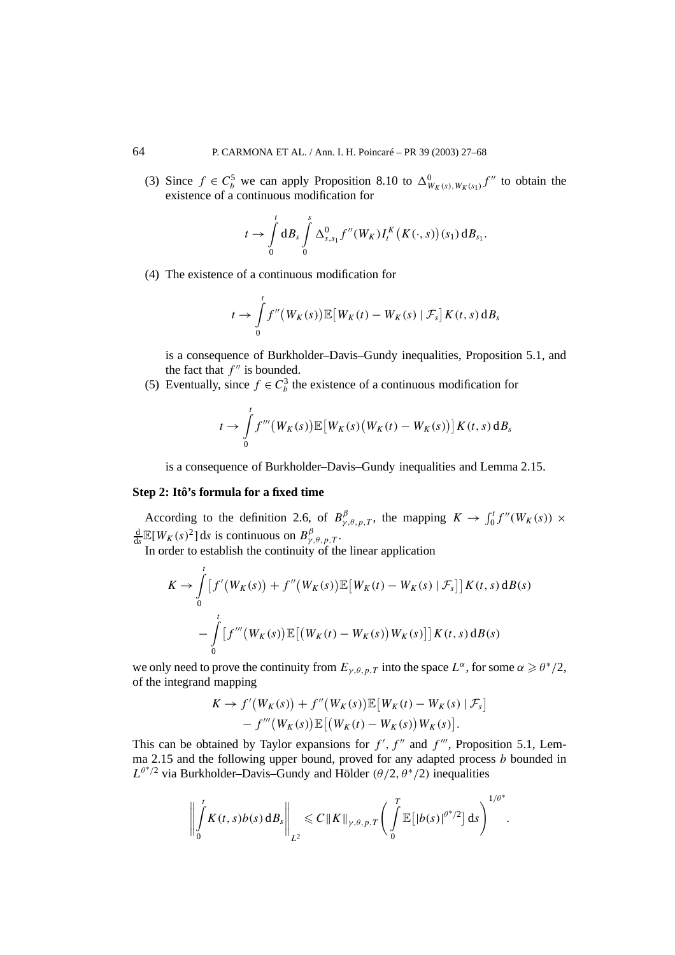(3) Since  $f \in C_b^5$  we can apply Proposition 8.10 to  $\Delta_{W_K(s),W_K(s_1)}^0 f''$  to obtain the existence of a continuous modification for

$$
t \to \int_{0}^{t} \mathrm{d}B_{s} \int_{0}^{s} \Delta_{s,s_{1}}^{0} f''(W_{K}) I_{t}^{K}(K(\cdot,s))(s_{1}) \, \mathrm{d}B_{s_{1}}.
$$

(4) The existence of a continuous modification for

$$
t \to \int\limits_0^t f''(W_K(s)) \mathbb{E}\big[W_K(t) - W_K(s) \mid \mathcal{F}_s\big] K(t,s) \, \mathrm{d} B_s
$$

is a consequence of Burkholder–Davis–Gundy inequalities, Proposition 5.1, and the fact that  $f''$  is bounded.

(5) Eventually, since  $f \in C_b^3$  the existence of a continuous modification for

$$
t \to \int\limits_0^t f'''(W_K(s)) \mathbb{E}\big[ W_K(s)\big(W_K(t)-W_K(s)\big)\big] K(t,s) \, \mathrm{d} B_s
$$

is a consequence of Burkholder–Davis–Gundy inequalities and Lemma 2.15.

#### **Step 2: Itô's formula for a fixed time**

According to the definition 2.6, of  $B_{\gamma,\theta,p,T}^{\beta}$ , the mapping  $K \to \int_0^t f''(W_K(s)) \times$  $\frac{d}{ds} \mathbb{E}[W_K(s)^2]$  ds is continuous on  $B_{\gamma,\theta,p,T}^{\beta}$ .

In order to establish the continuity of the linear application

$$
K \to \int_{0}^{t} [f'(W_K(s)) + f''(W_K(s)) \mathbb{E}[W_K(t) - W_K(s) | \mathcal{F}_s]] K(t, s) dB(s)
$$
  
 
$$
- \int_{0}^{t} [f'''(W_K(s)) \mathbb{E}[(W_K(t) - W_K(s)) W_K(s)]] K(t, s) dB(s)
$$

we only need to prove the continuity from  $E_{\gamma,\theta,p,T}$  into the space  $L^{\alpha}$ , for some  $\alpha \geq \theta^*/2$ , of the integrand mapping

$$
K \to f'(W_K(s)) + f''(W_K(s)) \mathbb{E}[W_K(t) - W_K(s) | \mathcal{F}_s] - f'''(W_K(s)) \mathbb{E}[(W_K(t) - W_K(s)) W_K(s)].
$$

This can be obtained by Taylor expansions for  $f'$ ,  $f''$  and  $f'''$ , Proposition 5.1, Lemma 2.15 and the following upper bound, proved for any adapted process *b* bounded in  $L^{\theta^*/2}$  via Burkholder–Davis–Gundy and Hölder  $(\theta/2, \theta^*/2)$  inequalities

$$
\left\| \int\limits_0^t K(t,s)b(s) \, \mathrm{d} B_s \right\|_{L^2} \leqslant C \| K \|_{\gamma,\theta,\, p,T} \bigg( \int\limits_0^T \mathbb{E} \big[ |b(s)|^{\theta^*/2} \big] \, \mathrm{d} s \bigg)^{1/\theta^*}
$$

*.*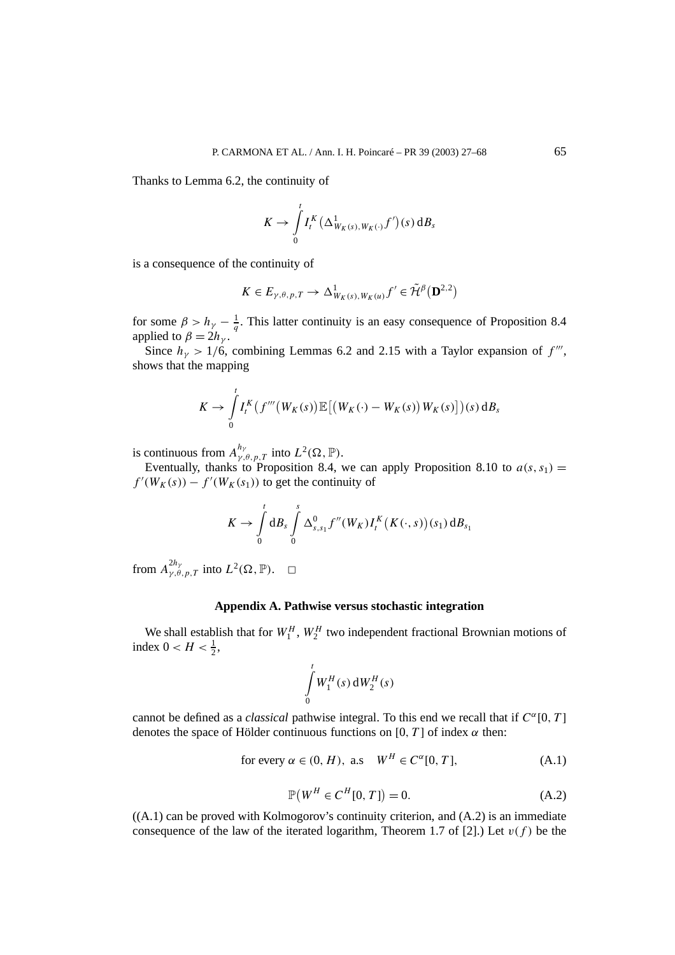Thanks to Lemma 6.2, the continuity of

$$
K \to \int\limits_0^t I_t^K(\Delta^1_{W_K(s),W_K(\cdot)}f')(s) \,\mathrm{d} B_s
$$

is a consequence of the continuity of

$$
K \in E_{\gamma,\theta,p,T} \to \Delta^1_{W_K(s),W_K(u)} f' \in \tilde{\mathcal{H}}^{\beta}(\mathbf{D}^{2,2})
$$

for some  $\beta > h_{\gamma} - \frac{1}{q}$ . This latter continuity is an easy consequence of Proposition 8.4 applied to  $\beta = 2h_{\nu}$ .

Since  $h_y > 1/6$ , combining Lemmas 6.2 and 2.15 with a Taylor expansion of  $f'''$ , shows that the mapping

$$
K \to \int\limits_0^t I_t^K\big(f'''(W_K(s))\mathbb{E}\big[\big(W_K(\cdot)-W_K(s)\big)W_K(s)\big]\big)(s)\,\mathrm{d}B_s
$$

is continuous from  $A_{\gamma,\theta,p,T}^{h_{\gamma}}$  into  $L^2(\Omega,\mathbb{P})$ .

Eventually, thanks to Proposition 8.4, we can apply Proposition 8.10 to  $a(s, s_1)$  =  $f'(W_K(s)) - f'(W_K(s_1))$  to get the continuity of

$$
K \to \int_{0}^{t} dB_{s} \int_{0}^{s} \Delta_{s,s_{1}}^{0} f''(W_{K}) I_{t}^{K}(K(\cdot,s))(s_{1}) dB_{s_{1}}
$$

from  $A^{2h_{\gamma}}_{\gamma,\theta,p,T}$  into  $L^{2}(\Omega,\mathbb{P})$ .  $\square$ 

#### **Appendix A. Pathwise versus stochastic integration**

We shall establish that for  $W_1^H$ ,  $W_2^H$  two independent fractional Brownian motions of index  $0 < H < \frac{1}{2}$ ,

$$
\int\limits_0^t W_1^H(s)\, {\rm d} W_2^H(s)
$$

cannot be defined as a *classical* pathwise integral. To this end we recall that if *C<sup>α</sup>*[0*, T* ] denotes the space of Hölder continuous functions on  $[0, T]$  of index  $\alpha$  then:

for every 
$$
\alpha \in (0, H)
$$
, a.s  $W^H \in C^{\alpha}[0, T]$ , 
$$
(A.1)
$$

$$
\mathbb{P}(W^H \in C^H[0, T]) = 0. \tag{A.2}
$$

 $((A.1)$  can be proved with Kolmogorov's continuity criterion, and  $(A.2)$  is an immediate consequence of the law of the iterated logarithm, Theorem 1.7 of [2].) Let  $v(f)$  be the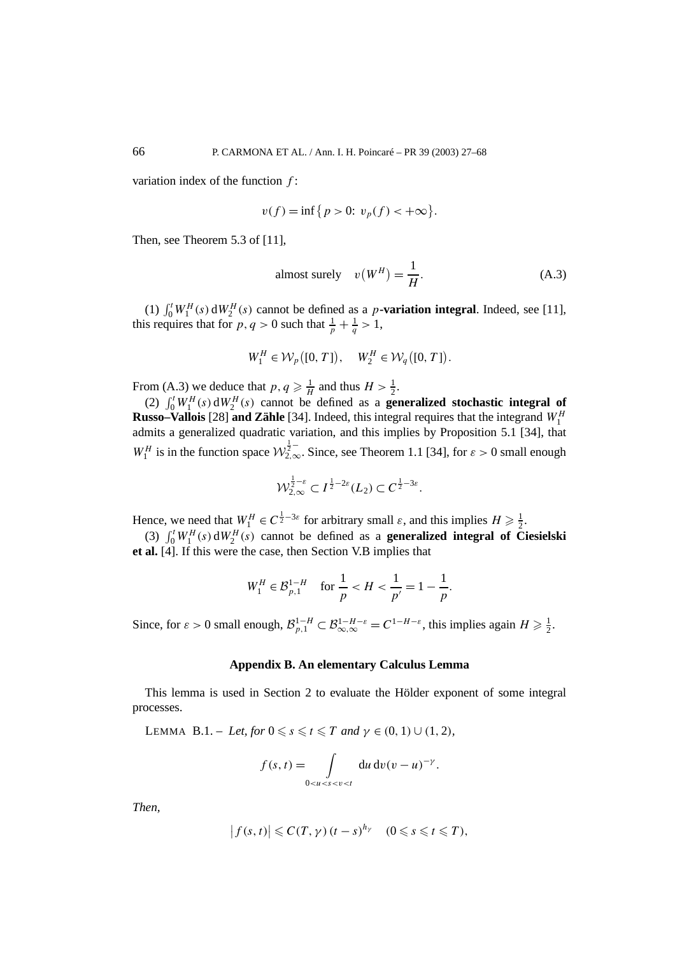variation index of the function *f* :

$$
v(f) = \inf \{ p > 0 : v_p(f) < +\infty \}.
$$

Then, see Theorem 5.3 of [11].

almost surely 
$$
v(W^H) = \frac{1}{H}
$$
. (A.3)

(1)  $\int_0^t W_1^H(s) dW_2^H(s)$  cannot be defined as a *p***-variation integral**. Indeed, see [11], this requires that for  $p, q > 0$  such that  $\frac{1}{p} + \frac{1}{q} > 1$ ,

$$
W_1^H \in \mathcal{W}_p([0,T]), \quad W_2^H \in \mathcal{W}_q([0,T]).
$$

From (A.3) we deduce that  $p, q \ge \frac{1}{H}$  and thus  $H > \frac{1}{2}$ .

(2)  $\int_0^t W_1^H(s) dW_2^H(s)$  cannot be defined as a **generalized stochastic integral of Russo–Vallois** [28] **and Zähle** [34]. Indeed, this integral requires that the integrand *W<sup>H</sup>* 1 admits a generalized quadratic variation, and this implies by Proposition 5.1 [34], that *W<sub>I</sub>*<sup>*H*</sup> is in the function space  $W_{2,\infty}^{\frac{1}{2}-}$ . Since, see Theorem 1.1 [34], for  $\varepsilon > 0$  small enough

$$
\mathcal{W}_{2,\infty}^{\frac{1}{2}-\varepsilon} \subset I^{\frac{1}{2}-2\varepsilon}(L_2) \subset C^{\frac{1}{2}-3\varepsilon}.
$$

Hence, we need that  $W_1^H \in C^{\frac{1}{2}-3\varepsilon}$  for arbitrary small  $\varepsilon$ , and this implies  $H \geq \frac{1}{2}$ .

(3)  $\int_0^t W_1^H(s) dW_2^H(s)$  cannot be defined as a **generalized integral of Ciesielski et al.** [4]. If this were the case, then Section V.B implies that

$$
W_1^H \in \mathcal{B}_{p,1}^{1-H} \quad \text{for } \frac{1}{p} < H < \frac{1}{p'} = 1 - \frac{1}{p}.
$$

Since, for  $\varepsilon > 0$  small enough,  $\mathcal{B}_{p,1}^{1-H} \subset \mathcal{B}_{\infty,\infty}^{1-H-\varepsilon} = C^{1-H-\varepsilon}$ , this implies again  $H \ge \frac{1}{2}$ .

#### **Appendix B. An elementary Calculus Lemma**

This lemma is used in Section 2 to evaluate the Hölder exponent of some integral processes.

LEMMA  $B.1 - Let, for  $0 \le s \le t \le T$  and  $\gamma \in (0, 1) \cup (1, 2)$ ,$ 

$$
f(s,t) = \int\limits_{0
$$

*Then,*

$$
\big|f(s,t)\big|\leqslant C(T,\gamma)(t-s)^{h_{\gamma}}\quad(0\leqslant s\leqslant t\leqslant T),
$$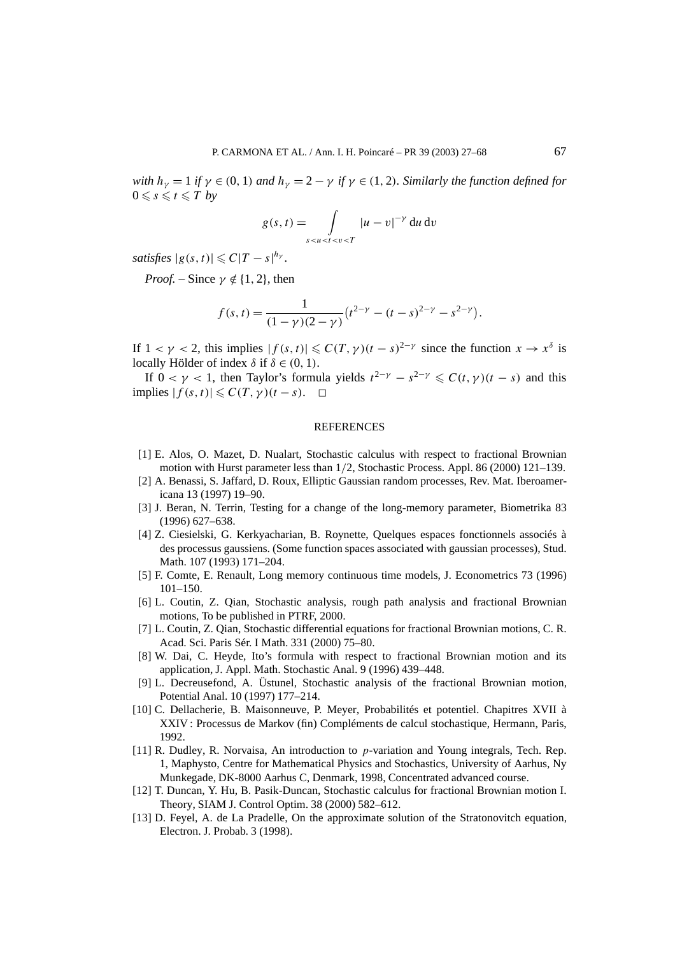*with*  $h_{\gamma} = 1$  *if*  $\gamma \in (0, 1)$  *and*  $h_{\gamma} = 2 - \gamma$  *if*  $\gamma \in (1, 2)$ *. Similarly the function defined for*  $0 \leqslant s \leqslant t \leqslant T$  *by* 

$$
g(s,t) = \int_{s < u < t < v < T} |u - v|^{-\gamma} du dv
$$

*satisfies*  $|g(s, t)| \leq C|T - s|^{h_y}$ .

*Proof.* – Since  $\gamma \notin \{1, 2\}$ , then

$$
f(s,t) = \frac{1}{(1-\gamma)(2-\gamma)}(t^{2-\gamma} - (t-s)^{2-\gamma} - s^{2-\gamma}).
$$

If  $1 < \gamma < 2$ , this implies  $|f(s, t)| \leq C(T, \gamma)(t - s)^{2-\gamma}$  since the function  $x \to x^{\delta}$  is locally Hölder of index *δ* if *δ* ∈ *(*0*,* 1*)*.

If  $0 < \gamma < 1$ , then Taylor's formula yields  $t^{2-\gamma} - s^{2-\gamma} \leq C(t, \gamma)(t - s)$  and this  $\text{implies } |f(s,t)| \leqslant C(T,\gamma)(t-s). \quad \Box$ 

#### **REFERENCES**

- [1] E. Alos, O. Mazet, D. Nualart, Stochastic calculus with respect to fractional Brownian motion with Hurst parameter less than 1*/*2, Stochastic Process. Appl. 86 (2000) 121–139.
- [2] A. Benassi, S. Jaffard, D. Roux, Elliptic Gaussian random processes, Rev. Mat. Iberoamericana 13 (1997) 19–90.
- [3] J. Beran, N. Terrin, Testing for a change of the long-memory parameter, Biometrika 83 (1996) 627–638.
- [4] Z. Ciesielski, G. Kerkyacharian, B. Roynette, Quelques espaces fonctionnels associés à des processus gaussiens. (Some function spaces associated with gaussian processes), Stud. Math. 107 (1993) 171–204.
- [5] F. Comte, E. Renault, Long memory continuous time models, J. Econometrics 73 (1996) 101–150.
- [6] L. Coutin, Z. Qian, Stochastic analysis, rough path analysis and fractional Brownian motions, To be published in PTRF, 2000.
- [7] L. Coutin, Z. Qian, Stochastic differential equations for fractional Brownian motions, C. R. Acad. Sci. Paris Sér. I Math. 331 (2000) 75–80.
- [8] W. Dai, C. Heyde, Ito's formula with respect to fractional Brownian motion and its application, J. Appl. Math. Stochastic Anal. 9 (1996) 439–448.
- [9] L. Decreusefond, A. Üstunel, Stochastic analysis of the fractional Brownian motion, Potential Anal. 10 (1997) 177–214.
- [10] C. Dellacherie, B. Maisonneuve, P. Meyer, Probabilités et potentiel. Chapitres XVII à XXIV : Processus de Markov (fin) Compléments de calcul stochastique, Hermann, Paris, 1992.
- [11] R. Dudley, R. Norvaisa, An introduction to *p*-variation and Young integrals, Tech. Rep. 1, Maphysto, Centre for Mathematical Physics and Stochastics, University of Aarhus, Ny Munkegade, DK-8000 Aarhus C, Denmark, 1998, Concentrated advanced course.
- [12] T. Duncan, Y. Hu, B. Pasik-Duncan, Stochastic calculus for fractional Brownian motion I. Theory, SIAM J. Control Optim. 38 (2000) 582–612.
- [13] D. Feyel, A. de La Pradelle, On the approximate solution of the Stratonovitch equation, Electron. J. Probab. 3 (1998).